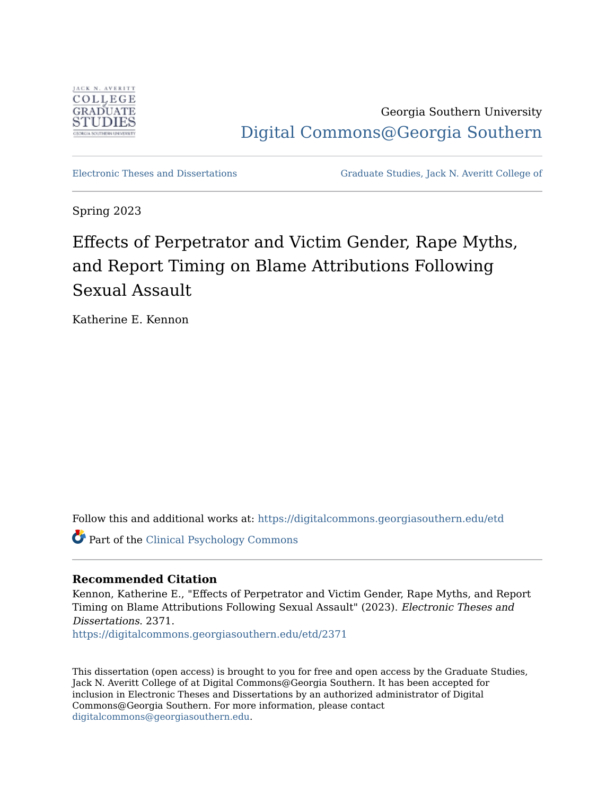

Georgia Southern University [Digital Commons@Georgia Southern](https://digitalcommons.georgiasouthern.edu/) 

[Electronic Theses and Dissertations](https://digitalcommons.georgiasouthern.edu/etd) [Graduate Studies, Jack N. Averitt College of](https://digitalcommons.georgiasouthern.edu/cogs) 

Spring 2023

# Effects of Perpetrator and Victim Gender, Rape Myths, and Report Timing on Blame Attributions Following Sexual Assault

Katherine E. Kennon

Follow this and additional works at: [https://digitalcommons.georgiasouthern.edu/etd](https://digitalcommons.georgiasouthern.edu/etd?utm_source=digitalcommons.georgiasouthern.edu%2Fetd%2F2371&utm_medium=PDF&utm_campaign=PDFCoverPages) 

Part of the [Clinical Psychology Commons](http://network.bepress.com/hgg/discipline/406?utm_source=digitalcommons.georgiasouthern.edu%2Fetd%2F2371&utm_medium=PDF&utm_campaign=PDFCoverPages) 

# **Recommended Citation**

Kennon, Katherine E., "Effects of Perpetrator and Victim Gender, Rape Myths, and Report Timing on Blame Attributions Following Sexual Assault" (2023). Electronic Theses and Dissertations. 2371.

[https://digitalcommons.georgiasouthern.edu/etd/2371](https://digitalcommons.georgiasouthern.edu/etd/2371?utm_source=digitalcommons.georgiasouthern.edu%2Fetd%2F2371&utm_medium=PDF&utm_campaign=PDFCoverPages) 

This dissertation (open access) is brought to you for free and open access by the Graduate Studies, Jack N. Averitt College of at Digital Commons@Georgia Southern. It has been accepted for inclusion in Electronic Theses and Dissertations by an authorized administrator of Digital Commons@Georgia Southern. For more information, please contact [digitalcommons@georgiasouthern.edu.](mailto:digitalcommons@georgiasouthern.edu)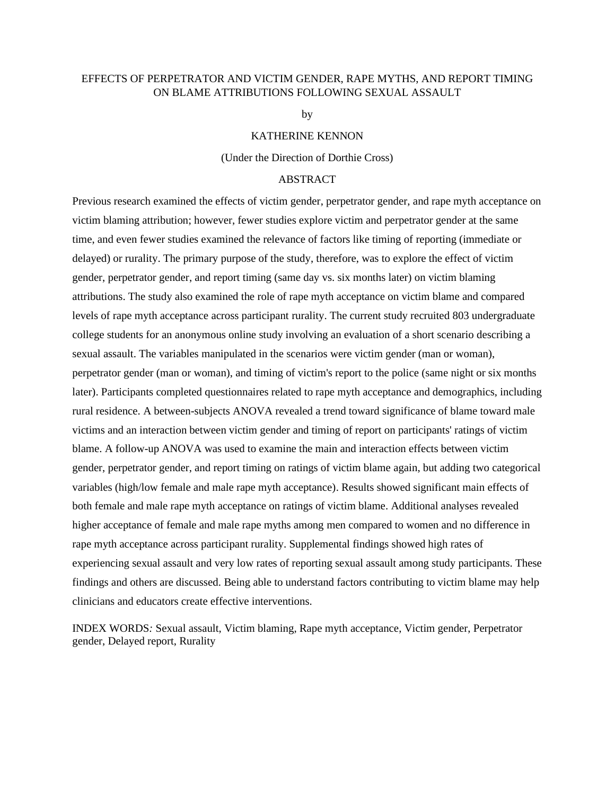# EFFECTS OF PERPETRATOR AND VICTIM GENDER, RAPE MYTHS, AND REPORT TIMING ON BLAME ATTRIBUTIONS FOLLOWING SEXUAL ASSAULT

by

#### KATHERINE KENNON

#### (Under the Direction of Dorthie Cross)

## ABSTRACT

Previous research examined the effects of victim gender, perpetrator gender, and rape myth acceptance on victim blaming attribution; however, fewer studies explore victim and perpetrator gender at the same time, and even fewer studies examined the relevance of factors like timing of reporting (immediate or delayed) or rurality. The primary purpose of the study, therefore, was to explore the effect of victim gender, perpetrator gender, and report timing (same day vs. six months later) on victim blaming attributions. The study also examined the role of rape myth acceptance on victim blame and compared levels of rape myth acceptance across participant rurality. The current study recruited 803 undergraduate college students for an anonymous online study involving an evaluation of a short scenario describing a sexual assault. The variables manipulated in the scenarios were victim gender (man or woman), perpetrator gender (man or woman), and timing of victim's report to the police (same night or six months later). Participants completed questionnaires related to rape myth acceptance and demographics, including rural residence. A between-subjects ANOVA revealed a trend toward significance of blame toward male victims and an interaction between victim gender and timing of report on participants' ratings of victim blame. A follow-up ANOVA was used to examine the main and interaction effects between victim gender, perpetrator gender, and report timing on ratings of victim blame again, but adding two categorical variables (high/low female and male rape myth acceptance). Results showed significant main effects of both female and male rape myth acceptance on ratings of victim blame. Additional analyses revealed higher acceptance of female and male rape myths among men compared to women and no difference in rape myth acceptance across participant rurality. Supplemental findings showed high rates of experiencing sexual assault and very low rates of reporting sexual assault among study participants. These findings and others are discussed. Being able to understand factors contributing to victim blame may help clinicians and educators create effective interventions.

INDEX WORDS*:* Sexual assault, Victim blaming, Rape myth acceptance, Victim gender, Perpetrator gender, Delayed report, Rurality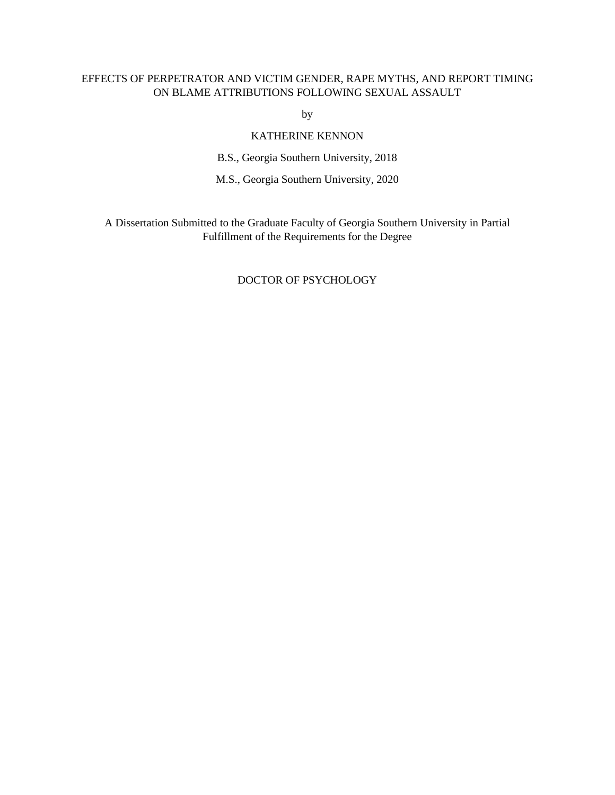# EFFECTS OF PERPETRATOR AND VICTIM GENDER, RAPE MYTHS, AND REPORT TIMING ON BLAME ATTRIBUTIONS FOLLOWING SEXUAL ASSAULT

by

# KATHERINE KENNON

B.S., Georgia Southern University, 2018

M.S., Georgia Southern University, 2020

A Dissertation Submitted to the Graduate Faculty of Georgia Southern University in Partial Fulfillment of the Requirements for the Degree

# DOCTOR OF PSYCHOLOGY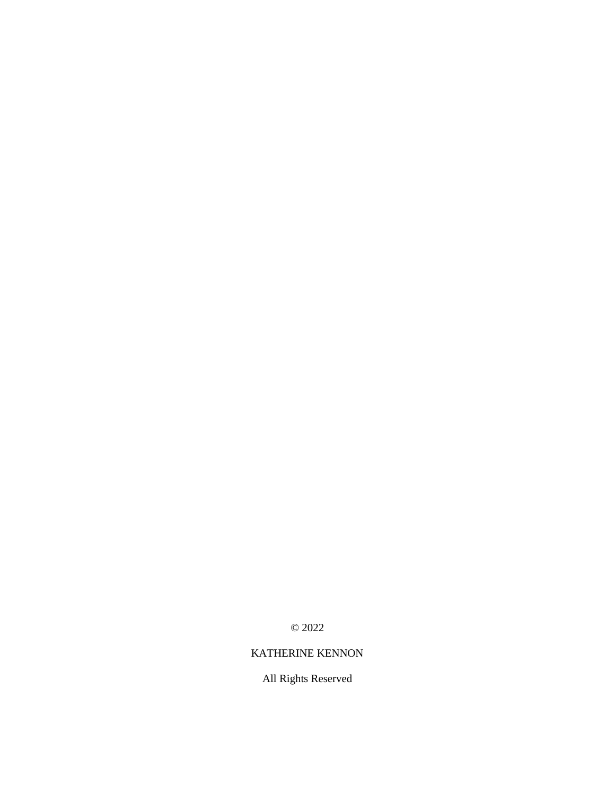© 2022

# KATHERINE KENNON

All Rights Reserved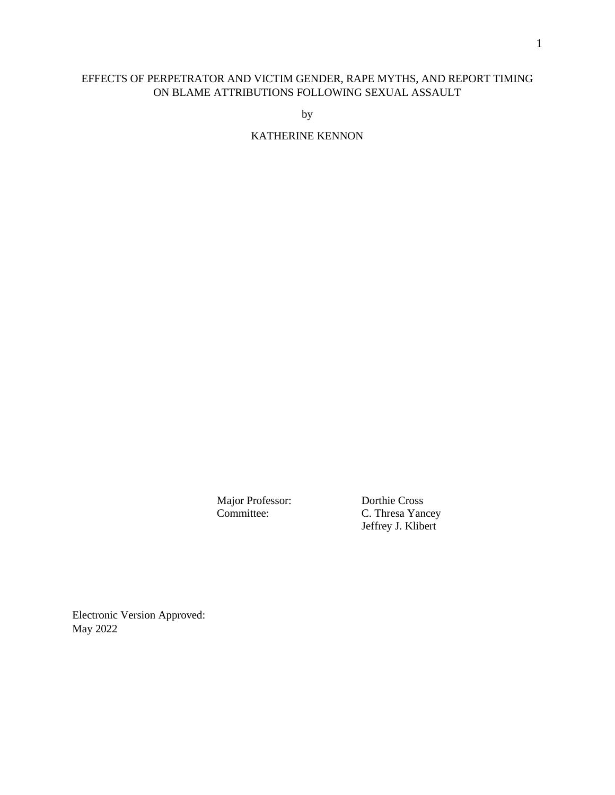# EFFECTS OF PERPETRATOR AND VICTIM GENDER, RAPE MYTHS, AND REPORT TIMING ON BLAME ATTRIBUTIONS FOLLOWING SEXUAL ASSAULT

by

KATHERINE KENNON

Major Professor: Dorthie Cross

C. Thresa Yancey Jeffrey J. Klibert

Electronic Version Approved: May 2022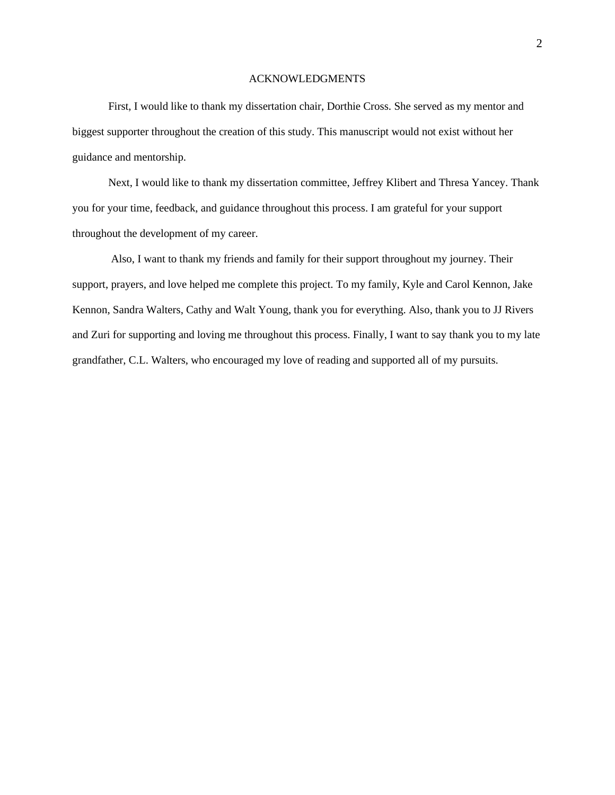## ACKNOWLEDGMENTS

<span id="page-5-0"></span>First, I would like to thank my dissertation chair, Dorthie Cross. She served as my mentor and biggest supporter throughout the creation of this study. This manuscript would not exist without her guidance and mentorship.

Next, I would like to thank my dissertation committee, Jeffrey Klibert and Thresa Yancey. Thank you for your time, feedback, and guidance throughout this process. I am grateful for your support throughout the development of my career.

Also, I want to thank my friends and family for their support throughout my journey. Their support, prayers, and love helped me complete this project. To my family, Kyle and Carol Kennon, Jake Kennon, Sandra Walters, Cathy and Walt Young, thank you for everything. Also, thank you to JJ Rivers and Zuri for supporting and loving me throughout this process. Finally, I want to say thank you to my late grandfather, C.L. Walters, who encouraged my love of reading and supported all of my pursuits.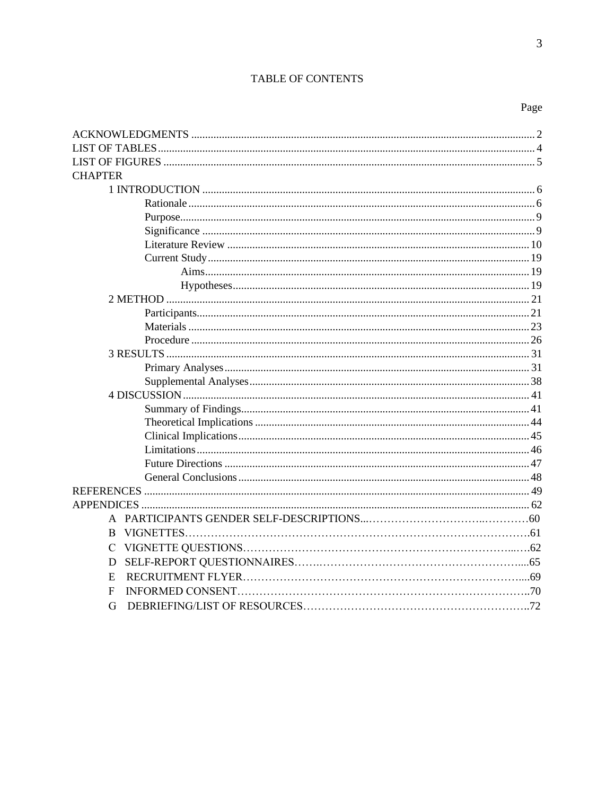# TABLE OF CONTENTS

 $\overline{3}$ 

| <b>CHAPTER</b> |  |
|----------------|--|
|                |  |
|                |  |
|                |  |
|                |  |
|                |  |
|                |  |
|                |  |
|                |  |
|                |  |
|                |  |
|                |  |
|                |  |
|                |  |
|                |  |
|                |  |
|                |  |
|                |  |
|                |  |
|                |  |
|                |  |
|                |  |
|                |  |
|                |  |
|                |  |
|                |  |
| B.             |  |
| C              |  |
| D              |  |
| E              |  |
| F              |  |
| G              |  |
|                |  |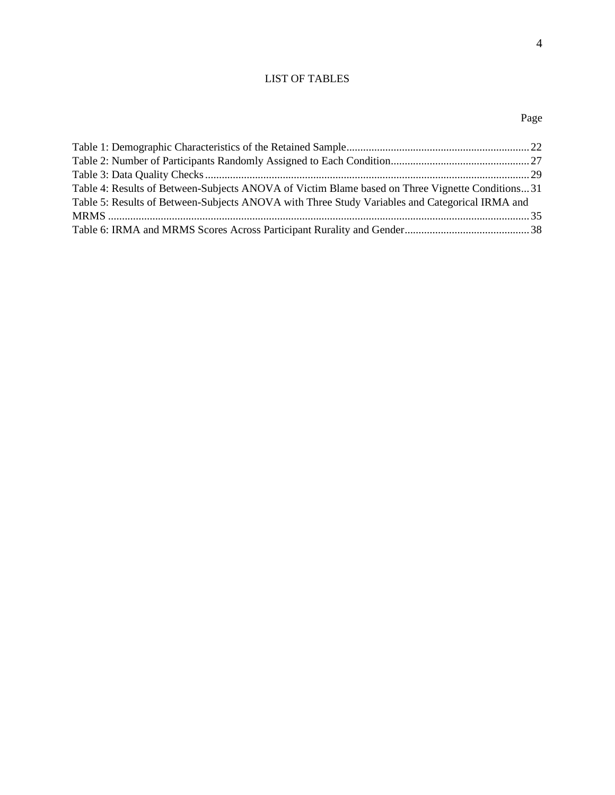# LIST OF TABLES

# Page

<span id="page-7-0"></span>

| Table 4: Results of Between-Subjects ANOVA of Victim Blame based on Three Vignette Conditions31 |  |
|-------------------------------------------------------------------------------------------------|--|
| Table 5: Results of Between-Subjects ANOVA with Three Study Variables and Categorical IRMA and  |  |
|                                                                                                 |  |
|                                                                                                 |  |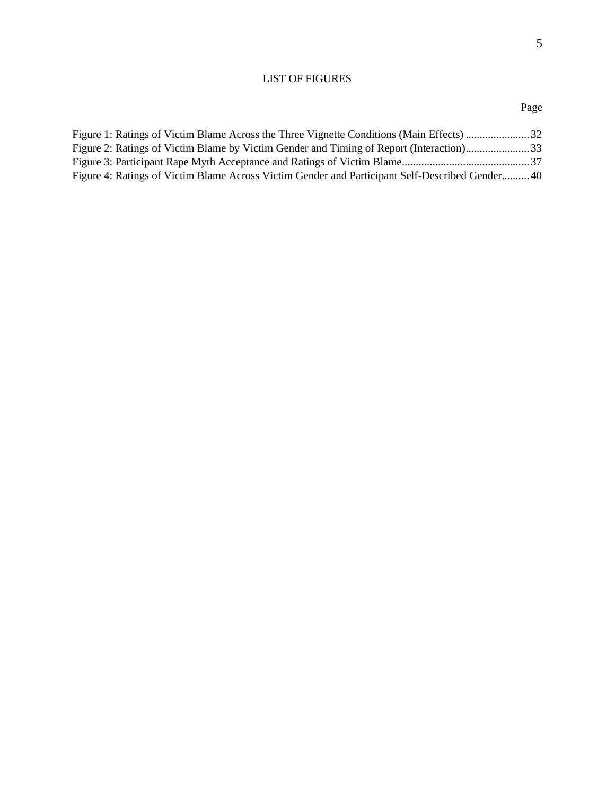# LIST OF FIGURES

<span id="page-8-0"></span>

| Figure 2: Ratings of Victim Blame by Victim Gender and Timing of Report (Interaction)33        |  |
|------------------------------------------------------------------------------------------------|--|
|                                                                                                |  |
| Figure 4: Ratings of Victim Blame Across Victim Gender and Participant Self-Described Gender40 |  |
|                                                                                                |  |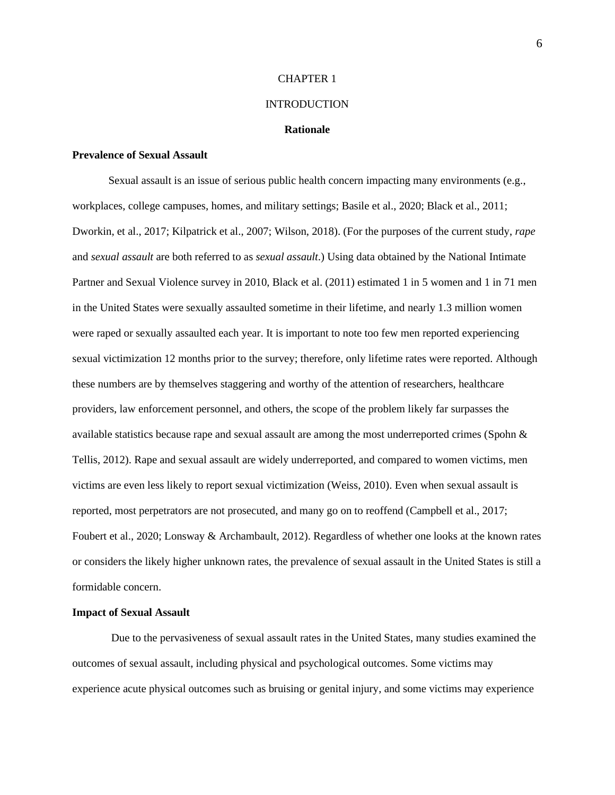#### CHAPTER 1

## INTRODUCTION

#### **Rationale**

# <span id="page-9-1"></span><span id="page-9-0"></span>**Prevalence of Sexual Assault**

Sexual assault is an issue of serious public health concern impacting many environments (e.g., workplaces, college campuses, homes, and military settings; Basile et al., 2020; Black et al., 2011; Dworkin, et al., 2017; Kilpatrick et al., 2007; Wilson, 2018). (For the purposes of the current study, *rape* and *sexual assault* are both referred to as *sexual assault*.) Using data obtained by the National Intimate Partner and Sexual Violence survey in 2010, Black et al. (2011) estimated 1 in 5 women and 1 in 71 men in the United States were sexually assaulted sometime in their lifetime, and nearly 1.3 million women were raped or sexually assaulted each year. It is important to note too few men reported experiencing sexual victimization 12 months prior to the survey; therefore, only lifetime rates were reported. Although these numbers are by themselves staggering and worthy of the attention of researchers, healthcare providers, law enforcement personnel, and others, the scope of the problem likely far surpasses the available statistics because rape and sexual assault are among the most underreported crimes (Spohn & Tellis, 2012). Rape and sexual assault are widely underreported, and compared to women victims, men victims are even less likely to report sexual victimization (Weiss, 2010). Even when sexual assault is reported, most perpetrators are not prosecuted, and many go on to reoffend (Campbell et al., 2017; Foubert et al., 2020; Lonsway & Archambault, 2012). Regardless of whether one looks at the known rates or considers the likely higher unknown rates, the prevalence of sexual assault in the United States is still a formidable concern.

#### **Impact of Sexual Assault**

Due to the pervasiveness of sexual assault rates in the United States, many studies examined the outcomes of sexual assault, including physical and psychological outcomes. Some victims may experience acute physical outcomes such as bruising or genital injury, and some victims may experience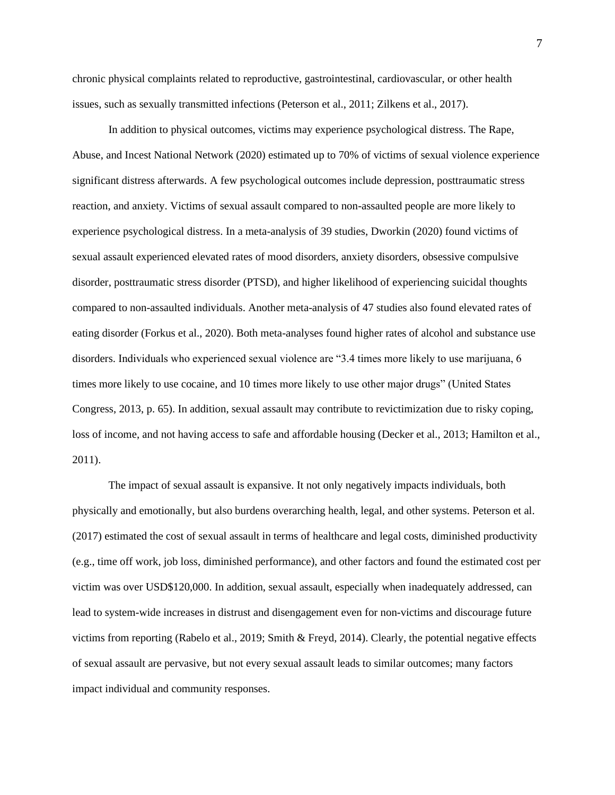chronic physical complaints related to reproductive, gastrointestinal, cardiovascular, or other health issues, such as sexually transmitted infections (Peterson et al., 2011; Zilkens et al., 2017).

In addition to physical outcomes, victims may experience psychological distress. The Rape, Abuse, and Incest National Network (2020) estimated up to 70% of victims of sexual violence experience significant distress afterwards. A few psychological outcomes include depression, posttraumatic stress reaction, and anxiety. Victims of sexual assault compared to non-assaulted people are more likely to experience psychological distress. In a meta-analysis of 39 studies, Dworkin (2020) found victims of sexual assault experienced elevated rates of mood disorders, anxiety disorders, obsessive compulsive disorder, posttraumatic stress disorder (PTSD), and higher likelihood of experiencing suicidal thoughts compared to non-assaulted individuals. Another meta-analysis of 47 studies also found elevated rates of eating disorder (Forkus et al., 2020). Both meta-analyses found higher rates of alcohol and substance use disorders. Individuals who experienced sexual violence are "3.4 times more likely to use marijuana, 6 times more likely to use cocaine, and 10 times more likely to use other major drugs" (United States Congress, 2013, p. 65). In addition, sexual assault may contribute to revictimization due to risky coping, loss of income, and not having access to safe and affordable housing (Decker et al., 2013; Hamilton et al., 2011).

The impact of sexual assault is expansive. It not only negatively impacts individuals, both physically and emotionally, but also burdens overarching health, legal, and other systems. Peterson et al. (2017) estimated the cost of sexual assault in terms of healthcare and legal costs, diminished productivity (e.g., time off work, job loss, diminished performance), and other factors and found the estimated cost per victim was over USD\$120,000. In addition, sexual assault, especially when inadequately addressed, can lead to system-wide increases in distrust and disengagement even for non-victims and discourage future victims from reporting (Rabelo et al., 2019; Smith & Freyd, 2014). Clearly, the potential negative effects of sexual assault are pervasive, but not every sexual assault leads to similar outcomes; many factors impact individual and community responses.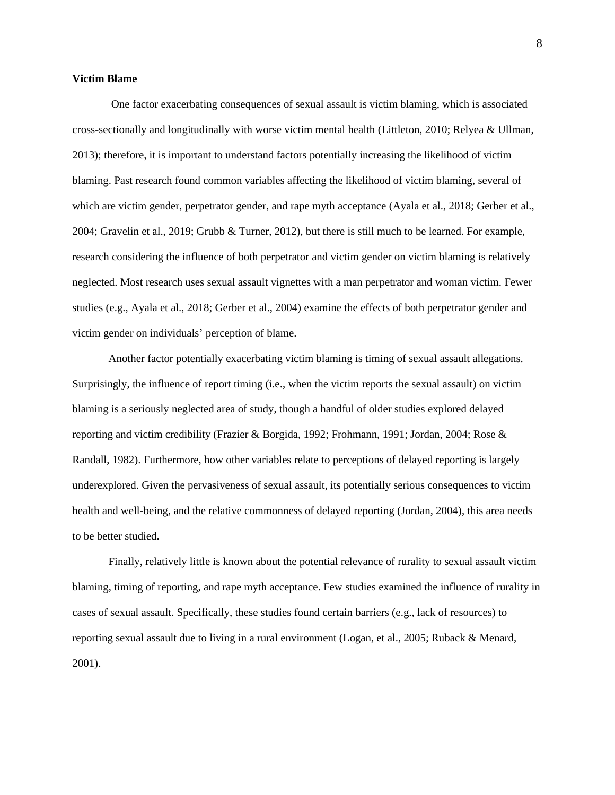#### **Victim Blame**

One factor exacerbating consequences of sexual assault is victim blaming, which is associated cross-sectionally and longitudinally with worse victim mental health (Littleton, 2010; Relyea & Ullman, 2013); therefore, it is important to understand factors potentially increasing the likelihood of victim blaming. Past research found common variables affecting the likelihood of victim blaming, several of which are victim gender, perpetrator gender, and rape myth acceptance (Ayala et al., 2018; Gerber et al., 2004; Gravelin et al., 2019; Grubb & Turner, 2012), but there is still much to be learned. For example, research considering the influence of both perpetrator and victim gender on victim blaming is relatively neglected. Most research uses sexual assault vignettes with a man perpetrator and woman victim. Fewer studies (e.g., Ayala et al., 2018; Gerber et al., 2004) examine the effects of both perpetrator gender and victim gender on individuals' perception of blame.

Another factor potentially exacerbating victim blaming is timing of sexual assault allegations. Surprisingly, the influence of report timing (i.e., when the victim reports the sexual assault) on victim blaming is a seriously neglected area of study, though a handful of older studies explored delayed reporting and victim credibility (Frazier & Borgida, 1992; Frohmann, 1991; Jordan, 2004; Rose & Randall, 1982). Furthermore, how other variables relate to perceptions of delayed reporting is largely underexplored. Given the pervasiveness of sexual assault, its potentially serious consequences to victim health and well-being, and the relative commonness of delayed reporting (Jordan, 2004), this area needs to be better studied.

Finally, relatively little is known about the potential relevance of rurality to sexual assault victim blaming, timing of reporting, and rape myth acceptance. Few studies examined the influence of rurality in cases of sexual assault. Specifically, these studies found certain barriers (e.g., lack of resources) to reporting sexual assault due to living in a rural environment (Logan, et al., 2005; Ruback & Menard, 2001).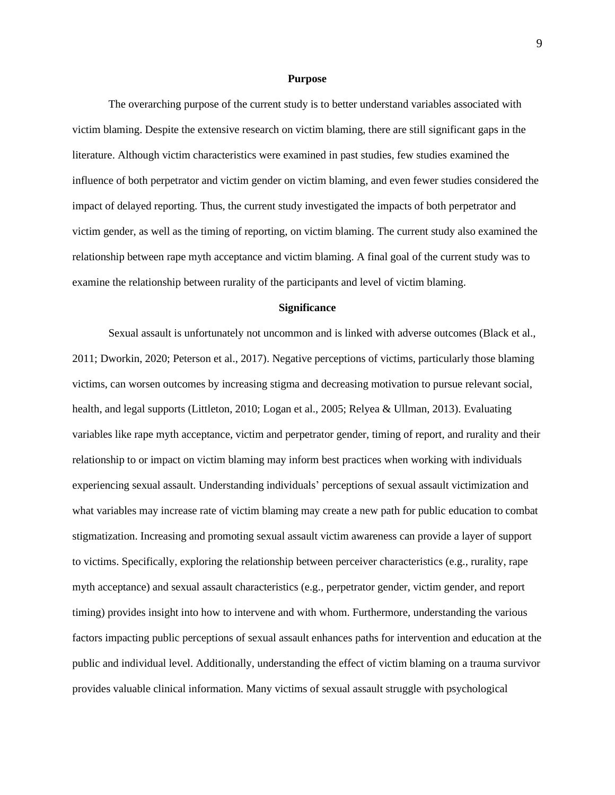#### **Purpose**

<span id="page-12-0"></span>The overarching purpose of the current study is to better understand variables associated with victim blaming. Despite the extensive research on victim blaming, there are still significant gaps in the literature. Although victim characteristics were examined in past studies, few studies examined the influence of both perpetrator and victim gender on victim blaming, and even fewer studies considered the impact of delayed reporting. Thus, the current study investigated the impacts of both perpetrator and victim gender, as well as the timing of reporting, on victim blaming. The current study also examined the relationship between rape myth acceptance and victim blaming. A final goal of the current study was to examine the relationship between rurality of the participants and level of victim blaming.

#### **Significance**

<span id="page-12-1"></span>Sexual assault is unfortunately not uncommon and is linked with adverse outcomes (Black et al., 2011; Dworkin, 2020; Peterson et al., 2017). Negative perceptions of victims, particularly those blaming victims, can worsen outcomes by increasing stigma and decreasing motivation to pursue relevant social, health, and legal supports (Littleton, 2010; Logan et al., 2005; Relyea & Ullman, 2013). Evaluating variables like rape myth acceptance, victim and perpetrator gender, timing of report, and rurality and their relationship to or impact on victim blaming may inform best practices when working with individuals experiencing sexual assault. Understanding individuals' perceptions of sexual assault victimization and what variables may increase rate of victim blaming may create a new path for public education to combat stigmatization. Increasing and promoting sexual assault victim awareness can provide a layer of support to victims. Specifically, exploring the relationship between perceiver characteristics (e.g., rurality, rape myth acceptance) and sexual assault characteristics (e.g., perpetrator gender, victim gender, and report timing) provides insight into how to intervene and with whom. Furthermore, understanding the various factors impacting public perceptions of sexual assault enhances paths for intervention and education at the public and individual level. Additionally, understanding the effect of victim blaming on a trauma survivor provides valuable clinical information. Many victims of sexual assault struggle with psychological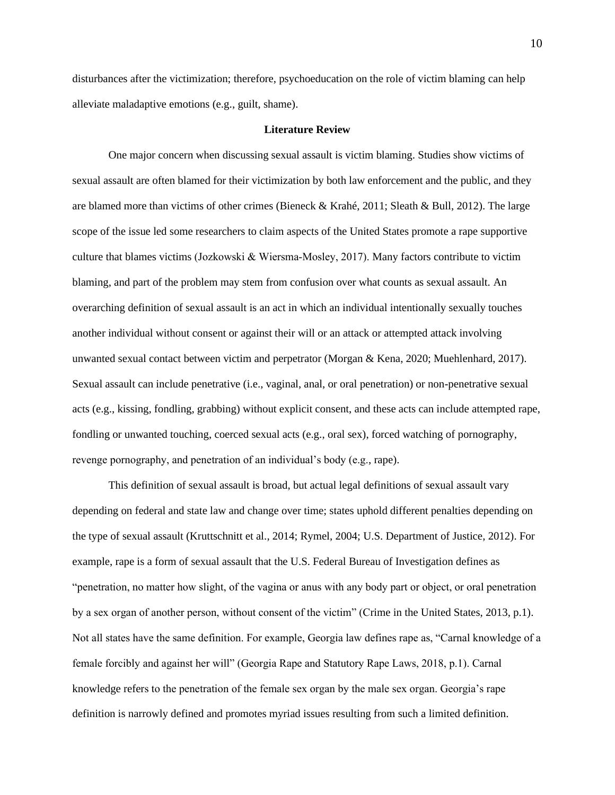disturbances after the victimization; therefore, psychoeducation on the role of victim blaming can help alleviate maladaptive emotions (e.g., guilt, shame).

#### **Literature Review**

<span id="page-13-0"></span>One major concern when discussing sexual assault is victim blaming. Studies show victims of sexual assault are often blamed for their victimization by both law enforcement and the public, and they are blamed more than victims of other crimes (Bieneck & Krahé, 2011; Sleath & Bull, 2012). The large scope of the issue led some researchers to claim aspects of the United States promote a rape supportive culture that blames victims (Jozkowski & Wiersma‐Mosley, 2017). Many factors contribute to victim blaming, and part of the problem may stem from confusion over what counts as sexual assault. An overarching definition of sexual assault is an act in which an individual intentionally sexually touches another individual without consent or against their will or an attack or attempted attack involving unwanted sexual contact between victim and perpetrator (Morgan & Kena, 2020; Muehlenhard, 2017). Sexual assault can include penetrative (i.e., vaginal, anal, or oral penetration) or non-penetrative sexual acts (e.g., kissing, fondling, grabbing) without explicit consent, and these acts can include attempted rape, fondling or unwanted touching, coerced sexual acts (e.g., oral sex), forced watching of pornography, revenge pornography, and penetration of an individual's body (e.g., rape).

This definition of sexual assault is broad, but actual legal definitions of sexual assault vary depending on federal and state law and change over time; states uphold different penalties depending on the type of sexual assault (Kruttschnitt et al., 2014; Rymel, 2004; U.S. Department of Justice, 2012). For example, rape is a form of sexual assault that the U.S. Federal Bureau of Investigation defines as "penetration, no matter how slight, of the vagina or anus with any body part or object, or oral penetration by a sex organ of another person, without consent of the victim" (Crime in the United States, 2013, p.1). Not all states have the same definition. For example, Georgia law defines rape as, "Carnal knowledge of a female forcibly and against her will" (Georgia Rape and Statutory Rape Laws, 2018, p.1). Carnal knowledge refers to the penetration of the female sex organ by the male sex organ. Georgia's rape definition is narrowly defined and promotes myriad issues resulting from such a limited definition.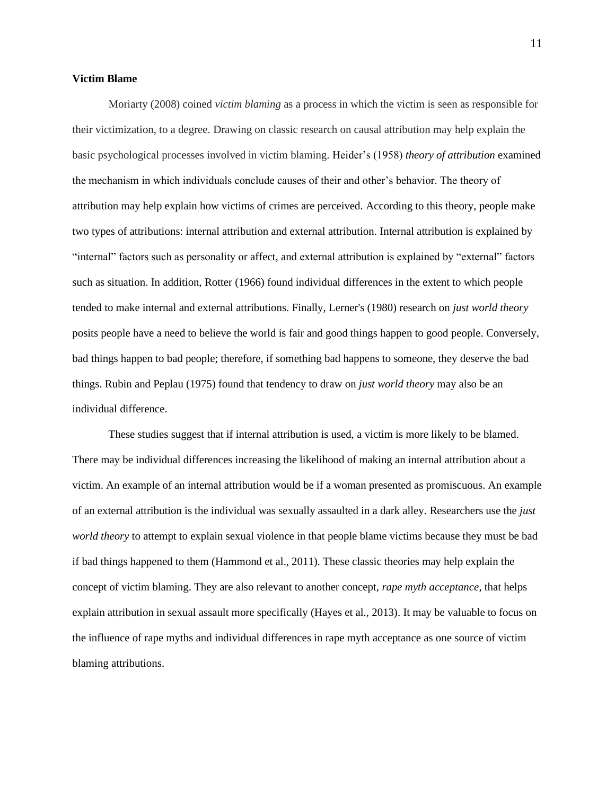#### **Victim Blame**

Moriarty (2008) coined *victim blaming* as a process in which the victim is seen as responsible for their victimization, to a degree. Drawing on classic research on causal attribution may help explain the basic psychological processes involved in victim blaming. Heider's (1958) *theory of attribution* examined the mechanism in which individuals conclude causes of their and other's behavior. The theory of attribution may help explain how victims of crimes are perceived. According to this theory, people make two types of attributions: internal attribution and external attribution. Internal attribution is explained by "internal" factors such as personality or affect, and external attribution is explained by "external" factors such as situation. In addition, Rotter (1966) found individual differences in the extent to which people tended to make internal and external attributions. Finally, Lerner's (1980) research on *just world theory* posits people have a need to believe the world is fair and good things happen to good people. Conversely, bad things happen to bad people; therefore, if something bad happens to someone, they deserve the bad things. Rubin and Peplau (1975) found that tendency to draw on *just world theory* may also be an individual difference.

These studies suggest that if internal attribution is used, a victim is more likely to be blamed. There may be individual differences increasing the likelihood of making an internal attribution about a victim. An example of an internal attribution would be if a woman presented as promiscuous. An example of an external attribution is the individual was sexually assaulted in a dark alley. Researchers use the *just world theory* to attempt to explain sexual violence in that people blame victims because they must be bad if bad things happened to them (Hammond et al., 2011). These classic theories may help explain the concept of victim blaming. They are also relevant to another concept, *rape myth acceptance*, that helps explain attribution in sexual assault more specifically (Hayes et al., 2013). It may be valuable to focus on the influence of rape myths and individual differences in rape myth acceptance as one source of victim blaming attributions.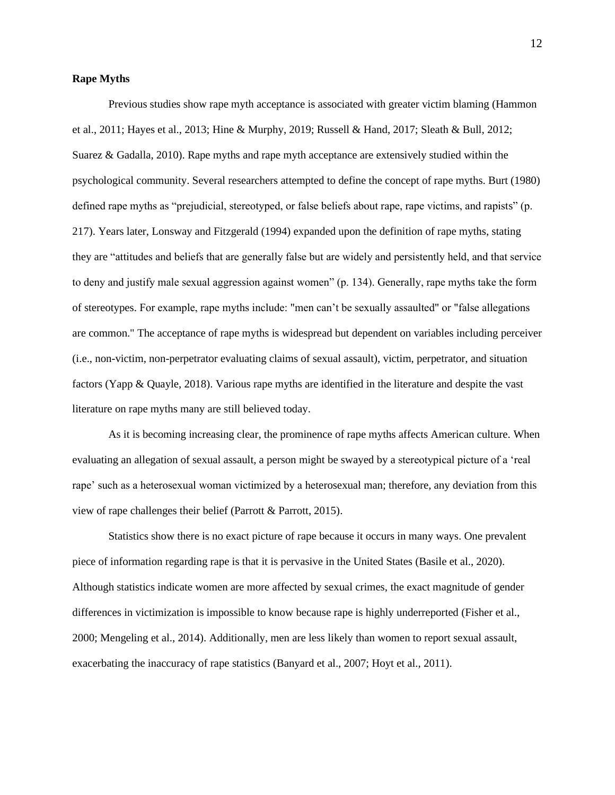#### **Rape Myths**

Previous studies show rape myth acceptance is associated with greater victim blaming (Hammon et al., 2011; Hayes et al., 2013; Hine & Murphy, 2019; Russell & Hand, 2017; Sleath & Bull, 2012; Suarez & Gadalla, 2010). Rape myths and rape myth acceptance are extensively studied within the psychological community. Several researchers attempted to define the concept of rape myths. Burt (1980) defined rape myths as "prejudicial, stereotyped, or false beliefs about rape, rape victims, and rapists" (p. 217). Years later, Lonsway and Fitzgerald (1994) expanded upon the definition of rape myths, stating they are "attitudes and beliefs that are generally false but are widely and persistently held, and that service to deny and justify male sexual aggression against women" (p. 134). Generally, rape myths take the form of stereotypes. For example, rape myths include: "men can't be sexually assaulted" or "false allegations are common." The acceptance of rape myths is widespread but dependent on variables including perceiver (i.e., non-victim, non-perpetrator evaluating claims of sexual assault), victim, perpetrator, and situation factors (Yapp & Quayle, 2018). Various rape myths are identified in the literature and despite the vast literature on rape myths many are still believed today.

As it is becoming increasing clear, the prominence of rape myths affects American culture. When evaluating an allegation of sexual assault, a person might be swayed by a stereotypical picture of a 'real rape' such as a heterosexual woman victimized by a heterosexual man; therefore, any deviation from this view of rape challenges their belief (Parrott & Parrott, 2015).

Statistics show there is no exact picture of rape because it occurs in many ways. One prevalent piece of information regarding rape is that it is pervasive in the United States (Basile et al., 2020). Although statistics indicate women are more affected by sexual crimes, the exact magnitude of gender differences in victimization is impossible to know because rape is highly underreported (Fisher et al., 2000; Mengeling et al., 2014). Additionally, men are less likely than women to report sexual assault, exacerbating the inaccuracy of rape statistics (Banyard et al., 2007; Hoyt et al., 2011).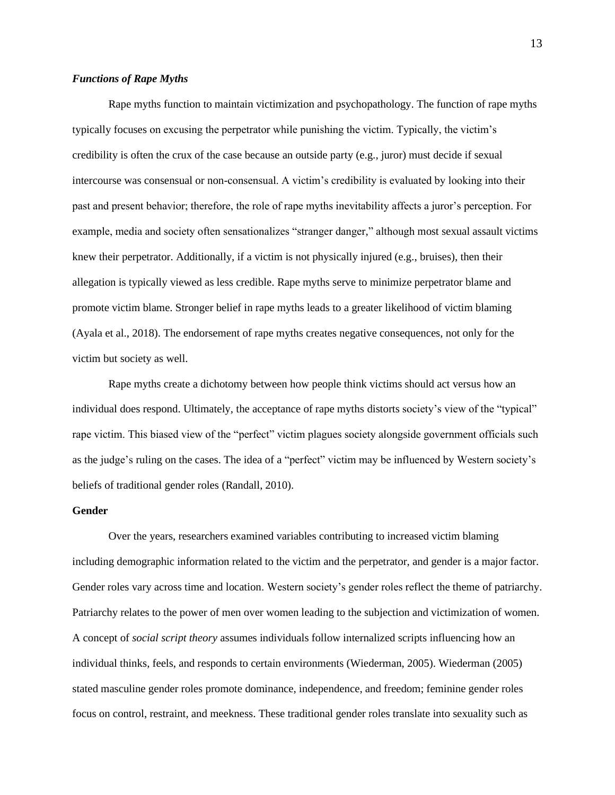## *Functions of Rape Myths*

Rape myths function to maintain victimization and psychopathology. The function of rape myths typically focuses on excusing the perpetrator while punishing the victim. Typically, the victim's credibility is often the crux of the case because an outside party (e.g., juror) must decide if sexual intercourse was consensual or non-consensual. A victim's credibility is evaluated by looking into their past and present behavior; therefore, the role of rape myths inevitability affects a juror's perception. For example, media and society often sensationalizes "stranger danger," although most sexual assault victims knew their perpetrator. Additionally, if a victim is not physically injured (e.g., bruises), then their allegation is typically viewed as less credible. Rape myths serve to minimize perpetrator blame and promote victim blame. Stronger belief in rape myths leads to a greater likelihood of victim blaming (Ayala et al., 2018). The endorsement of rape myths creates negative consequences, not only for the victim but society as well.

Rape myths create a dichotomy between how people think victims should act versus how an individual does respond. Ultimately, the acceptance of rape myths distorts society's view of the "typical" rape victim. This biased view of the "perfect" victim plagues society alongside government officials such as the judge's ruling on the cases. The idea of a "perfect" victim may be influenced by Western society's beliefs of traditional gender roles (Randall, 2010).

# **Gender**

Over the years, researchers examined variables contributing to increased victim blaming including demographic information related to the victim and the perpetrator, and gender is a major factor. Gender roles vary across time and location. Western society's gender roles reflect the theme of patriarchy. Patriarchy relates to the power of men over women leading to the subjection and victimization of women. A concept of *social script theory* assumes individuals follow internalized scripts influencing how an individual thinks, feels, and responds to certain environments (Wiederman, 2005). Wiederman (2005) stated masculine gender roles promote dominance, independence, and freedom; feminine gender roles focus on control, restraint, and meekness. These traditional gender roles translate into sexuality such as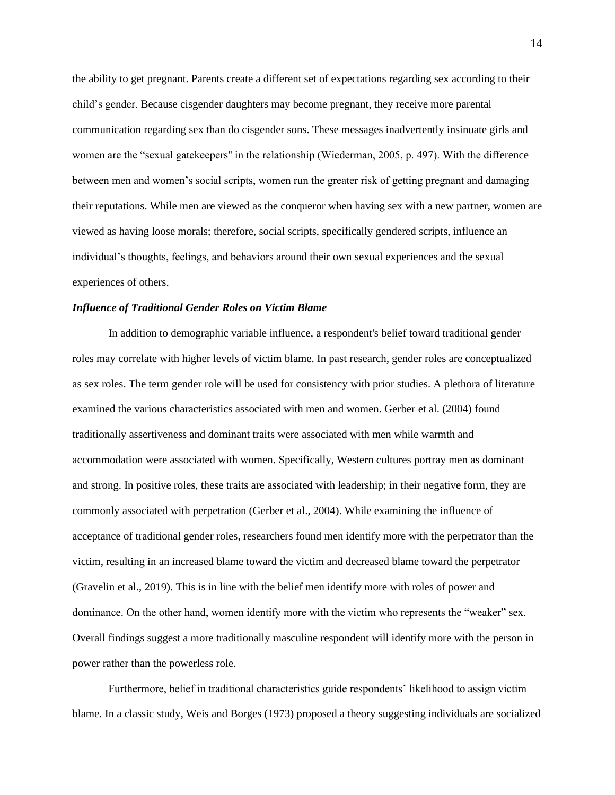the ability to get pregnant. Parents create a different set of expectations regarding sex according to their child's gender. Because cisgender daughters may become pregnant, they receive more parental communication regarding sex than do cisgender sons. These messages inadvertently insinuate girls and women are the "sexual gatekeepers'' in the relationship (Wiederman, 2005, p. 497). With the difference between men and women's social scripts, women run the greater risk of getting pregnant and damaging their reputations. While men are viewed as the conqueror when having sex with a new partner, women are viewed as having loose morals; therefore, social scripts, specifically gendered scripts, influence an individual's thoughts, feelings, and behaviors around their own sexual experiences and the sexual experiences of others.

#### *Influence of Traditional Gender Roles on Victim Blame*

In addition to demographic variable influence, a respondent's belief toward traditional gender roles may correlate with higher levels of victim blame. In past research, gender roles are conceptualized as sex roles. The term gender role will be used for consistency with prior studies. A plethora of literature examined the various characteristics associated with men and women. Gerber et al. (2004) found traditionally assertiveness and dominant traits were associated with men while warmth and accommodation were associated with women. Specifically, Western cultures portray men as dominant and strong. In positive roles, these traits are associated with leadership; in their negative form, they are commonly associated with perpetration (Gerber et al., 2004). While examining the influence of acceptance of traditional gender roles, researchers found men identify more with the perpetrator than the victim, resulting in an increased blame toward the victim and decreased blame toward the perpetrator (Gravelin et al., 2019). This is in line with the belief men identify more with roles of power and dominance. On the other hand, women identify more with the victim who represents the "weaker" sex. Overall findings suggest a more traditionally masculine respondent will identify more with the person in power rather than the powerless role.

Furthermore, belief in traditional characteristics guide respondents' likelihood to assign victim blame. In a classic study, Weis and Borges (1973) proposed a theory suggesting individuals are socialized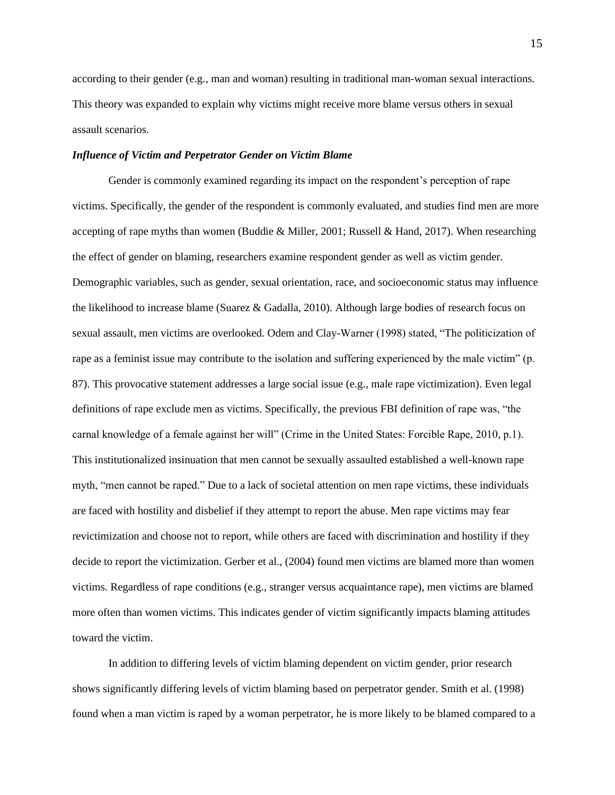according to their gender (e.g., man and woman) resulting in traditional man-woman sexual interactions. This theory was expanded to explain why victims might receive more blame versus others in sexual assault scenarios.

# *Influence of Victim and Perpetrator Gender on Victim Blame*

Gender is commonly examined regarding its impact on the respondent's perception of rape victims. Specifically, the gender of the respondent is commonly evaluated, and studies find men are more accepting of rape myths than women (Buddie & Miller, 2001; Russell & Hand, 2017). When researching the effect of gender on blaming, researchers examine respondent gender as well as victim gender. Demographic variables, such as gender, sexual orientation, race, and socioeconomic status may influence the likelihood to increase blame (Suarez & Gadalla, 2010). Although large bodies of research focus on sexual assault, men victims are overlooked. Odem and Clay-Warner (1998) stated, "The politicization of rape as a feminist issue may contribute to the isolation and suffering experienced by the male victim" (p. 87). This provocative statement addresses a large social issue (e.g., male rape victimization). Even legal definitions of rape exclude men as victims. Specifically, the previous FBI definition of rape was, "the carnal knowledge of a female against her will" (Crime in the United States: Forcible Rape, 2010, p.1). This institutionalized insinuation that men cannot be sexually assaulted established a well-known rape myth, "men cannot be raped." Due to a lack of societal attention on men rape victims, these individuals are faced with hostility and disbelief if they attempt to report the abuse. Men rape victims may fear revictimization and choose not to report, while others are faced with discrimination and hostility if they decide to report the victimization. Gerber et al., (2004) found men victims are blamed more than women victims. Regardless of rape conditions (e.g., stranger versus acquaintance rape), men victims are blamed more often than women victims. This indicates gender of victim significantly impacts blaming attitudes toward the victim.

In addition to differing levels of victim blaming dependent on victim gender, prior research shows significantly differing levels of victim blaming based on perpetrator gender. Smith et al. (1998) found when a man victim is raped by a woman perpetrator, he is more likely to be blamed compared to a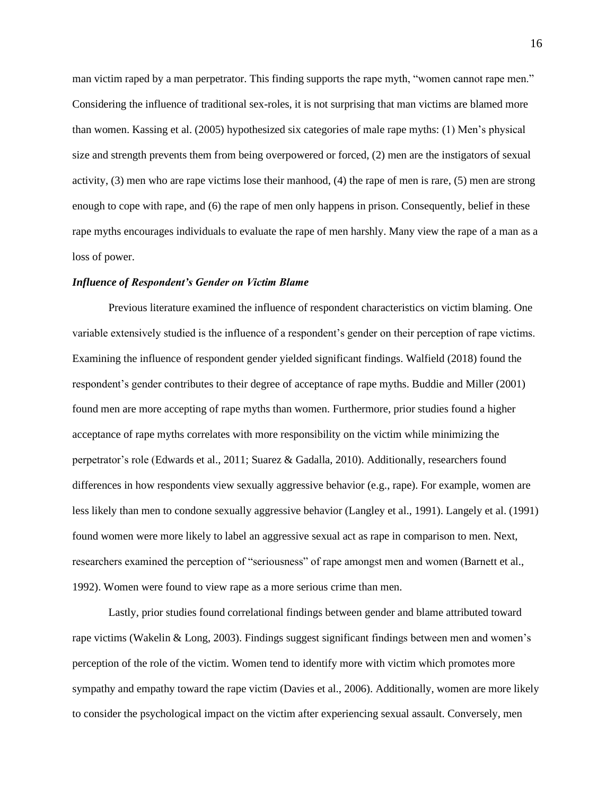man victim raped by a man perpetrator. This finding supports the rape myth, "women cannot rape men." Considering the influence of traditional sex-roles, it is not surprising that man victims are blamed more than women. Kassing et al. (2005) hypothesized six categories of male rape myths: (1) Men's physical size and strength prevents them from being overpowered or forced, (2) men are the instigators of sexual activity, (3) men who are rape victims lose their manhood, (4) the rape of men is rare, (5) men are strong enough to cope with rape, and (6) the rape of men only happens in prison. Consequently, belief in these rape myths encourages individuals to evaluate the rape of men harshly. Many view the rape of a man as a loss of power.

## *Influence of Respondent's Gender on Victim Blame*

Previous literature examined the influence of respondent characteristics on victim blaming. One variable extensively studied is the influence of a respondent's gender on their perception of rape victims. Examining the influence of respondent gender yielded significant findings. Walfield (2018) found the respondent's gender contributes to their degree of acceptance of rape myths. Buddie and Miller (2001) found men are more accepting of rape myths than women. Furthermore, prior studies found a higher acceptance of rape myths correlates with more responsibility on the victim while minimizing the perpetrator's role (Edwards et al., 2011; Suarez & Gadalla, 2010). Additionally, researchers found differences in how respondents view sexually aggressive behavior (e.g., rape). For example, women are less likely than men to condone sexually aggressive behavior (Langley et al., 1991). Langely et al. (1991) found women were more likely to label an aggressive sexual act as rape in comparison to men. Next, researchers examined the perception of "seriousness" of rape amongst men and women (Barnett et al., 1992). Women were found to view rape as a more serious crime than men.

Lastly, prior studies found correlational findings between gender and blame attributed toward rape victims (Wakelin & Long, 2003). Findings suggest significant findings between men and women's perception of the role of the victim. Women tend to identify more with victim which promotes more sympathy and empathy toward the rape victim (Davies et al., 2006). Additionally, women are more likely to consider the psychological impact on the victim after experiencing sexual assault. Conversely, men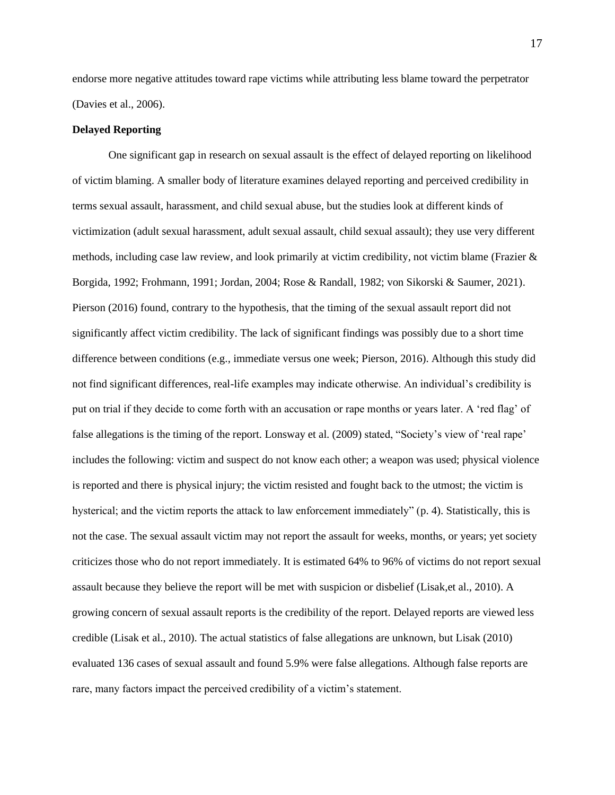endorse more negative attitudes toward rape victims while attributing less blame toward the perpetrator (Davies et al., 2006).

## **Delayed Reporting**

One significant gap in research on sexual assault is the effect of delayed reporting on likelihood of victim blaming. A smaller body of literature examines delayed reporting and perceived credibility in terms sexual assault, harassment, and child sexual abuse, but the studies look at different kinds of victimization (adult sexual harassment, adult sexual assault, child sexual assault); they use very different methods, including case law review, and look primarily at victim credibility, not victim blame (Frazier  $\&$ Borgida, 1992; Frohmann, 1991; Jordan, 2004; Rose & Randall, 1982; von Sikorski & Saumer, 2021). Pierson (2016) found, contrary to the hypothesis, that the timing of the sexual assault report did not significantly affect victim credibility. The lack of significant findings was possibly due to a short time difference between conditions (e.g., immediate versus one week; Pierson, 2016). Although this study did not find significant differences, real-life examples may indicate otherwise. An individual's credibility is put on trial if they decide to come forth with an accusation or rape months or years later. A 'red flag' of false allegations is the timing of the report. Lonsway et al. (2009) stated, "Society's view of 'real rape' includes the following: victim and suspect do not know each other; a weapon was used; physical violence is reported and there is physical injury; the victim resisted and fought back to the utmost; the victim is hysterical; and the victim reports the attack to law enforcement immediately" (p. 4). Statistically, this is not the case. The sexual assault victim may not report the assault for weeks, months, or years; yet society criticizes those who do not report immediately. It is estimated 64% to 96% of victims do not report sexual assault because they believe the report will be met with suspicion or disbelief (Lisak,et al., 2010). A growing concern of sexual assault reports is the credibility of the report. Delayed reports are viewed less credible (Lisak et al., 2010). The actual statistics of false allegations are unknown, but Lisak (2010) evaluated 136 cases of sexual assault and found 5.9% were false allegations. Although false reports are rare, many factors impact the perceived credibility of a victim's statement.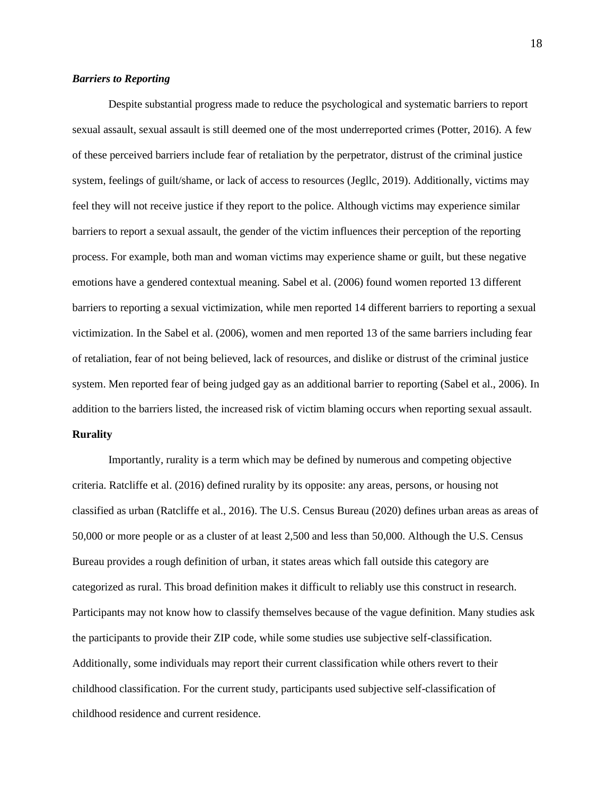## *Barriers to Reporting*

Despite substantial progress made to reduce the psychological and systematic barriers to report sexual assault, sexual assault is still deemed one of the most underreported crimes (Potter, 2016). A few of these perceived barriers include fear of retaliation by the perpetrator, distrust of the criminal justice system, feelings of guilt/shame, or lack of access to resources (Jegllc, 2019). Additionally, victims may feel they will not receive justice if they report to the police. Although victims may experience similar barriers to report a sexual assault, the gender of the victim influences their perception of the reporting process. For example, both man and woman victims may experience shame or guilt, but these negative emotions have a gendered contextual meaning. Sabel et al. (2006) found women reported 13 different barriers to reporting a sexual victimization, while men reported 14 different barriers to reporting a sexual victimization. In the Sabel et al. (2006), women and men reported 13 of the same barriers including fear of retaliation, fear of not being believed, lack of resources, and dislike or distrust of the criminal justice system. Men reported fear of being judged gay as an additional barrier to reporting (Sabel et al., 2006). In addition to the barriers listed, the increased risk of victim blaming occurs when reporting sexual assault.

# **Rurality**

Importantly, rurality is a term which may be defined by numerous and competing objective criteria. Ratcliffe et al. (2016) defined rurality by its opposite: any areas, persons, or housing not classified as urban (Ratcliffe et al., 2016). The U.S. Census Bureau (2020) defines urban areas as areas of 50,000 or more people or as a cluster of at least 2,500 and less than 50,000. Although the U.S. Census Bureau provides a rough definition of urban, it states areas which fall outside this category are categorized as rural. This broad definition makes it difficult to reliably use this construct in research. Participants may not know how to classify themselves because of the vague definition. Many studies ask the participants to provide their ZIP code, while some studies use subjective self-classification. Additionally, some individuals may report their current classification while others revert to their childhood classification. For the current study, participants used subjective self-classification of childhood residence and current residence.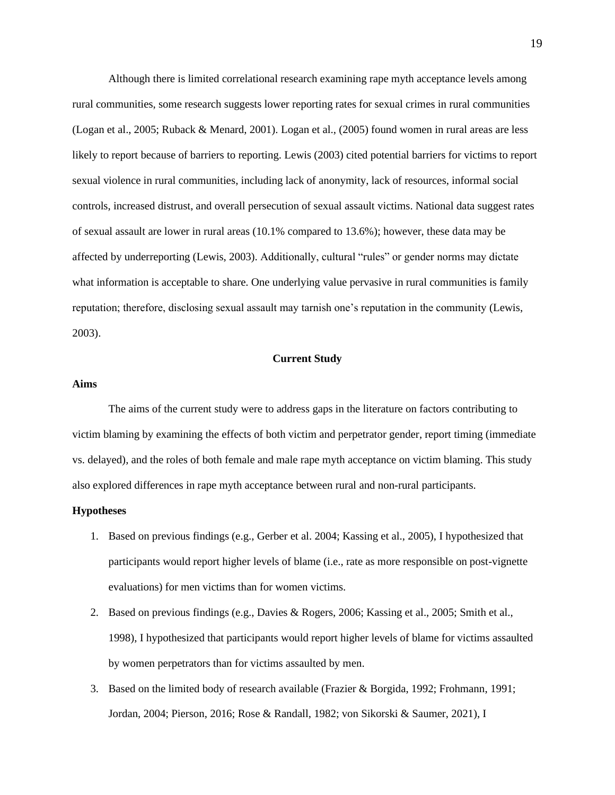Although there is limited correlational research examining rape myth acceptance levels among rural communities, some research suggests lower reporting rates for sexual crimes in rural communities (Logan et al., 2005; Ruback & Menard, 2001). Logan et al., (2005) found women in rural areas are less likely to report because of barriers to reporting. Lewis (2003) cited potential barriers for victims to report sexual violence in rural communities, including lack of anonymity, lack of resources, informal social controls, increased distrust, and overall persecution of sexual assault victims. National data suggest rates of sexual assault are lower in rural areas (10.1% compared to 13.6%); however, these data may be affected by underreporting (Lewis, 2003). Additionally, cultural "rules" or gender norms may dictate what information is acceptable to share. One underlying value pervasive in rural communities is family reputation; therefore, disclosing sexual assault may tarnish one's reputation in the community (Lewis, 2003).

# **Current Study**

## <span id="page-22-1"></span><span id="page-22-0"></span>**Aims**

The aims of the current study were to address gaps in the literature on factors contributing to victim blaming by examining the effects of both victim and perpetrator gender, report timing (immediate vs. delayed), and the roles of both female and male rape myth acceptance on victim blaming. This study also explored differences in rape myth acceptance between rural and non-rural participants.

#### <span id="page-22-2"></span>**Hypotheses**

- 1. Based on previous findings (e.g., Gerber et al. 2004; Kassing et al., 2005), I hypothesized that participants would report higher levels of blame (i.e., rate as more responsible on post-vignette evaluations) for men victims than for women victims.
- 2. Based on previous findings (e.g., Davies & Rogers, 2006; Kassing et al., 2005; Smith et al., 1998), I hypothesized that participants would report higher levels of blame for victims assaulted by women perpetrators than for victims assaulted by men.
- 3. Based on the limited body of research available (Frazier & Borgida, 1992; Frohmann, 1991; Jordan, 2004; Pierson, 2016; Rose & Randall, 1982; von Sikorski & Saumer, 2021), I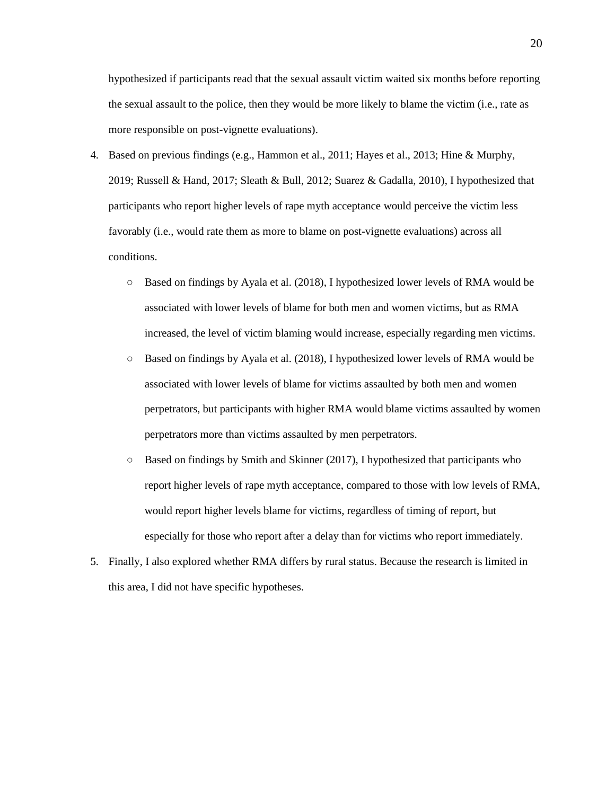hypothesized if participants read that the sexual assault victim waited six months before reporting the sexual assault to the police, then they would be more likely to blame the victim (i.e., rate as more responsible on post-vignette evaluations).

- 4. Based on previous findings (e.g., Hammon et al., 2011; Hayes et al., 2013; Hine & Murphy, 2019; Russell & Hand, 2017; Sleath & Bull, 2012; Suarez & Gadalla, 2010), I hypothesized that participants who report higher levels of rape myth acceptance would perceive the victim less favorably (i.e., would rate them as more to blame on post-vignette evaluations) across all conditions.
	- Based on findings by Ayala et al. (2018), I hypothesized lower levels of RMA would be associated with lower levels of blame for both men and women victims, but as RMA increased, the level of victim blaming would increase, especially regarding men victims.
	- Based on findings by Ayala et al. (2018), I hypothesized lower levels of RMA would be associated with lower levels of blame for victims assaulted by both men and women perpetrators, but participants with higher RMA would blame victims assaulted by women perpetrators more than victims assaulted by men perpetrators.
	- $\circ$  Based on findings by Smith and Skinner (2017), I hypothesized that participants who report higher levels of rape myth acceptance, compared to those with low levels of RMA, would report higher levels blame for victims, regardless of timing of report, but especially for those who report after a delay than for victims who report immediately.
- 5. Finally, I also explored whether RMA differs by rural status. Because the research is limited in this area, I did not have specific hypotheses.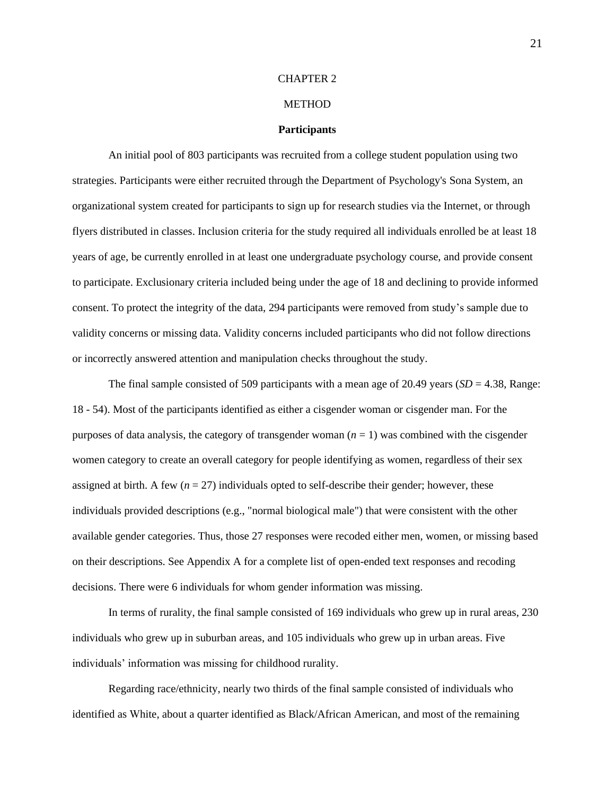#### CHAPTER 2

# METHOD

#### **Participants**

<span id="page-24-1"></span><span id="page-24-0"></span>An initial pool of 803 participants was recruited from a college student population using two strategies. Participants were either recruited through the Department of Psychology's Sona System, an organizational system created for participants to sign up for research studies via the Internet, or through flyers distributed in classes. Inclusion criteria for the study required all individuals enrolled be at least 18 years of age, be currently enrolled in at least one undergraduate psychology course, and provide consent to participate. Exclusionary criteria included being under the age of 18 and declining to provide informed consent. To protect the integrity of the data, 294 participants were removed from study's sample due to validity concerns or missing data. Validity concerns included participants who did not follow directions or incorrectly answered attention and manipulation checks throughout the study.

The final sample consisted of 509 participants with a mean age of 20.49 years  $(SD = 4.38, Range)$ : 18 - 54). Most of the participants identified as either a cisgender woman or cisgender man. For the purposes of data analysis, the category of transgender woman  $(n = 1)$  was combined with the cisgender women category to create an overall category for people identifying as women, regardless of their sex assigned at birth. A few  $(n = 27)$  individuals opted to self-describe their gender; however, these individuals provided descriptions (e.g., "normal biological male") that were consistent with the other available gender categories. Thus, those 27 responses were recoded either men, women, or missing based on their descriptions. See Appendix A for a complete list of open-ended text responses and recoding decisions. There were 6 individuals for whom gender information was missing.

In terms of rurality, the final sample consisted of 169 individuals who grew up in rural areas, 230 individuals who grew up in suburban areas, and 105 individuals who grew up in urban areas. Five individuals' information was missing for childhood rurality.

Regarding race/ethnicity, nearly two thirds of the final sample consisted of individuals who identified as White, about a quarter identified as Black/African American, and most of the remaining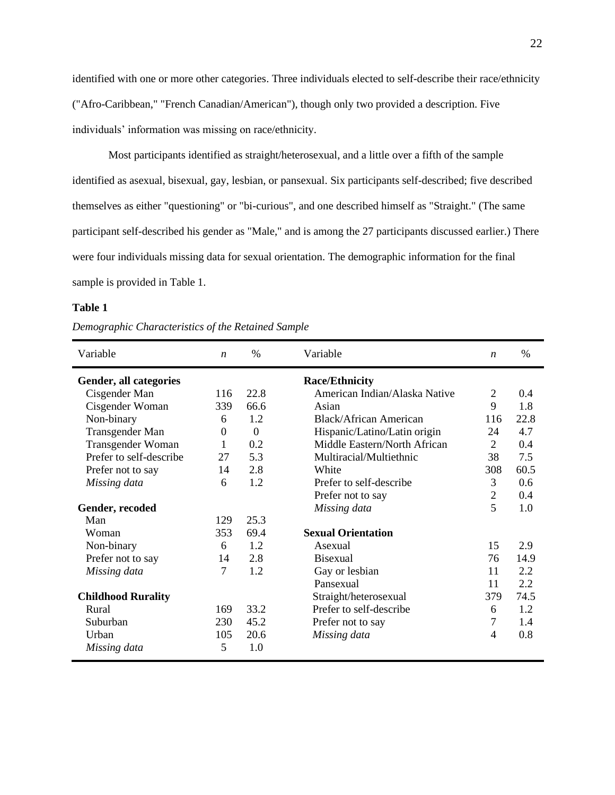identified with one or more other categories. Three individuals elected to self-describe their race/ethnicity ("Afro-Caribbean," "French Canadian/American"), though only two provided a description. Five individuals' information was missing on race/ethnicity.

Most participants identified as straight/heterosexual, and a little over a fifth of the sample identified as asexual, bisexual, gay, lesbian, or pansexual. Six participants self-described; five described themselves as either "questioning" or "bi-curious", and one described himself as "Straight." (The same participant self-described his gender as "Male," and is among the 27 participants discussed earlier.) There were four individuals missing data for sexual orientation. The demographic information for the final sample is provided in Table 1.

#### **Table 1**

*Demographic Characteristics of the Retained Sample*

| Variable                  | $\boldsymbol{n}$ | $\%$     | Variable                      | $\boldsymbol{n}$ | %    |
|---------------------------|------------------|----------|-------------------------------|------------------|------|
| Gender, all categories    |                  |          | <b>Race/Ethnicity</b>         |                  |      |
| Cisgender Man             | 116              | 22.8     | American Indian/Alaska Native | $\overline{2}$   | 0.4  |
| Cisgender Woman           | 339              | 66.6     | Asian                         | 9                | 1.8  |
| Non-binary                | 6                | 1.2      | Black/African American        | 116              | 22.8 |
| Transgender Man           | 0                | $\theta$ | Hispanic/Latino/Latin origin  | 24               | 4.7  |
| Transgender Woman         | 1                | 0.2      | Middle Eastern/North African  | $\overline{2}$   | 0.4  |
| Prefer to self-describe   | 27               | 5.3      | Multiracial/Multiethnic       | 38               | 7.5  |
| Prefer not to say         | 14               | 2.8      | White                         | 308              | 60.5 |
| Missing data              | 6                | 1.2      | Prefer to self-describe       | 3                | 0.6  |
|                           |                  |          | Prefer not to say             | $\mathfrak{2}$   | 0.4  |
| Gender, recoded           |                  |          | Missing data                  | 5                | 1.0  |
| Man                       | 129              | 25.3     |                               |                  |      |
| Woman                     | 353              | 69.4     | <b>Sexual Orientation</b>     |                  |      |
| Non-binary                | 6                | 1.2      | Asexual                       | 15               | 2.9  |
| Prefer not to say         | 14               | 2.8      | <b>Bisexual</b>               | 76               | 14.9 |
| Missing data              | 7                | 1.2      | Gay or lesbian                | 11               | 2.2  |
|                           |                  |          | Pansexual                     | 11               | 2.2  |
| <b>Childhood Rurality</b> |                  |          | Straight/heterosexual         | 379              | 74.5 |
| Rural                     | 169              | 33.2     | Prefer to self-describe       | 6                | 1.2  |
| Suburban                  | 230              | 45.2     | Prefer not to say             | 7                | 1.4  |
| Urban                     | 105              | 20.6     | Missing data                  | $\overline{4}$   | 0.8  |
| Missing data              | 5                | 1.0      |                               |                  |      |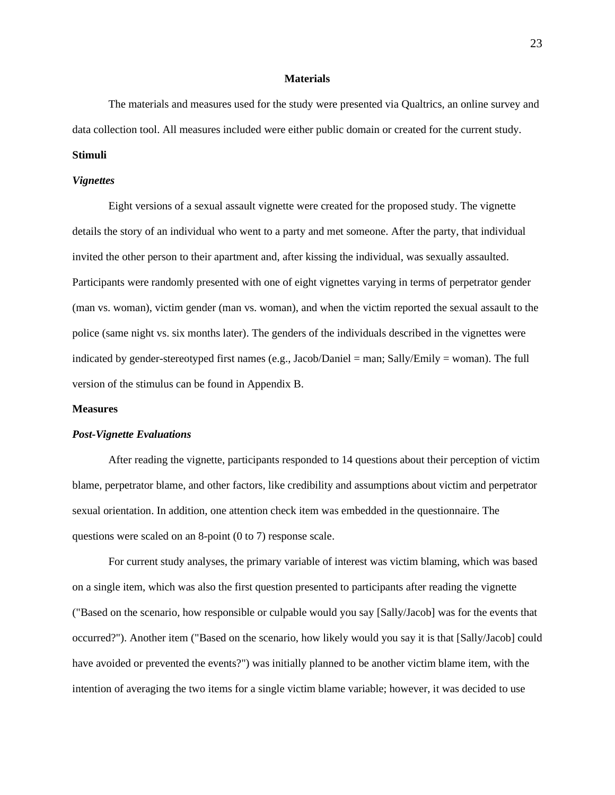#### **Materials**

<span id="page-26-0"></span>The materials and measures used for the study were presented via Qualtrics, an online survey and data collection tool. All measures included were either public domain or created for the current study.

# **Stimuli**

#### *Vignettes*

Eight versions of a sexual assault vignette were created for the proposed study. The vignette details the story of an individual who went to a party and met someone. After the party, that individual invited the other person to their apartment and, after kissing the individual, was sexually assaulted. Participants were randomly presented with one of eight vignettes varying in terms of perpetrator gender (man vs. woman), victim gender (man vs. woman), and when the victim reported the sexual assault to the police (same night vs. six months later). The genders of the individuals described in the vignettes were indicated by gender-stereotyped first names (e.g., Jacob/Daniel = man; Sally/Emily = woman). The full version of the stimulus can be found in Appendix B.

# **Measures**

#### *Post-Vignette Evaluations*

After reading the vignette, participants responded to 14 questions about their perception of victim blame, perpetrator blame, and other factors, like credibility and assumptions about victim and perpetrator sexual orientation. In addition, one attention check item was embedded in the questionnaire. The questions were scaled on an 8-point (0 to 7) response scale.

For current study analyses, the primary variable of interest was victim blaming, which was based on a single item, which was also the first question presented to participants after reading the vignette ("Based on the scenario, how responsible or culpable would you say [Sally/Jacob] was for the events that occurred?"). Another item ("Based on the scenario, how likely would you say it is that [Sally/Jacob] could have avoided or prevented the events?") was initially planned to be another victim blame item, with the intention of averaging the two items for a single victim blame variable; however, it was decided to use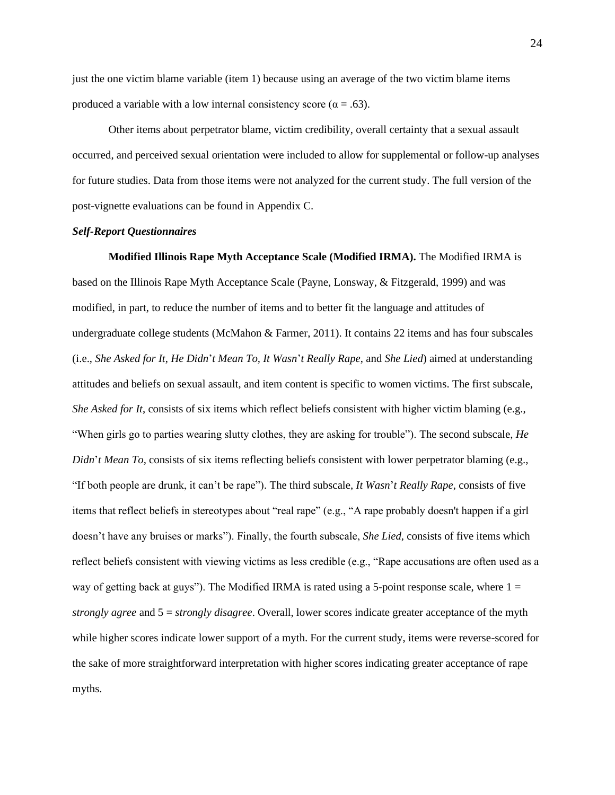just the one victim blame variable (item 1) because using an average of the two victim blame items produced a variable with a low internal consistency score ( $\alpha = .63$ ).

Other items about perpetrator blame, victim credibility, overall certainty that a sexual assault occurred, and perceived sexual orientation were included to allow for supplemental or follow-up analyses for future studies. Data from those items were not analyzed for the current study. The full version of the post-vignette evaluations can be found in Appendix C.

## *Self-Report Questionnaires*

**Modified Illinois Rape Myth Acceptance Scale (Modified IRMA).** The Modified IRMA is based on the Illinois Rape Myth Acceptance Scale (Payne, Lonsway, & Fitzgerald, 1999) and was modified, in part, to reduce the number of items and to better fit the language and attitudes of undergraduate college students (McMahon & Farmer, 2011). It contains 22 items and has four subscales (i.e., *She Asked for It*, *He Didn*'*t Mean To, It Wasn*'*t Really Rape*, and *She Lied*) aimed at understanding attitudes and beliefs on sexual assault, and item content is specific to women victims. The first subscale, *She Asked for It*, consists of six items which reflect beliefs consistent with higher victim blaming (e.g., "When girls go to parties wearing slutty clothes, they are asking for trouble"). The second subscale, *He Didn't Mean To, consists of six items reflecting beliefs consistent with lower perpetrator blaming (e.g.,* "If both people are drunk, it can't be rape"). The third subscale, *It Wasn*'*t Really Rape*, consists of five items that reflect beliefs in stereotypes about "real rape" (e.g., "A rape probably doesn't happen if a girl doesn't have any bruises or marks"). Finally, the fourth subscale, *She Lied*, consists of five items which reflect beliefs consistent with viewing victims as less credible (e.g., "Rape accusations are often used as a way of getting back at guys"). The Modified IRMA is rated using a 5-point response scale, where  $1 =$ *strongly agree* and 5 = *strongly disagree*. Overall, lower scores indicate greater acceptance of the myth while higher scores indicate lower support of a myth. For the current study, items were reverse-scored for the sake of more straightforward interpretation with higher scores indicating greater acceptance of rape myths.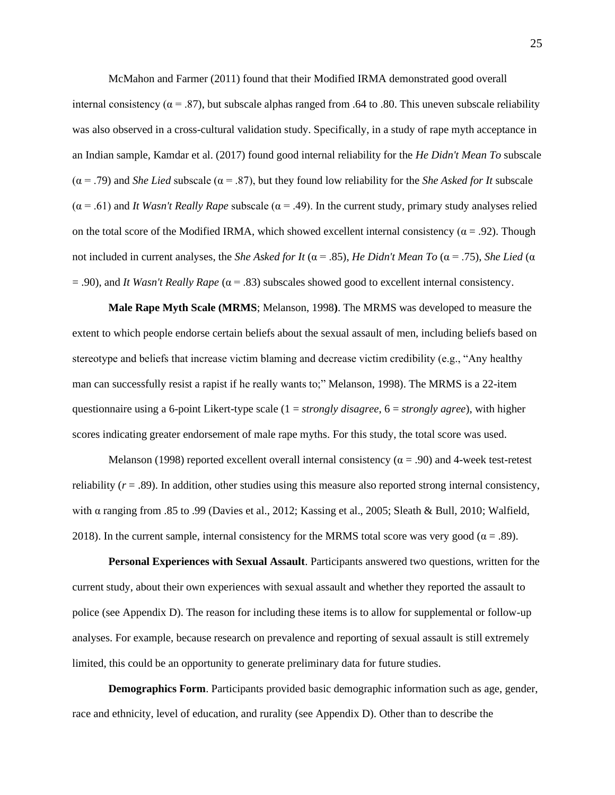McMahon and Farmer (2011) found that their Modified IRMA demonstrated good overall internal consistency ( $\alpha$  = .87), but subscale alphas ranged from .64 to .80. This uneven subscale reliability was also observed in a cross-cultural validation study. Specifically, in a study of rape myth acceptance in an Indian sample, Kamdar et al. (2017) found good internal reliability for the *He Didn't Mean To* subscale (α = .79) and *She Lied* subscale (α = .87), but they found low reliability for the *She Asked for It* subscale  $(\alpha = .61)$  and *It Wasn't Really Rape* subscale ( $\alpha = .49$ ). In the current study, primary study analyses relied on the total score of the Modified IRMA, which showed excellent internal consistency ( $\alpha$  = .92). Though not included in current analyses, the *She Asked for It* (α = .85), *He Didn't Mean To* (α = .75), *She Lied* (α  $=$  .90), and *It Wasn't Really Rape* ( $\alpha$  = .83) subscales showed good to excellent internal consistency.

**Male Rape Myth Scale (MRMS**; Melanson, 1998**)**. The MRMS was developed to measure the extent to which people endorse certain beliefs about the sexual assault of men, including beliefs based on stereotype and beliefs that increase victim blaming and decrease victim credibility (e.g., "Any healthy man can successfully resist a rapist if he really wants to;" Melanson, 1998). The MRMS is a 22-item questionnaire using a 6-point Likert-type scale (1 = *strongly disagree*, 6 = *strongly agree*), with higher scores indicating greater endorsement of male rape myths. For this study, the total score was used.

Melanson (1998) reported excellent overall internal consistency ( $\alpha$  = .90) and 4-week test-retest reliability  $(r = .89)$ . In addition, other studies using this measure also reported strong internal consistency, with α ranging from .85 to .99 (Davies et al., 2012; Kassing et al., 2005; Sleath & Bull, 2010; Walfield, 2018). In the current sample, internal consistency for the MRMS total score was very good ( $\alpha = .89$ ).

**Personal Experiences with Sexual Assault**. Participants answered two questions, written for the current study, about their own experiences with sexual assault and whether they reported the assault to police (see Appendix D). The reason for including these items is to allow for supplemental or follow-up analyses. For example, because research on prevalence and reporting of sexual assault is still extremely limited, this could be an opportunity to generate preliminary data for future studies.

**Demographics Form**. Participants provided basic demographic information such as age, gender, race and ethnicity, level of education, and rurality (see Appendix D). Other than to describe the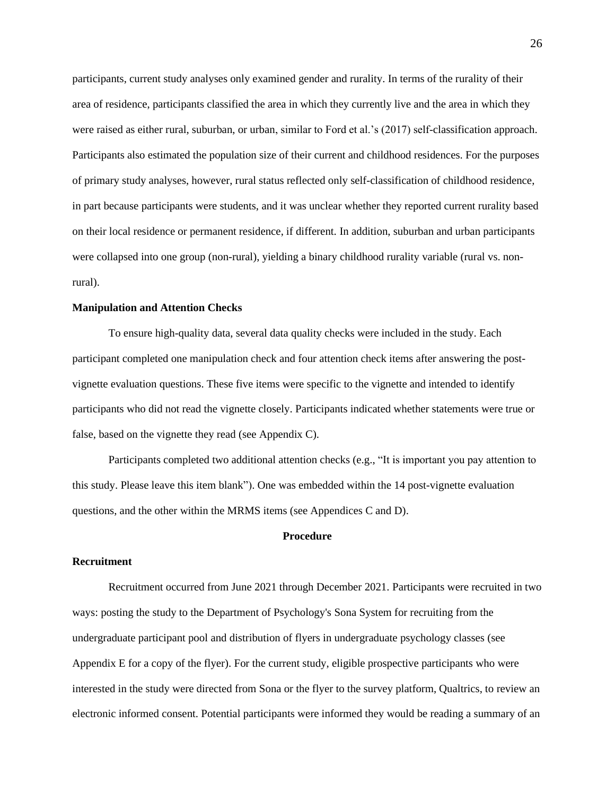participants, current study analyses only examined gender and rurality. In terms of the rurality of their area of residence, participants classified the area in which they currently live and the area in which they were raised as either rural, suburban, or urban, similar to Ford et al.'s (2017) self-classification approach. Participants also estimated the population size of their current and childhood residences. For the purposes of primary study analyses, however, rural status reflected only self-classification of childhood residence, in part because participants were students, and it was unclear whether they reported current rurality based on their local residence or permanent residence, if different. In addition, suburban and urban participants were collapsed into one group (non-rural), yielding a binary childhood rurality variable (rural vs. nonrural).

#### **Manipulation and Attention Checks**

To ensure high-quality data, several data quality checks were included in the study. Each participant completed one manipulation check and four attention check items after answering the postvignette evaluation questions. These five items were specific to the vignette and intended to identify participants who did not read the vignette closely. Participants indicated whether statements were true or false, based on the vignette they read (see Appendix C).

Participants completed two additional attention checks (e.g., "It is important you pay attention to this study. Please leave this item blank"). One was embedded within the 14 post-vignette evaluation questions, and the other within the MRMS items (see Appendices C and D).

# **Procedure**

#### <span id="page-29-0"></span>**Recruitment**

Recruitment occurred from June 2021 through December 2021. Participants were recruited in two ways: posting the study to the Department of Psychology's Sona System for recruiting from the undergraduate participant pool and distribution of flyers in undergraduate psychology classes (see Appendix E for a copy of the flyer). For the current study, eligible prospective participants who were interested in the study were directed from Sona or the flyer to the survey platform, Qualtrics, to review an electronic informed consent. Potential participants were informed they would be reading a summary of an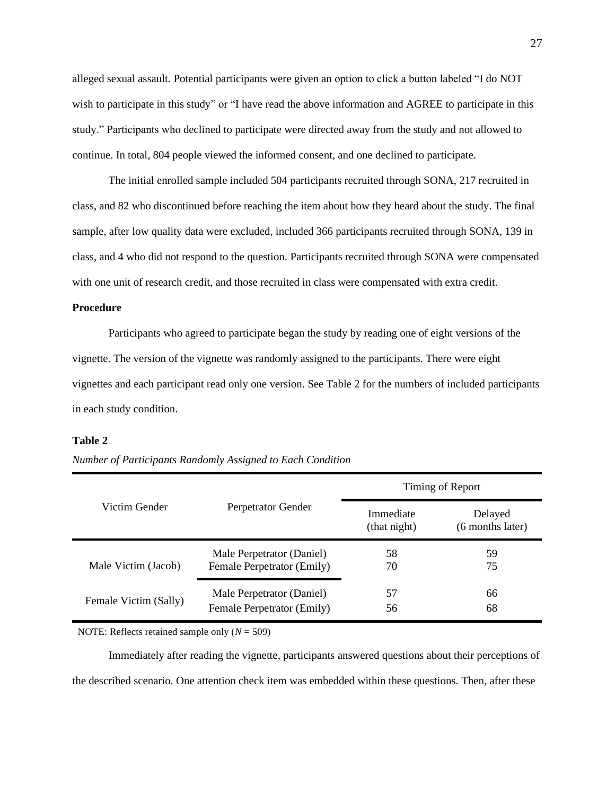alleged sexual assault. Potential participants were given an option to click a button labeled "I do NOT wish to participate in this study" or "I have read the above information and AGREE to participate in this study." Participants who declined to participate were directed away from the study and not allowed to continue. In total, 804 people viewed the informed consent, and one declined to participate.

The initial enrolled sample included 504 participants recruited through SONA, 217 recruited in class, and 82 who discontinued before reaching the item about how they heard about the study. The final sample, after low quality data were excluded, included 366 participants recruited through SONA, 139 in class, and 4 who did not respond to the question. Participants recruited through SONA were compensated with one unit of research credit, and those recruited in class were compensated with extra credit.

#### **Procedure**

Participants who agreed to participate began the study by reading one of eight versions of the vignette. The version of the vignette was randomly assigned to the participants. There were eight vignettes and each participant read only one version. See Table 2 for the numbers of included participants in each study condition.

#### **Table 2**

|                       | Perpetrator Gender         | Timing of Report          |                             |  |  |
|-----------------------|----------------------------|---------------------------|-----------------------------|--|--|
| Victim Gender         |                            | Immediate<br>(that night) | Delayed<br>(6 months later) |  |  |
| Male Victim (Jacob)   | Male Perpetrator (Daniel)  | 58                        | 59                          |  |  |
|                       | Female Perpetrator (Emily) | 70                        | 75                          |  |  |
| Female Victim (Sally) | Male Perpetrator (Daniel)  | 57                        | 66                          |  |  |
|                       | Female Perpetrator (Emily) | 56                        | 68                          |  |  |

*Number of Participants Randomly Assigned to Each Condition*

NOTE: Reflects retained sample only (*N* = 509)

Immediately after reading the vignette, participants answered questions about their perceptions of the described scenario. One attention check item was embedded within these questions. Then, after these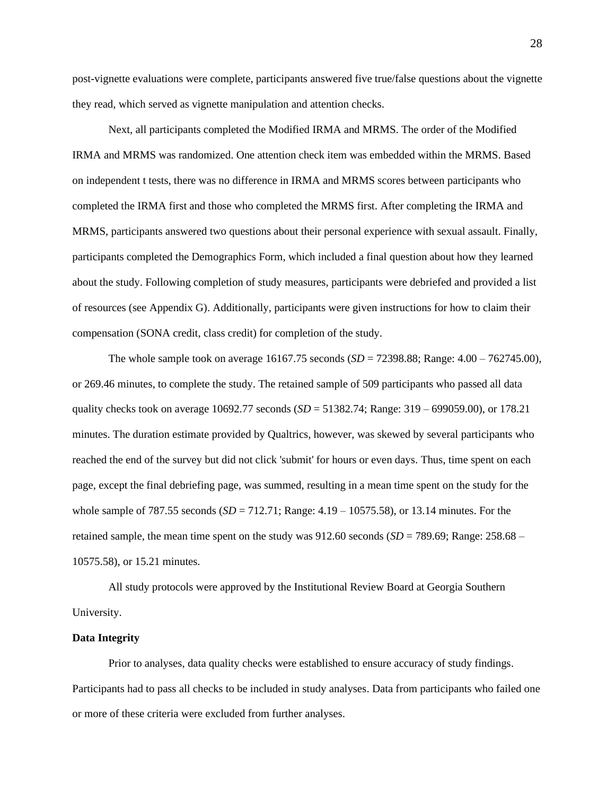post-vignette evaluations were complete, participants answered five true/false questions about the vignette they read, which served as vignette manipulation and attention checks.

Next, all participants completed the Modified IRMA and MRMS. The order of the Modified IRMA and MRMS was randomized. One attention check item was embedded within the MRMS. Based on independent t tests, there was no difference in IRMA and MRMS scores between participants who completed the IRMA first and those who completed the MRMS first. After completing the IRMA and MRMS, participants answered two questions about their personal experience with sexual assault. Finally, participants completed the Demographics Form, which included a final question about how they learned about the study. Following completion of study measures, participants were debriefed and provided a list of resources (see Appendix G). Additionally, participants were given instructions for how to claim their compensation (SONA credit, class credit) for completion of the study.

The whole sample took on average 16167.75 seconds (*SD* = 72398.88; Range: 4.00 – 762745.00), or 269.46 minutes, to complete the study. The retained sample of 509 participants who passed all data quality checks took on average 10692.77 seconds (*SD* = 51382.74; Range: 319 – 699059.00), or 178.21 minutes. The duration estimate provided by Qualtrics, however, was skewed by several participants who reached the end of the survey but did not click 'submit' for hours or even days. Thus, time spent on each page, except the final debriefing page, was summed, resulting in a mean time spent on the study for the whole sample of 787.55 seconds (*SD* = 712.71; Range: 4.19 – 10575.58), or 13.14 minutes. For the retained sample, the mean time spent on the study was 912.60 seconds (*SD* = 789.69; Range: 258.68 – 10575.58), or 15.21 minutes.

All study protocols were approved by the Institutional Review Board at Georgia Southern University.

## **Data Integrity**

Prior to analyses, data quality checks were established to ensure accuracy of study findings. Participants had to pass all checks to be included in study analyses. Data from participants who failed one or more of these criteria were excluded from further analyses.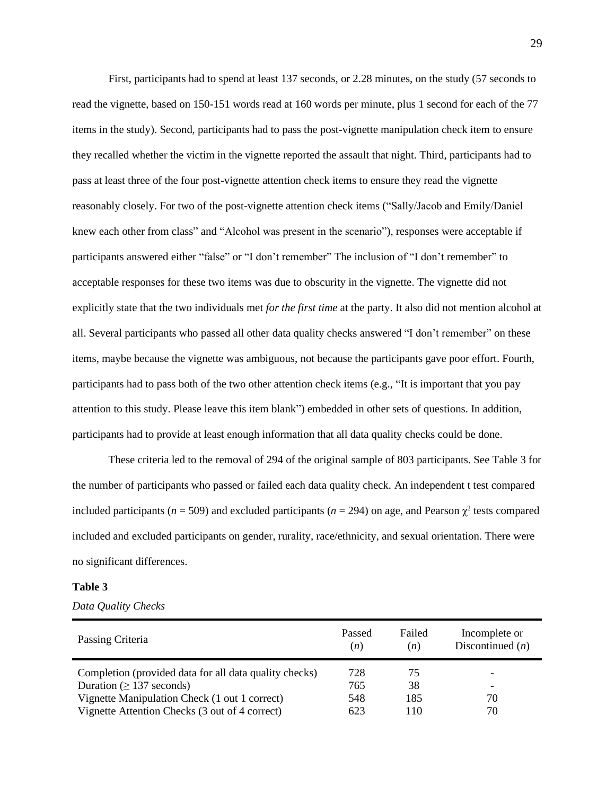First, participants had to spend at least 137 seconds, or 2.28 minutes, on the study (57 seconds to read the vignette, based on 150-151 words read at 160 words per minute, plus 1 second for each of the 77 items in the study). Second, participants had to pass the post-vignette manipulation check item to ensure they recalled whether the victim in the vignette reported the assault that night. Third, participants had to pass at least three of the four post-vignette attention check items to ensure they read the vignette reasonably closely. For two of the post-vignette attention check items ("Sally/Jacob and Emily/Daniel knew each other from class" and "Alcohol was present in the scenario"), responses were acceptable if participants answered either "false" or "I don't remember" The inclusion of "I don't remember" to acceptable responses for these two items was due to obscurity in the vignette. The vignette did not explicitly state that the two individuals met *for the first time* at the party. It also did not mention alcohol at all. Several participants who passed all other data quality checks answered "I don't remember" on these items, maybe because the vignette was ambiguous, not because the participants gave poor effort. Fourth, participants had to pass both of the two other attention check items (e.g., "It is important that you pay attention to this study. Please leave this item blank") embedded in other sets of questions. In addition, participants had to provide at least enough information that all data quality checks could be done.

These criteria led to the removal of 294 of the original sample of 803 participants. See Table 3 for the number of participants who passed or failed each data quality check. An independent t test compared included participants ( $n = 509$ ) and excluded participants ( $n = 294$ ) on age, and Pearson  $\chi^2$  tests compared included and excluded participants on gender, rurality, race/ethnicity, and sexual orientation. There were no significant differences.

# **Table 3**

| Passing Criteria                                       | Passed<br>(n) | Failed<br>(n) | Incomplete or<br>Discontinued $(n)$ |
|--------------------------------------------------------|---------------|---------------|-------------------------------------|
| Completion (provided data for all data quality checks) | 728           | 75            | $\overline{\phantom{a}}$            |
| Duration ( $\geq$ 137 seconds)                         | 765           | 38            | $\overline{\phantom{0}}$            |
| Vignette Manipulation Check (1 out 1 correct)          | 548           | 185           | 70                                  |
| Vignette Attention Checks (3 out of 4 correct)         | 623           | 110           | 70                                  |

*Data Quality Checks*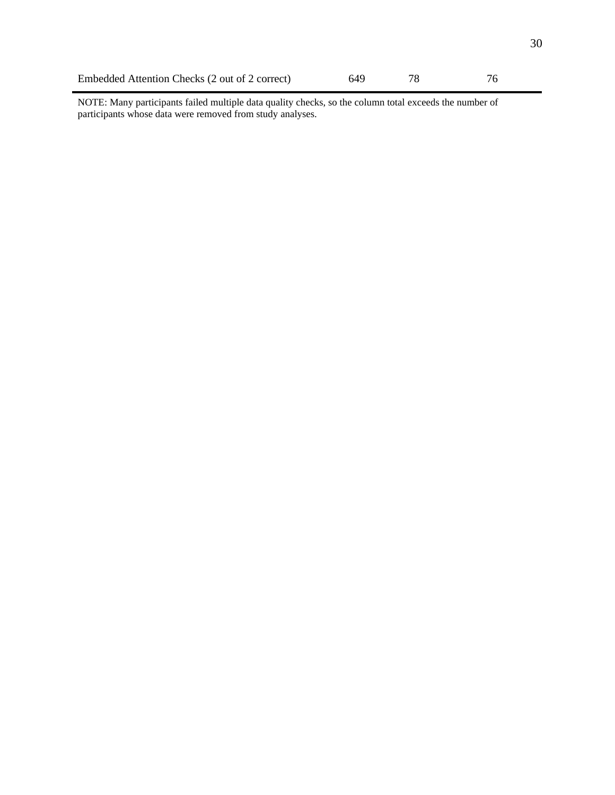| Embedded Attention Checks (2 out of 2 correct) |  |  |
|------------------------------------------------|--|--|
|                                                |  |  |

NOTE: Many participants failed multiple data quality checks, so the column total exceeds the number of participants whose data were removed from study analyses.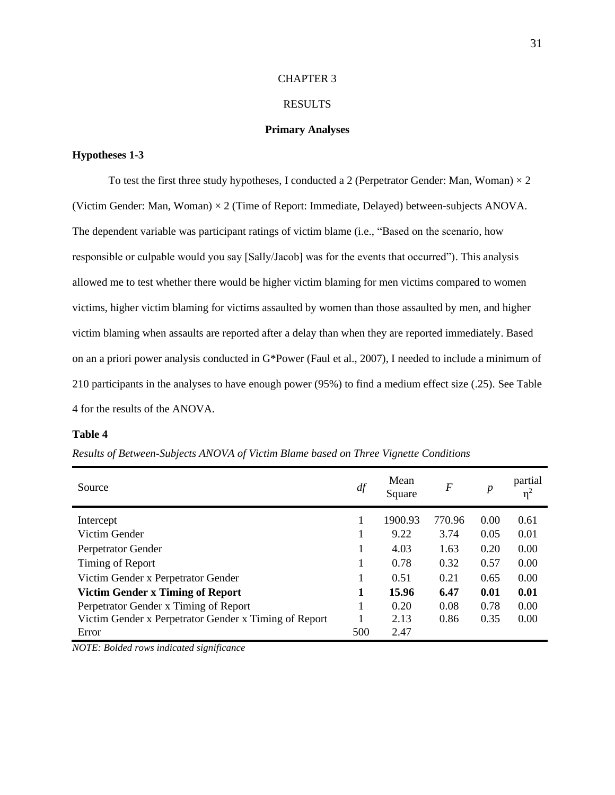#### CHAPTER 3

## RESULTS

#### **Primary Analyses**

# <span id="page-34-1"></span><span id="page-34-0"></span>**Hypotheses 1-3**

To test the first three study hypotheses, I conducted a 2 (Perpetrator Gender: Man, Woman)  $\times$  2 (Victim Gender: Man, Woman)  $\times$  2 (Time of Report: Immediate, Delayed) between-subjects ANOVA. The dependent variable was participant ratings of victim blame (i.e., "Based on the scenario, how responsible or culpable would you say [Sally/Jacob] was for the events that occurred"). This analysis allowed me to test whether there would be higher victim blaming for men victims compared to women victims, higher victim blaming for victims assaulted by women than those assaulted by men, and higher victim blaming when assaults are reported after a delay than when they are reported immediately. Based on an a priori power analysis conducted in G\*Power (Faul et al., 2007), I needed to include a minimum of 210 participants in the analyses to have enough power (95%) to find a medium effect size (.25). See Table 4 for the results of the ANOVA.

#### **Table 4**

| Source                                                | df  | Mean<br>Square | $\boldsymbol{F}$ | $\boldsymbol{p}$ | partial<br>$\eta^2$ |
|-------------------------------------------------------|-----|----------------|------------------|------------------|---------------------|
| Intercept                                             |     | 1900.93        | 770.96           | 0.00             | 0.61                |
| Victim Gender                                         | 1   | 9.22           | 3.74             | 0.05             | 0.01                |
| Perpetrator Gender                                    |     | 4.03           | 1.63             | 0.20             | 0.00                |
| Timing of Report                                      |     | 0.78           | 0.32             | 0.57             | 0.00                |
| Victim Gender x Perpetrator Gender                    | 1   | 0.51           | 0.21             | 0.65             | 0.00                |
| Victim Gender x Timing of Report                      | 1   | 15.96          | 6.47             | 0.01             | 0.01                |
| Perpetrator Gender x Timing of Report                 | 1   | 0.20           | 0.08             | 0.78             | 0.00                |
| Victim Gender x Perpetrator Gender x Timing of Report |     | 2.13           | 0.86             | 0.35             | 0.00                |
| Error                                                 | 500 | 2.47           |                  |                  |                     |

*Results of Between-Subjects ANOVA of Victim Blame based on Three Vignette Conditions*

*NOTE: Bolded rows indicated significance*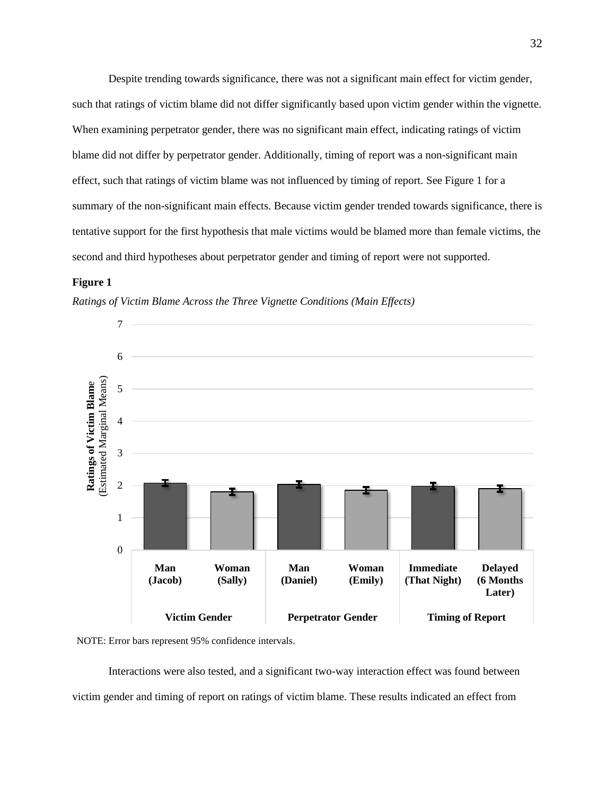Despite trending towards significance, there was not a significant main effect for victim gender, such that ratings of victim blame did not differ significantly based upon victim gender within the vignette. When examining perpetrator gender, there was no significant main effect, indicating ratings of victim blame did not differ by perpetrator gender. Additionally, timing of report was a non-significant main effect, such that ratings of victim blame was not influenced by timing of report. See Figure 1 for a summary of the non-significant main effects. Because victim gender trended towards significance, there is tentative support for the first hypothesis that male victims would be blamed more than female victims, the second and third hypotheses about perpetrator gender and timing of report were not supported.

# **Figure 1**







Interactions were also tested, and a significant two-way interaction effect was found between victim gender and timing of report on ratings of victim blame. These results indicated an effect from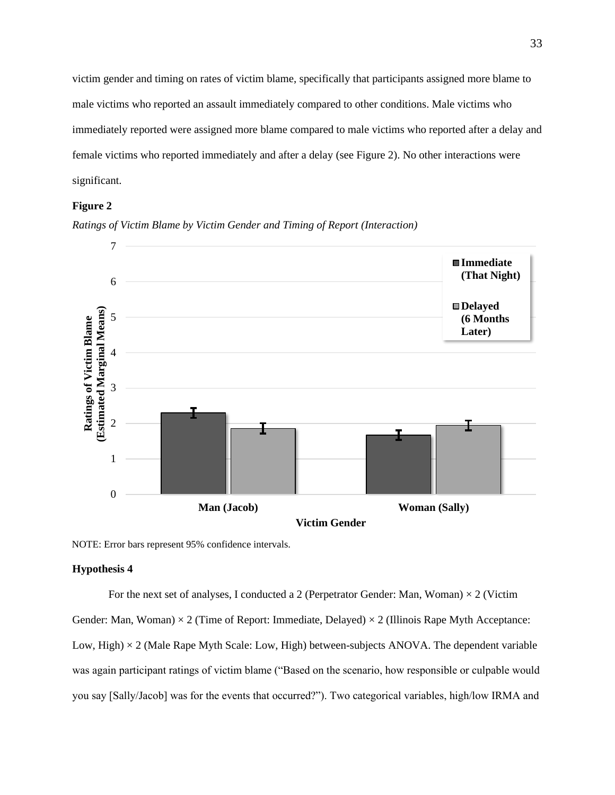victim gender and timing on rates of victim blame, specifically that participants assigned more blame to male victims who reported an assault immediately compared to other conditions. Male victims who immediately reported were assigned more blame compared to male victims who reported after a delay and female victims who reported immediately and after a delay (see Figure 2). No other interactions were significant.

# **Figure 2**





NOTE: Error bars represent 95% confidence intervals.

#### **Hypothesis 4**

For the next set of analyses, I conducted a 2 (Perpetrator Gender: Man, Woman)  $\times$  2 (Victim

Gender: Man, Woman)  $\times$  2 (Time of Report: Immediate, Delayed)  $\times$  2 (Illinois Rape Myth Acceptance: Low, High) × 2 (Male Rape Myth Scale: Low, High) between-subjects ANOVA. The dependent variable was again participant ratings of victim blame ("Based on the scenario, how responsible or culpable would you say [Sally/Jacob] was for the events that occurred?"). Two categorical variables, high/low IRMA and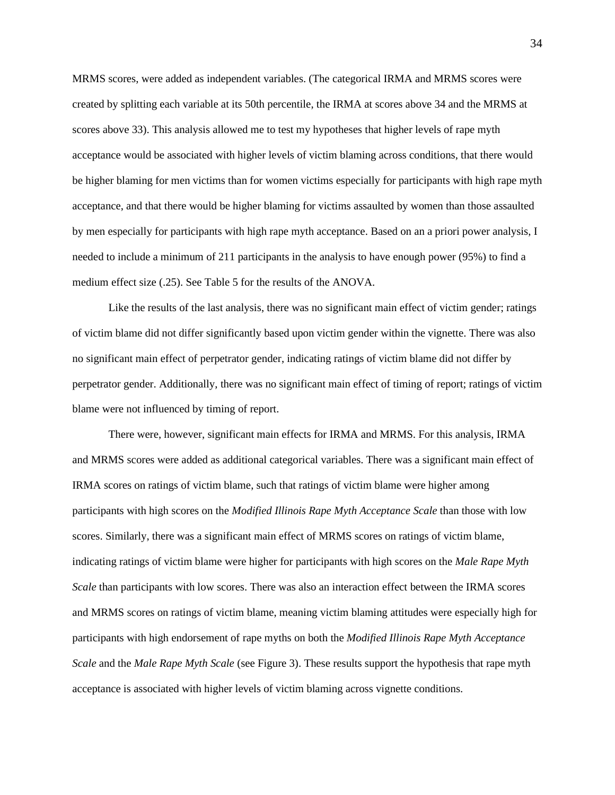MRMS scores, were added as independent variables. (The categorical IRMA and MRMS scores were created by splitting each variable at its 50th percentile, the IRMA at scores above 34 and the MRMS at scores above 33). This analysis allowed me to test my hypotheses that higher levels of rape myth acceptance would be associated with higher levels of victim blaming across conditions, that there would be higher blaming for men victims than for women victims especially for participants with high rape myth acceptance, and that there would be higher blaming for victims assaulted by women than those assaulted by men especially for participants with high rape myth acceptance. Based on an a priori power analysis, I needed to include a minimum of 211 participants in the analysis to have enough power (95%) to find a medium effect size (.25). See Table 5 for the results of the ANOVA.

Like the results of the last analysis, there was no significant main effect of victim gender; ratings of victim blame did not differ significantly based upon victim gender within the vignette. There was also no significant main effect of perpetrator gender, indicating ratings of victim blame did not differ by perpetrator gender. Additionally, there was no significant main effect of timing of report; ratings of victim blame were not influenced by timing of report.

There were, however, significant main effects for IRMA and MRMS. For this analysis, IRMA and MRMS scores were added as additional categorical variables. There was a significant main effect of IRMA scores on ratings of victim blame, such that ratings of victim blame were higher among participants with high scores on the *Modified Illinois Rape Myth Acceptance Scale* than those with low scores. Similarly, there was a significant main effect of MRMS scores on ratings of victim blame, indicating ratings of victim blame were higher for participants with high scores on the *Male Rape Myth Scale* than participants with low scores. There was also an interaction effect between the IRMA scores and MRMS scores on ratings of victim blame, meaning victim blaming attitudes were especially high for participants with high endorsement of rape myths on both the *Modified Illinois Rape Myth Acceptance Scale* and the *Male Rape Myth Scale* (see Figure 3). These results support the hypothesis that rape myth acceptance is associated with higher levels of victim blaming across vignette conditions.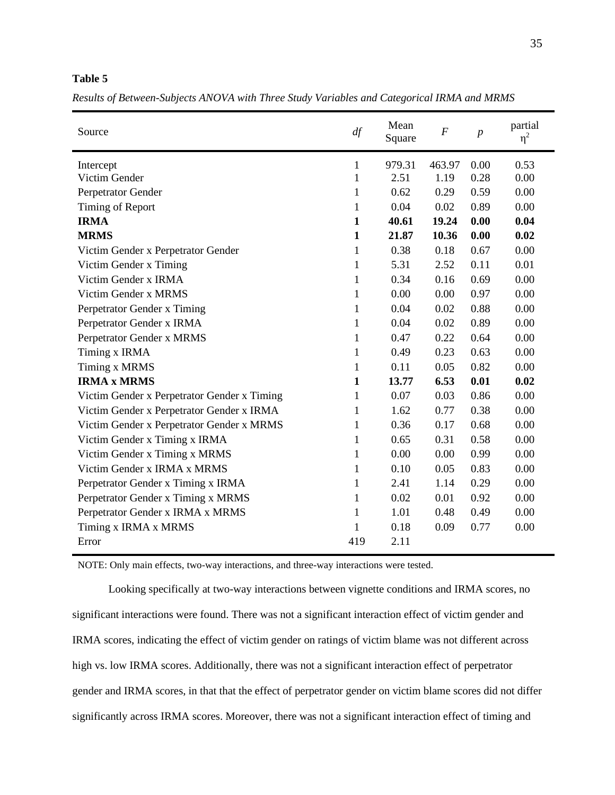*Results of Between-Subjects ANOVA with Three Study Variables and Categorical IRMA and MRMS*

| Source                                      | df           | Mean<br>Square | $\boldsymbol{F}$ | $\boldsymbol{p}$ | partial<br>$\eta^2$ |
|---------------------------------------------|--------------|----------------|------------------|------------------|---------------------|
| Intercept                                   | 1            | 979.31         | 463.97           | 0.00             | 0.53                |
| Victim Gender                               | 1            | 2.51           | 1.19             | 0.28             | 0.00                |
| Perpetrator Gender                          | 1            | 0.62           | 0.29             | 0.59             | 0.00                |
| Timing of Report                            | 1            | 0.04           | 0.02             | 0.89             | 0.00                |
| <b>IRMA</b>                                 | $\mathbf{1}$ | 40.61          | 19.24            | 0.00             | 0.04                |
| <b>MRMS</b>                                 | $\mathbf{1}$ | 21.87          | 10.36            | 0.00             | 0.02                |
| Victim Gender x Perpetrator Gender          | $\mathbf{1}$ | 0.38           | 0.18             | 0.67             | 0.00                |
| Victim Gender x Timing                      | 1            | 5.31           | 2.52             | 0.11             | 0.01                |
| Victim Gender x IRMA                        | $\mathbf{1}$ | 0.34           | 0.16             | 0.69             | 0.00                |
| Victim Gender x MRMS                        | 1            | 0.00           | 0.00             | 0.97             | 0.00                |
| Perpetrator Gender x Timing                 | 1            | 0.04           | 0.02             | 0.88             | 0.00                |
| Perpetrator Gender x IRMA                   | 1            | 0.04           | 0.02             | 0.89             | 0.00                |
| Perpetrator Gender x MRMS                   | 1            | 0.47           | 0.22             | 0.64             | 0.00                |
| Timing x IRMA                               | 1            | 0.49           | 0.23             | 0.63             | 0.00                |
| <b>Timing x MRMS</b>                        | 1            | 0.11           | 0.05             | 0.82             | 0.00                |
| <b>IRMA x MRMS</b>                          | $\mathbf{1}$ | 13.77          | 6.53             | 0.01             | 0.02                |
| Victim Gender x Perpetrator Gender x Timing | 1            | 0.07           | 0.03             | 0.86             | 0.00                |
| Victim Gender x Perpetrator Gender x IRMA   | 1            | 1.62           | 0.77             | 0.38             | 0.00                |
| Victim Gender x Perpetrator Gender x MRMS   | 1            | 0.36           | 0.17             | 0.68             | 0.00                |
| Victim Gender x Timing x IRMA               | 1            | 0.65           | 0.31             | 0.58             | 0.00                |
| Victim Gender x Timing x MRMS               | $\mathbf{1}$ | 0.00           | 0.00             | 0.99             | 0.00                |
| Victim Gender x IRMA x MRMS                 | $\mathbf{1}$ | 0.10           | 0.05             | 0.83             | 0.00                |
| Perpetrator Gender x Timing x IRMA          | 1            | 2.41           | 1.14             | 0.29             | 0.00                |
| Perpetrator Gender x Timing x MRMS          | 1            | 0.02           | 0.01             | 0.92             | 0.00                |
| Perpetrator Gender x IRMA x MRMS            | $\mathbf{1}$ | 1.01           | 0.48             | 0.49             | 0.00                |
| Timing x IRMA x MRMS                        | 1            | 0.18           | 0.09             | 0.77             | 0.00                |
| Error                                       | 419          | 2.11           |                  |                  |                     |

NOTE: Only main effects, two-way interactions, and three-way interactions were tested.

Looking specifically at two-way interactions between vignette conditions and IRMA scores, no significant interactions were found. There was not a significant interaction effect of victim gender and IRMA scores, indicating the effect of victim gender on ratings of victim blame was not different across high vs. low IRMA scores. Additionally, there was not a significant interaction effect of perpetrator gender and IRMA scores, in that that the effect of perpetrator gender on victim blame scores did not differ significantly across IRMA scores. Moreover, there was not a significant interaction effect of timing and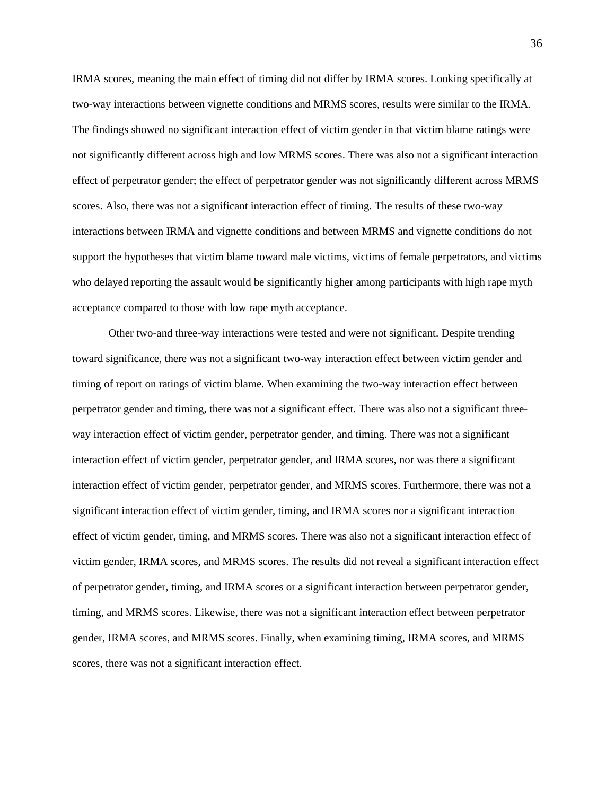IRMA scores, meaning the main effect of timing did not differ by IRMA scores. Looking specifically at two-way interactions between vignette conditions and MRMS scores, results were similar to the IRMA. The findings showed no significant interaction effect of victim gender in that victim blame ratings were not significantly different across high and low MRMS scores. There was also not a significant interaction effect of perpetrator gender; the effect of perpetrator gender was not significantly different across MRMS scores. Also, there was not a significant interaction effect of timing. The results of these two-way interactions between IRMA and vignette conditions and between MRMS and vignette conditions do not support the hypotheses that victim blame toward male victims, victims of female perpetrators, and victims who delayed reporting the assault would be significantly higher among participants with high rape myth acceptance compared to those with low rape myth acceptance.

Other two-and three-way interactions were tested and were not significant. Despite trending toward significance, there was not a significant two-way interaction effect between victim gender and timing of report on ratings of victim blame. When examining the two-way interaction effect between perpetrator gender and timing, there was not a significant effect. There was also not a significant threeway interaction effect of victim gender, perpetrator gender, and timing. There was not a significant interaction effect of victim gender, perpetrator gender, and IRMA scores, nor was there a significant interaction effect of victim gender, perpetrator gender, and MRMS scores. Furthermore, there was not a significant interaction effect of victim gender, timing, and IRMA scores nor a significant interaction effect of victim gender, timing, and MRMS scores. There was also not a significant interaction effect of victim gender, IRMA scores, and MRMS scores. The results did not reveal a significant interaction effect of perpetrator gender, timing, and IRMA scores or a significant interaction between perpetrator gender, timing, and MRMS scores. Likewise, there was not a significant interaction effect between perpetrator gender, IRMA scores, and MRMS scores. Finally, when examining timing, IRMA scores, and MRMS scores, there was not a significant interaction effect.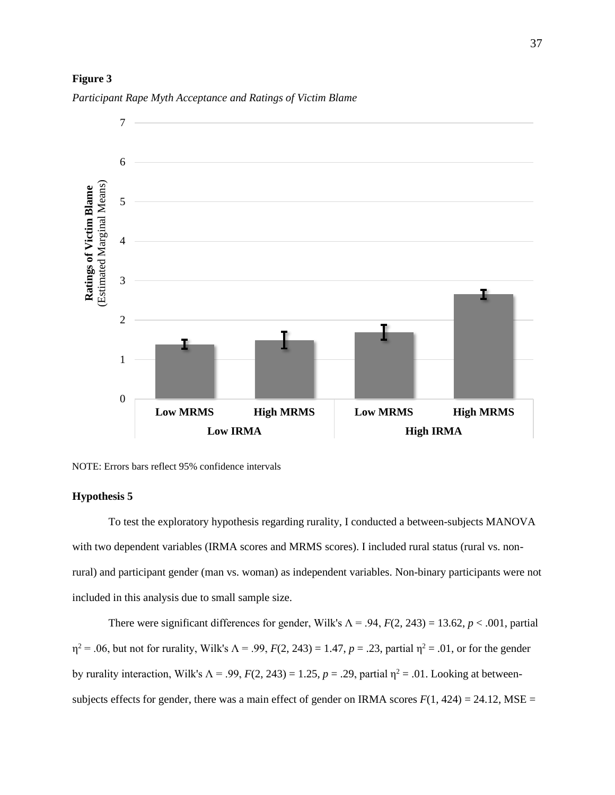#### **Figure 3**



*Participant Rape Myth Acceptance and Ratings of Victim Blame*

NOTE: Errors bars reflect 95% confidence intervals

#### **Hypothesis 5**

To test the exploratory hypothesis regarding rurality, I conducted a between-subjects MANOVA with two dependent variables (IRMA scores and MRMS scores). I included rural status (rural vs. nonrural) and participant gender (man vs. woman) as independent variables. Non-binary participants were not included in this analysis due to small sample size.

There were significant differences for gender, Wilk's  $\Lambda = .94$ ,  $F(2, 243) = 13.62$ ,  $p < .001$ , partial  $\eta^2$  = .06, but not for rurality, Wilk's  $\Lambda$  = .99,  $F(2, 243)$  = 1.47,  $p = .23$ , partial  $\eta^2$  = .01, or for the gender by rurality interaction, Wilk's  $\Lambda = .99$ ,  $F(2, 243) = 1.25$ ,  $p = .29$ , partial  $\eta^2 = .01$ . Looking at betweensubjects effects for gender, there was a main effect of gender on IRMA scores  $F(1, 424) = 24.12$ , MSE =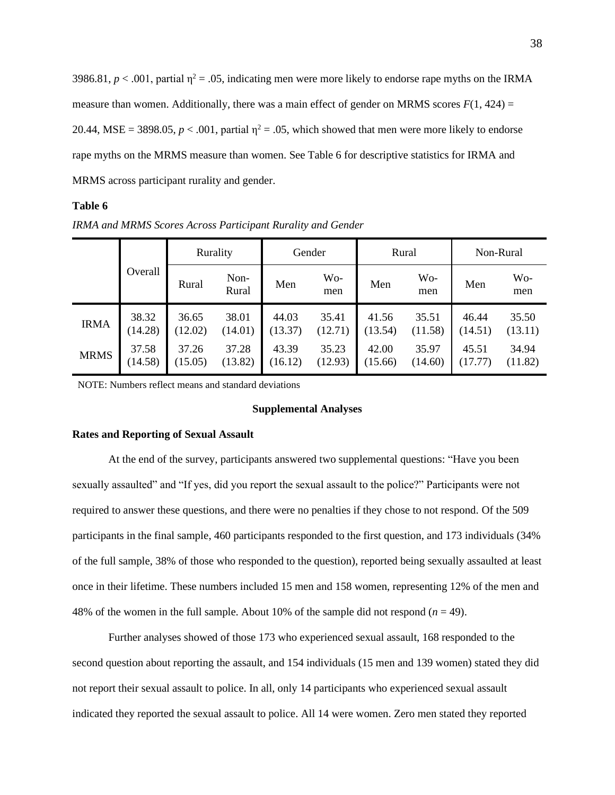3986.81,  $p < .001$ , partial  $\eta^2 = .05$ , indicating men were more likely to endorse rape myths on the IRMA measure than women. Additionally, there was a main effect of gender on MRMS scores  $F(1, 424) =$ 20.44, MSE = 3898.05,  $p < .001$ , partial  $\eta^2 = .05$ , which showed that men were more likely to endorse rape myths on the MRMS measure than women. See Table 6 for descriptive statistics for IRMA and MRMS across participant rurality and gender.

## **Table 6**

*IRMA and MRMS Scores Across Participant Rurality and Gender*

|             | Overall | Rurality |               | Gender  |              | Rural   |              | Non-Rural |              |
|-------------|---------|----------|---------------|---------|--------------|---------|--------------|-----------|--------------|
|             |         | Rural    | Non-<br>Rural | Men     | $Wo-$<br>men | Men     | $Wo-$<br>men | Men       | $Wo-$<br>men |
| <b>IRMA</b> | 38.32   | 36.65    | 38.01         | 44.03   | 35.41        | 41.56   | 35.51        | 46.44     | 35.50        |
|             | (14.28) | (12.02)  | (14.01)       | (13.37) | (12.71)      | (13.54) | (11.58)      | (14.51)   | (13.11)      |
| <b>MRMS</b> | 37.58   | 37.26    | 37.28         | 43.39   | 35.23        | 42.00   | 35.97        | 45.51     | 34.94        |
|             | (14.58) | (15.05)  | (13.82)       | (16.12) | (12.93)      | (15.66) | (14.60)      | (17.77)   | (11.82)      |

NOTE: Numbers reflect means and standard deviations

## **Supplemental Analyses**

#### **Rates and Reporting of Sexual Assault**

At the end of the survey, participants answered two supplemental questions: "Have you been sexually assaulted" and "If yes, did you report the sexual assault to the police?" Participants were not required to answer these questions, and there were no penalties if they chose to not respond. Of the 509 participants in the final sample, 460 participants responded to the first question, and 173 individuals (34% of the full sample, 38% of those who responded to the question), reported being sexually assaulted at least once in their lifetime. These numbers included 15 men and 158 women, representing 12% of the men and 48% of the women in the full sample. About 10% of the sample did not respond  $(n = 49)$ .

Further analyses showed of those 173 who experienced sexual assault, 168 responded to the second question about reporting the assault, and 154 individuals (15 men and 139 women) stated they did not report their sexual assault to police. In all, only 14 participants who experienced sexual assault indicated they reported the sexual assault to police. All 14 were women. Zero men stated they reported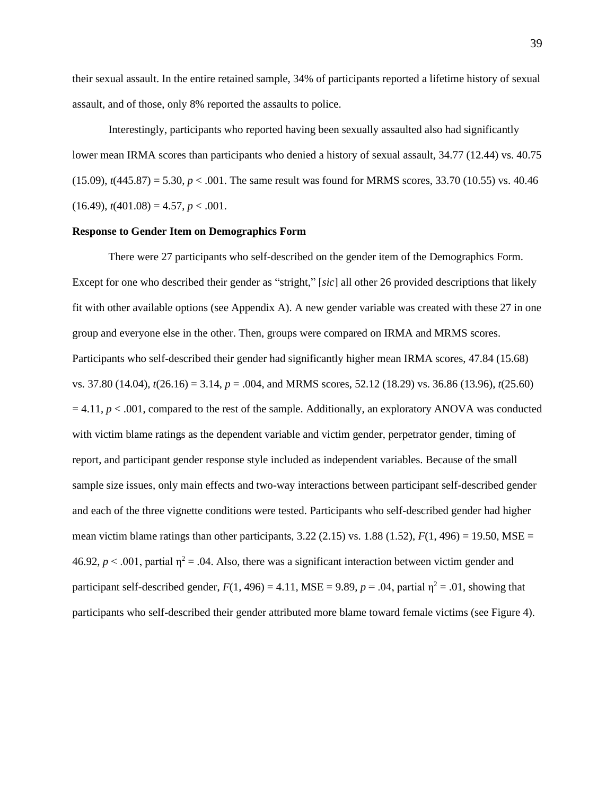their sexual assault. In the entire retained sample, 34% of participants reported a lifetime history of sexual assault, and of those, only 8% reported the assaults to police.

Interestingly, participants who reported having been sexually assaulted also had significantly lower mean IRMA scores than participants who denied a history of sexual assault, 34.77 (12.44) vs. 40.75  $(15.09)$ ,  $t(445.87) = 5.30$ ,  $p < .001$ . The same result was found for MRMS scores, 33.70 (10.55) vs. 40.46  $(16.49)$ ,  $t(401.08) = 4.57$ ,  $p < .001$ .

## **Response to Gender Item on Demographics Form**

There were 27 participants who self-described on the gender item of the Demographics Form. Except for one who described their gender as "stright," [*sic*] all other 26 provided descriptions that likely fit with other available options (see Appendix A). A new gender variable was created with these 27 in one group and everyone else in the other. Then, groups were compared on IRMA and MRMS scores. Participants who self-described their gender had significantly higher mean IRMA scores, 47.84 (15.68) vs. 37.80 (14.04), *t*(26.16) = 3.14, *p* = .004, and MRMS scores, 52.12 (18.29) vs. 36.86 (13.96), *t*(25.60)  $= 4.11, p < .001$ , compared to the rest of the sample. Additionally, an exploratory ANOVA was conducted with victim blame ratings as the dependent variable and victim gender, perpetrator gender, timing of report, and participant gender response style included as independent variables. Because of the small sample size issues, only main effects and two-way interactions between participant self-described gender and each of the three vignette conditions were tested. Participants who self-described gender had higher mean victim blame ratings than other participants,  $3.22$  ( $2.15$ ) vs.  $1.88$  ( $1.52$ ),  $F(1, 496) = 19.50$ , MSE = 46.92,  $p < .001$ , partial  $\eta^2 = .04$ . Also, there was a significant interaction between victim gender and participant self-described gender,  $F(1, 496) = 4.11$ , MSE = 9.89,  $p = .04$ , partial  $\eta^2 = .01$ , showing that participants who self-described their gender attributed more blame toward female victims (see Figure 4).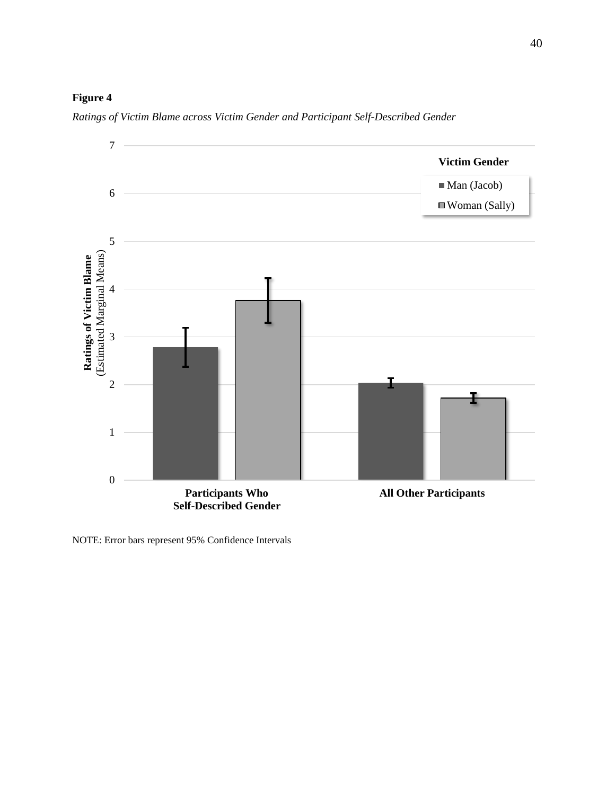# **Figure 4**



*Ratings of Victim Blame across Victim Gender and Participant Self-Described Gender*

NOTE: Error bars represent 95% Confidence Intervals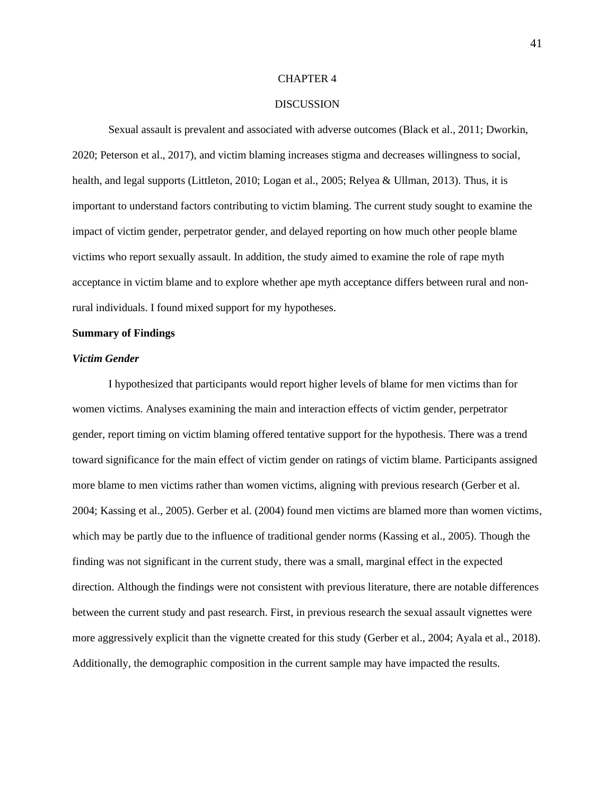#### CHAPTER 4

### DISCUSSION

Sexual assault is prevalent and associated with adverse outcomes (Black et al., 2011; Dworkin, 2020; Peterson et al., 2017), and victim blaming increases stigma and decreases willingness to social, health, and legal supports (Littleton, 2010; Logan et al., 2005; Relyea & Ullman, 2013). Thus, it is important to understand factors contributing to victim blaming. The current study sought to examine the impact of victim gender, perpetrator gender, and delayed reporting on how much other people blame victims who report sexually assault. In addition, the study aimed to examine the role of rape myth acceptance in victim blame and to explore whether ape myth acceptance differs between rural and nonrural individuals. I found mixed support for my hypotheses.

#### **Summary of Findings**

## *Victim Gender*

I hypothesized that participants would report higher levels of blame for men victims than for women victims. Analyses examining the main and interaction effects of victim gender, perpetrator gender, report timing on victim blaming offered tentative support for the hypothesis. There was a trend toward significance for the main effect of victim gender on ratings of victim blame. Participants assigned more blame to men victims rather than women victims, aligning with previous research (Gerber et al. 2004; Kassing et al., 2005). Gerber et al. (2004) found men victims are blamed more than women victims, which may be partly due to the influence of traditional gender norms (Kassing et al., 2005). Though the finding was not significant in the current study, there was a small, marginal effect in the expected direction. Although the findings were not consistent with previous literature, there are notable differences between the current study and past research. First, in previous research the sexual assault vignettes were more aggressively explicit than the vignette created for this study (Gerber et al., 2004; Ayala et al., 2018). Additionally, the demographic composition in the current sample may have impacted the results.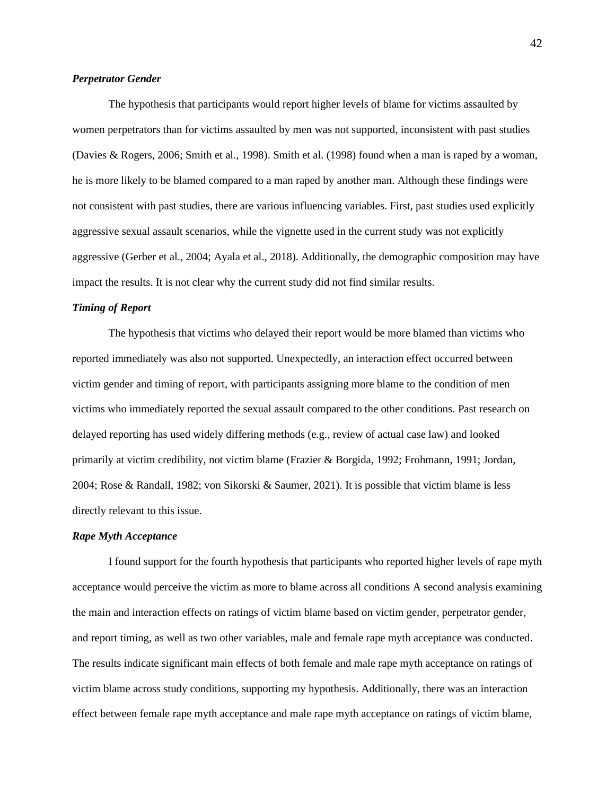#### *Perpetrator Gender*

The hypothesis that participants would report higher levels of blame for victims assaulted by women perpetrators than for victims assaulted by men was not supported, inconsistent with past studies (Davies & Rogers, 2006; Smith et al., 1998). Smith et al. (1998) found when a man is raped by a woman, he is more likely to be blamed compared to a man raped by another man. Although these findings were not consistent with past studies, there are various influencing variables. First, past studies used explicitly aggressive sexual assault scenarios, while the vignette used in the current study was not explicitly aggressive (Gerber et al., 2004; Ayala et al., 2018). Additionally, the demographic composition may have impact the results. It is not clear why the current study did not find similar results.

#### *Timing of Report*

The hypothesis that victims who delayed their report would be more blamed than victims who reported immediately was also not supported. Unexpectedly, an interaction effect occurred between victim gender and timing of report, with participants assigning more blame to the condition of men victims who immediately reported the sexual assault compared to the other conditions. Past research on delayed reporting has used widely differing methods (e.g., review of actual case law) and looked primarily at victim credibility, not victim blame (Frazier & Borgida, 1992; Frohmann, 1991; Jordan, 2004; Rose & Randall, 1982; von Sikorski & Saumer, 2021). It is possible that victim blame is less directly relevant to this issue.

### *Rape Myth Acceptance*

I found support for the fourth hypothesis that participants who reported higher levels of rape myth acceptance would perceive the victim as more to blame across all conditions A second analysis examining the main and interaction effects on ratings of victim blame based on victim gender, perpetrator gender, and report timing, as well as two other variables, male and female rape myth acceptance was conducted. The results indicate significant main effects of both female and male rape myth acceptance on ratings of victim blame across study conditions, supporting my hypothesis. Additionally, there was an interaction effect between female rape myth acceptance and male rape myth acceptance on ratings of victim blame,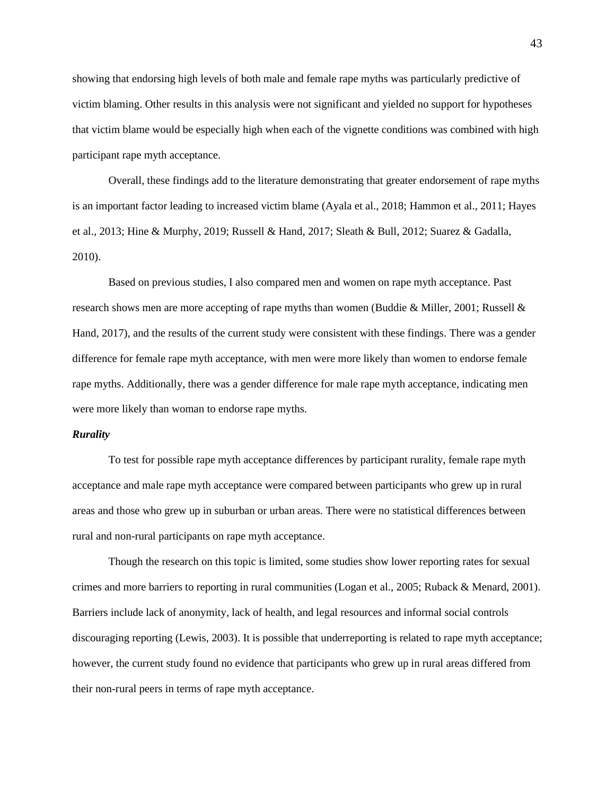showing that endorsing high levels of both male and female rape myths was particularly predictive of victim blaming. Other results in this analysis were not significant and yielded no support for hypotheses that victim blame would be especially high when each of the vignette conditions was combined with high participant rape myth acceptance.

Overall, these findings add to the literature demonstrating that greater endorsement of rape myths is an important factor leading to increased victim blame (Ayala et al., 2018; Hammon et al., 2011; Hayes et al., 2013; Hine & Murphy, 2019; Russell & Hand, 2017; Sleath & Bull, 2012; Suarez & Gadalla, 2010).

Based on previous studies, I also compared men and women on rape myth acceptance. Past research shows men are more accepting of rape myths than women (Buddie & Miller, 2001; Russell & Hand, 2017), and the results of the current study were consistent with these findings. There was a gender difference for female rape myth acceptance, with men were more likely than women to endorse female rape myths. Additionally, there was a gender difference for male rape myth acceptance, indicating men were more likely than woman to endorse rape myths.

#### *Rurality*

To test for possible rape myth acceptance differences by participant rurality, female rape myth acceptance and male rape myth acceptance were compared between participants who grew up in rural areas and those who grew up in suburban or urban areas. There were no statistical differences between rural and non-rural participants on rape myth acceptance.

Though the research on this topic is limited, some studies show lower reporting rates for sexual crimes and more barriers to reporting in rural communities (Logan et al., 2005; Ruback & Menard, 2001). Barriers include lack of anonymity, lack of health, and legal resources and informal social controls discouraging reporting (Lewis, 2003). It is possible that underreporting is related to rape myth acceptance; however, the current study found no evidence that participants who grew up in rural areas differed from their non-rural peers in terms of rape myth acceptance.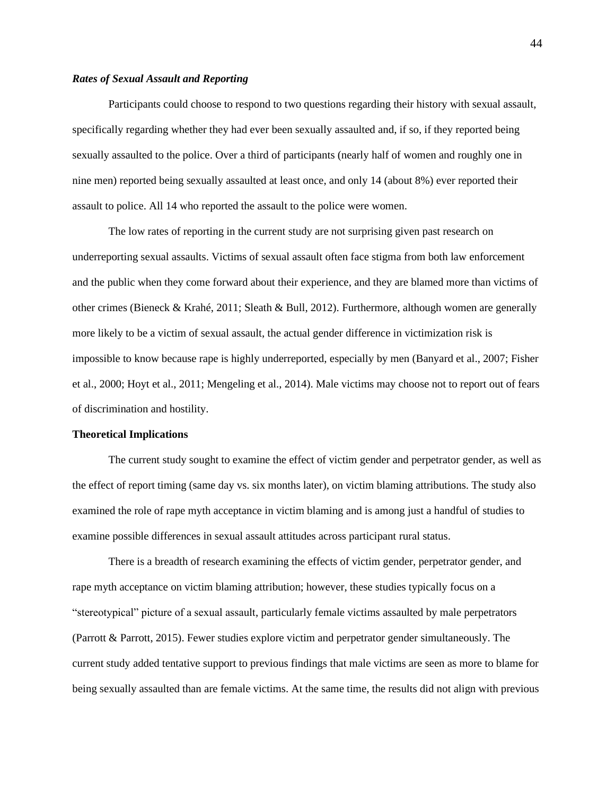### *Rates of Sexual Assault and Reporting*

Participants could choose to respond to two questions regarding their history with sexual assault, specifically regarding whether they had ever been sexually assaulted and, if so, if they reported being sexually assaulted to the police. Over a third of participants (nearly half of women and roughly one in nine men) reported being sexually assaulted at least once, and only 14 (about 8%) ever reported their assault to police. All 14 who reported the assault to the police were women.

The low rates of reporting in the current study are not surprising given past research on underreporting sexual assaults. Victims of sexual assault often face stigma from both law enforcement and the public when they come forward about their experience, and they are blamed more than victims of other crimes (Bieneck & Krahé, 2011; Sleath & Bull, 2012). Furthermore, although women are generally more likely to be a victim of sexual assault, the actual gender difference in victimization risk is impossible to know because rape is highly underreported, especially by men (Banyard et al., 2007; Fisher et al., 2000; Hoyt et al., 2011; Mengeling et al., 2014). Male victims may choose not to report out of fears of discrimination and hostility.

#### **Theoretical Implications**

The current study sought to examine the effect of victim gender and perpetrator gender, as well as the effect of report timing (same day vs. six months later), on victim blaming attributions. The study also examined the role of rape myth acceptance in victim blaming and is among just a handful of studies to examine possible differences in sexual assault attitudes across participant rural status.

There is a breadth of research examining the effects of victim gender, perpetrator gender, and rape myth acceptance on victim blaming attribution; however, these studies typically focus on a "stereotypical" picture of a sexual assault, particularly female victims assaulted by male perpetrators (Parrott & Parrott, 2015). Fewer studies explore victim and perpetrator gender simultaneously. The current study added tentative support to previous findings that male victims are seen as more to blame for being sexually assaulted than are female victims. At the same time, the results did not align with previous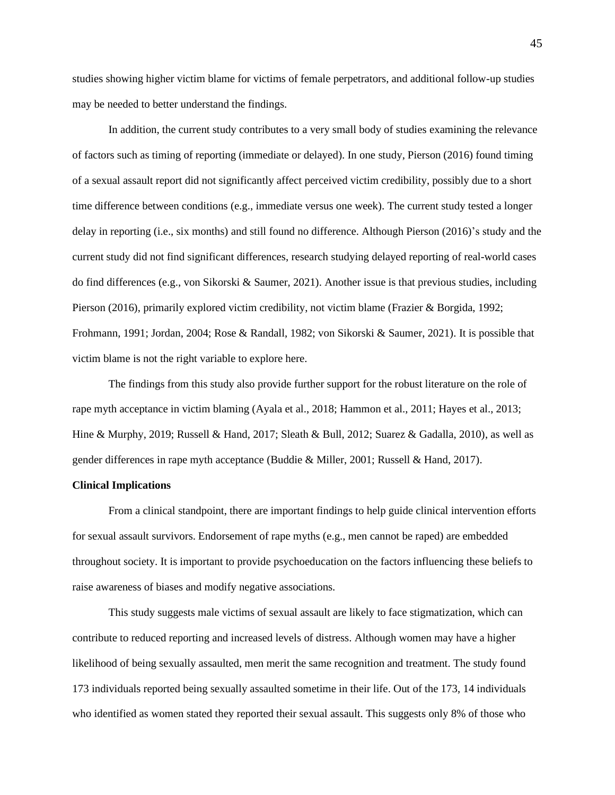studies showing higher victim blame for victims of female perpetrators, and additional follow-up studies may be needed to better understand the findings.

In addition, the current study contributes to a very small body of studies examining the relevance of factors such as timing of reporting (immediate or delayed). In one study, Pierson (2016) found timing of a sexual assault report did not significantly affect perceived victim credibility, possibly due to a short time difference between conditions (e.g., immediate versus one week). The current study tested a longer delay in reporting (i.e., six months) and still found no difference. Although Pierson (2016)'s study and the current study did not find significant differences, research studying delayed reporting of real-world cases do find differences (e.g., von Sikorski & Saumer, 2021). Another issue is that previous studies, including Pierson (2016), primarily explored victim credibility, not victim blame (Frazier & Borgida, 1992; Frohmann, 1991; Jordan, 2004; Rose & Randall, 1982; von Sikorski & Saumer, 2021). It is possible that victim blame is not the right variable to explore here.

The findings from this study also provide further support for the robust literature on the role of rape myth acceptance in victim blaming (Ayala et al., 2018; Hammon et al., 2011; Hayes et al., 2013; Hine & Murphy, 2019; Russell & Hand, 2017; Sleath & Bull, 2012; Suarez & Gadalla, 2010), as well as gender differences in rape myth acceptance (Buddie & Miller, 2001; Russell & Hand, 2017).

## **Clinical Implications**

From a clinical standpoint, there are important findings to help guide clinical intervention efforts for sexual assault survivors. Endorsement of rape myths (e.g., men cannot be raped) are embedded throughout society. It is important to provide psychoeducation on the factors influencing these beliefs to raise awareness of biases and modify negative associations.

This study suggests male victims of sexual assault are likely to face stigmatization, which can contribute to reduced reporting and increased levels of distress. Although women may have a higher likelihood of being sexually assaulted, men merit the same recognition and treatment. The study found 173 individuals reported being sexually assaulted sometime in their life. Out of the 173, 14 individuals who identified as women stated they reported their sexual assault. This suggests only 8% of those who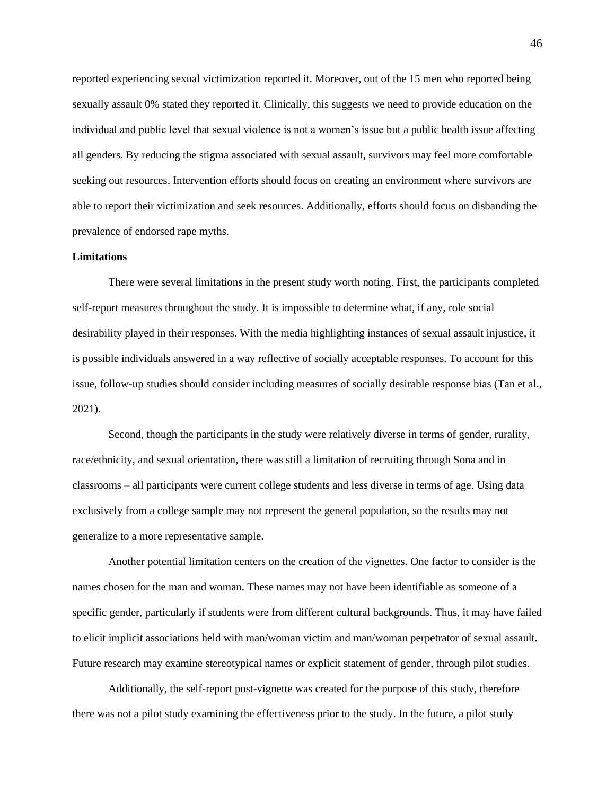reported experiencing sexual victimization reported it. Moreover, out of the 15 men who reported being sexually assault 0% stated they reported it. Clinically, this suggests we need to provide education on the individual and public level that sexual violence is not a women's issue but a public health issue affecting all genders. By reducing the stigma associated with sexual assault, survivors may feel more comfortable seeking out resources. Intervention efforts should focus on creating an environment where survivors are able to report their victimization and seek resources. Additionally, efforts should focus on disbanding the prevalence of endorsed rape myths.

#### **Limitations**

There were several limitations in the present study worth noting. First, the participants completed self-report measures throughout the study. It is impossible to determine what, if any, role social desirability played in their responses. With the media highlighting instances of sexual assault injustice, it is possible individuals answered in a way reflective of socially acceptable responses. To account for this issue, follow-up studies should consider including measures of socially desirable response bias (Tan et al., 2021).

Second, though the participants in the study were relatively diverse in terms of gender, rurality, race/ethnicity, and sexual orientation, there was still a limitation of recruiting through Sona and in classrooms – all participants were current college students and less diverse in terms of age. Using data exclusively from a college sample may not represent the general population, so the results may not generalize to a more representative sample.

Another potential limitation centers on the creation of the vignettes. One factor to consider is the names chosen for the man and woman. These names may not have been identifiable as someone of a specific gender, particularly if students were from different cultural backgrounds. Thus, it may have failed to elicit implicit associations held with man/woman victim and man/woman perpetrator of sexual assault. Future research may examine stereotypical names or explicit statement of gender, through pilot studies.

Additionally, the self-report post-vignette was created for the purpose of this study, therefore there was not a pilot study examining the effectiveness prior to the study. In the future, a pilot study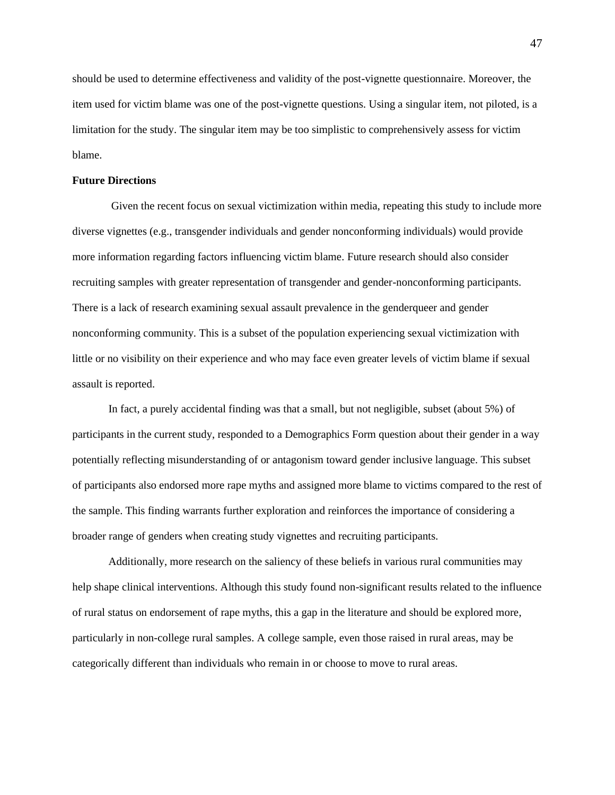should be used to determine effectiveness and validity of the post-vignette questionnaire. Moreover, the item used for victim blame was one of the post-vignette questions. Using a singular item, not piloted, is a limitation for the study. The singular item may be too simplistic to comprehensively assess for victim blame.

#### **Future Directions**

Given the recent focus on sexual victimization within media, repeating this study to include more diverse vignettes (e.g., transgender individuals and gender nonconforming individuals) would provide more information regarding factors influencing victim blame. Future research should also consider recruiting samples with greater representation of transgender and gender-nonconforming participants. There is a lack of research examining sexual assault prevalence in the genderqueer and gender nonconforming community. This is a subset of the population experiencing sexual victimization with little or no visibility on their experience and who may face even greater levels of victim blame if sexual assault is reported.

In fact, a purely accidental finding was that a small, but not negligible, subset (about 5%) of participants in the current study, responded to a Demographics Form question about their gender in a way potentially reflecting misunderstanding of or antagonism toward gender inclusive language. This subset of participants also endorsed more rape myths and assigned more blame to victims compared to the rest of the sample. This finding warrants further exploration and reinforces the importance of considering a broader range of genders when creating study vignettes and recruiting participants.

Additionally, more research on the saliency of these beliefs in various rural communities may help shape clinical interventions. Although this study found non-significant results related to the influence of rural status on endorsement of rape myths, this a gap in the literature and should be explored more, particularly in non-college rural samples. A college sample, even those raised in rural areas, may be categorically different than individuals who remain in or choose to move to rural areas.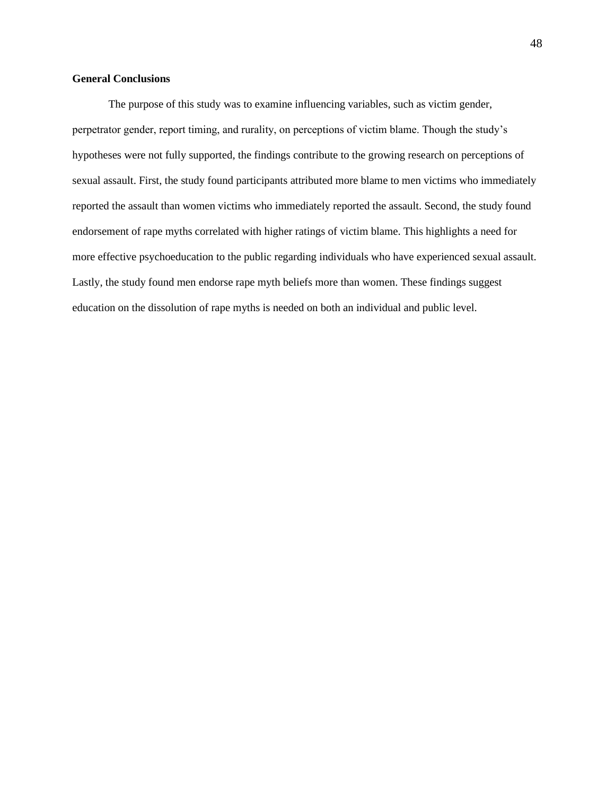## **General Conclusions**

The purpose of this study was to examine influencing variables, such as victim gender, perpetrator gender, report timing, and rurality, on perceptions of victim blame. Though the study's hypotheses were not fully supported, the findings contribute to the growing research on perceptions of sexual assault. First, the study found participants attributed more blame to men victims who immediately reported the assault than women victims who immediately reported the assault. Second, the study found endorsement of rape myths correlated with higher ratings of victim blame. This highlights a need for more effective psychoeducation to the public regarding individuals who have experienced sexual assault. Lastly, the study found men endorse rape myth beliefs more than women. These findings suggest education on the dissolution of rape myths is needed on both an individual and public level.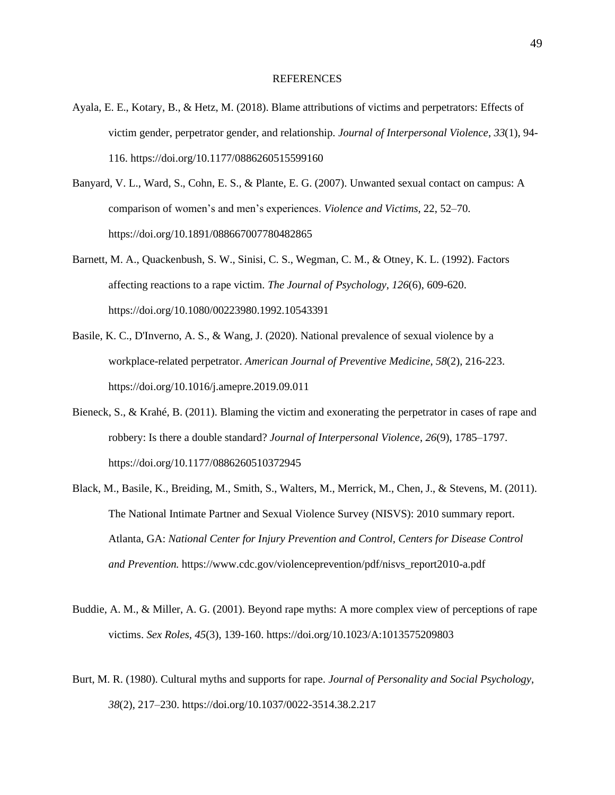#### **REFERENCES**

- Ayala, E. E., Kotary, B., & Hetz, M. (2018). Blame attributions of victims and perpetrators: Effects of victim gender, perpetrator gender, and relationship. *Journal of Interpersonal Violence*, *33*(1), 94- 116. https://doi.org/10.1177/0886260515599160
- Banyard, V. L., Ward, S., Cohn, E. S., & Plante, E. G. (2007). Unwanted sexual contact on campus: A comparison of women's and men's experiences. *Violence and Victims*, 22, 52–70. https://doi.org/10.1891/088667007780482865
- Barnett, M. A., Quackenbush, S. W., Sinisi, C. S., Wegman, C. M., & Otney, K. L. (1992). Factors affecting reactions to a rape victim. *The Journal of Psychology*, *126*(6), 609-620. https://doi.org/10.1080/00223980.1992.10543391
- Basile, K. C., D'Inverno, A. S., & Wang, J. (2020). National prevalence of sexual violence by a workplace-related perpetrator. *American Journal of Preventive Medicine*, *58*(2), 216-223. https://doi.org/10.1016/j.amepre.2019.09.011
- Bieneck, S., & Krahé, B. (2011). Blaming the victim and exonerating the perpetrator in cases of rape and robbery: Is there a double standard? *Journal of Interpersonal Violence*, *26*(9), 1785–1797. https://doi.org/10.1177/0886260510372945
- Black, M., Basile, K., Breiding, M., Smith, S., Walters, M., Merrick, M., Chen, J., & Stevens, M. (2011). The National Intimate Partner and Sexual Violence Survey (NISVS): 2010 summary report. Atlanta, GA: *National Center for Injury Prevention and Control, Centers for Disease Control and Prevention.* https://www.cdc.gov/violenceprevention/pdf/nisvs\_report2010-a.pdf
- Buddie, A. M., & Miller, A. G. (2001). Beyond rape myths: A more complex view of perceptions of rape victims. *Sex Roles, 45*(3), 139-160. https://doi.org/10.1023/A:1013575209803
- Burt, M. R. (1980). Cultural myths and supports for rape. *Journal of Personality and Social Psychology*, *38*(2), 217–230. https://doi.org/10.1037/0022-3514.38.2.217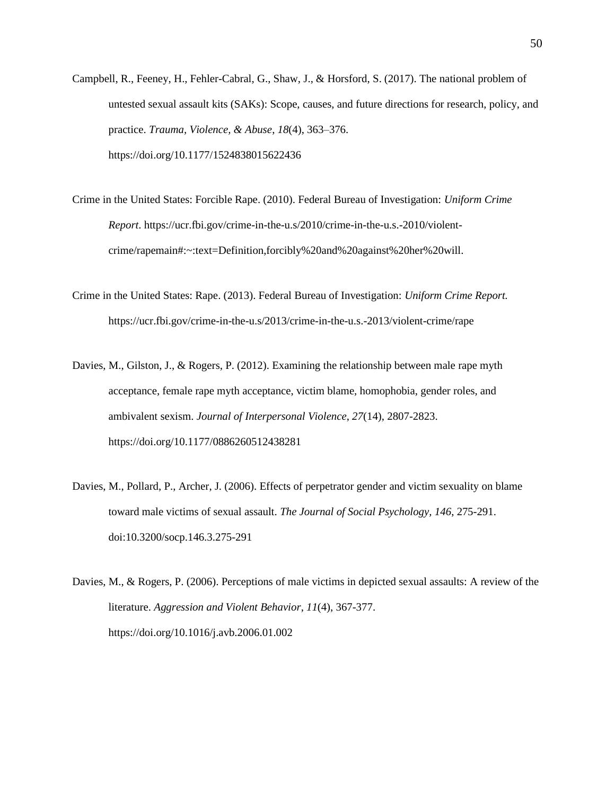- Campbell, R., Feeney, H., Fehler-Cabral, G., Shaw, J., & Horsford, S. (2017). The national problem of untested sexual assault kits (SAKs): Scope, causes, and future directions for research, policy, and practice. *Trauma, Violence, & Abuse*, *18*(4), 363–376. https://doi.org/10.1177/1524838015622436
- Crime in the United States: Forcible Rape. (2010). Federal Bureau of Investigation: *Uniform Crime Report*. https://ucr.fbi.gov/crime-in-the-u.s/2010/crime-in-the-u.s.-2010/violentcrime/rapemain#:~:text=Definition,forcibly%20and%20against%20her%20will.
- Crime in the United States: Rape. (2013). Federal Bureau of Investigation: *Uniform Crime Report.*  https://ucr.fbi.gov/crime-in-the-u.s/2013/crime-in-the-u.s.-2013/violent-crime/rape
- Davies, M., Gilston, J., & Rogers, P. (2012). Examining the relationship between male rape myth acceptance, female rape myth acceptance, victim blame, homophobia, gender roles, and ambivalent sexism. *Journal of Interpersonal Violence*, *27*(14), 2807-2823. https://doi.org/10.1177/0886260512438281
- Davies, M., Pollard, P., Archer, J. (2006). Effects of perpetrator gender and victim sexuality on blame toward male victims of sexual assault. *The Journal of Social Psychology, 146*, 275-291. doi:10.3200/socp.146.3.275-291
- Davies, M., & Rogers, P. (2006). Perceptions of male victims in depicted sexual assaults: A review of the literature. *Aggression and Violent Behavior*, *11*(4), 367-377. https://doi.org/10.1016/j.avb.2006.01.002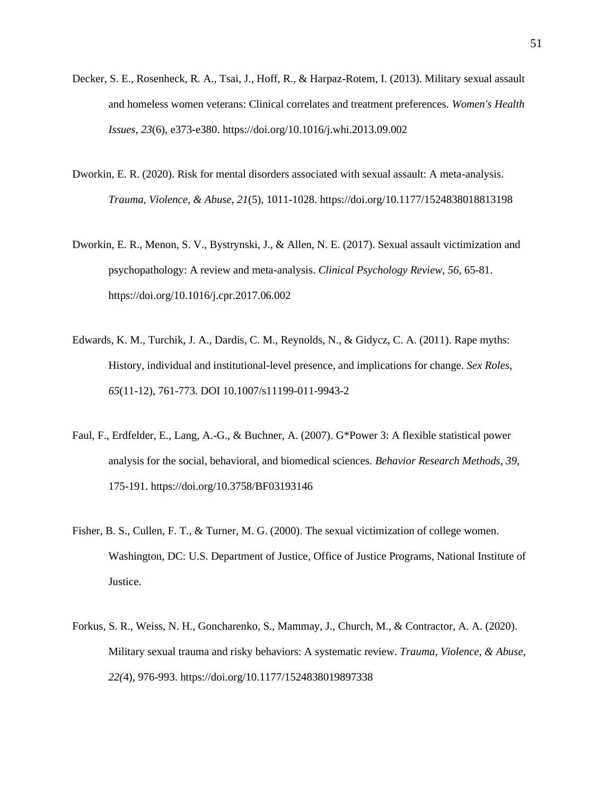- Decker, S. E., Rosenheck, R. A., Tsai, J., Hoff, R., & Harpaz-Rotem, I. (2013). Military sexual assault and homeless women veterans: Clinical correlates and treatment preferences. *Women's Health Issues*, *23*(6), e373-e380. https://doi.org/10.1016/j.whi.2013.09.002
- Dworkin, E. R. (2020). Risk for mental disorders associated with sexual assault: A meta-analysis. *Trauma, Violence, & Abuse*, *21*(5), 1011-1028. https://doi.org/10.1177/1524838018813198
- Dworkin, E. R., Menon, S. V., Bystrynski, J., & Allen, N. E. (2017). Sexual assault victimization and psychopathology: A review and meta-analysis. *Clinical Psychology Review*, *56*, 65-81. https://doi.org/10.1016/j.cpr.2017.06.002
- Edwards, K. M., Turchik, J. A., Dardis, C. M., Reynolds, N., & Gidycz, C. A. (2011). Rape myths: History, individual and institutional-level presence, and implications for change. *Sex Roles*, *65*(11-12), 761-773. DOI 10.1007/s11199-011-9943-2
- Faul, F., Erdfelder, E., Lang, A.-G., & Buchner, A. (2007). G\*Power 3: A flexible statistical power analysis for the social, behavioral, and biomedical sciences. *Behavior Research Methods, 39*, 175-191. https://doi.org/10.3758/BF03193146
- Fisher, B. S., Cullen, F. T., & Turner, M. G. (2000). The sexual victimization of college women. Washington, DC: U.S. Department of Justice, Office of Justice Programs, National Institute of Justice.
- Forkus, S. R., Weiss, N. H., Goncharenko, S., Mammay, J., Church, M., & Contractor, A. A. (2020). Military sexual trauma and risky behaviors: A systematic review. *Trauma, Violence, & Abuse, 22(*4), 976-993. https://doi.org/10.1177/1524838019897338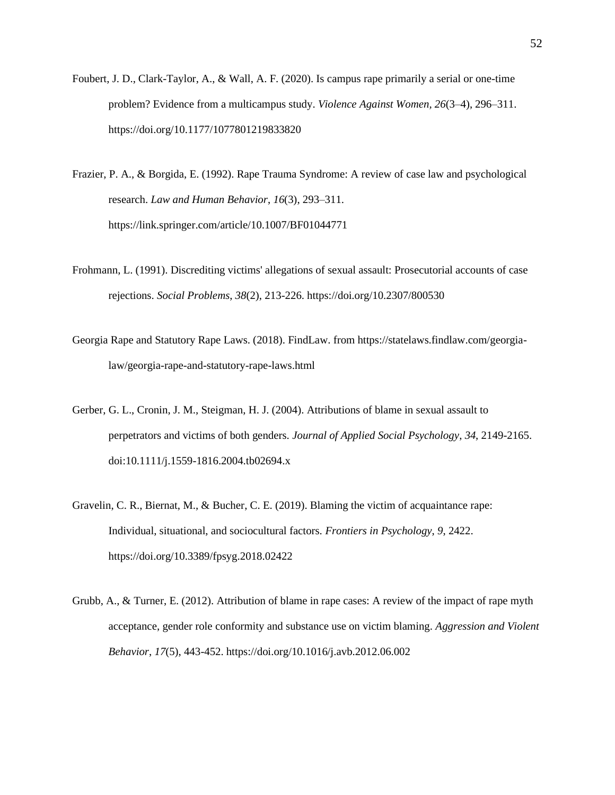- Foubert, J. D., Clark-Taylor, A., & Wall, A. F. (2020). Is campus rape primarily a serial or one-time problem? Evidence from a multicampus study. *Violence Against Women, 26*(3–4), 296–311. https://doi.org/10.1177/1077801219833820
- Frazier, P. A., & Borgida, E. (1992). Rape Trauma Syndrome: A review of case law and psychological research. *Law and Human Behavior*, *16*(3), 293–311. https://link.springer.com/article/10.1007/BF01044771
- Frohmann, L. (1991). Discrediting victims' allegations of sexual assault: Prosecutorial accounts of case rejections. *Social Problems*, *38*(2), 213-226. https://doi.org/10.2307/800530
- Georgia Rape and Statutory Rape Laws. (2018). FindLaw. from https://statelaws.findlaw.com/georgialaw/georgia-rape-and-statutory-rape-laws.html
- Gerber, G. L., Cronin, J. M., Steigman, H. J. (2004). Attributions of blame in sexual assault to perpetrators and victims of both genders. *Journal of Applied Social Psychology*, *34*, 2149-2165. doi:10.1111/j.1559-1816.2004.tb02694.x
- Gravelin, C. R., Biernat, M., & Bucher, C. E. (2019). Blaming the victim of acquaintance rape: Individual, situational, and sociocultural factors. *Frontiers in Psychology*, *9*, 2422. https://doi.org/10.3389/fpsyg.2018.02422
- Grubb, A., & Turner, E. (2012). Attribution of blame in rape cases: A review of the impact of rape myth acceptance, gender role conformity and substance use on victim blaming. *Aggression and Violent Behavior*, *17*(5), 443-452. https://doi.org/10.1016/j.avb.2012.06.002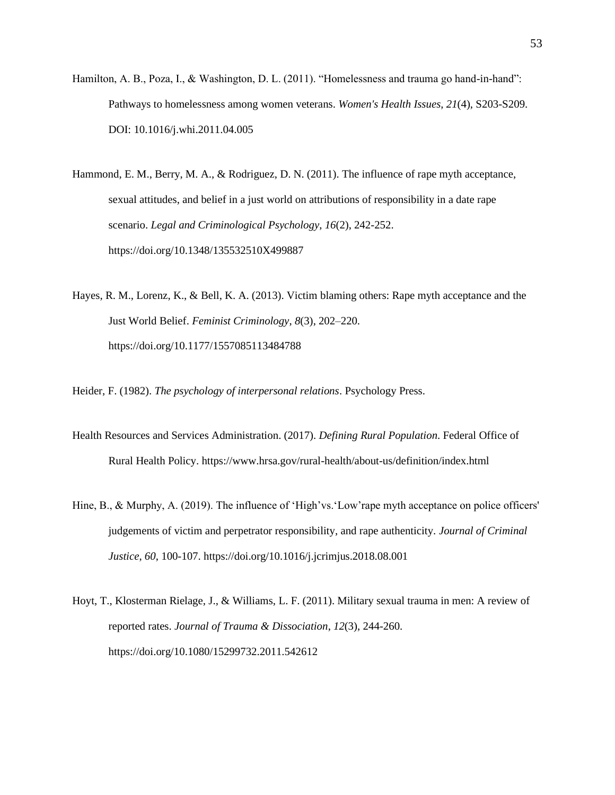- Hamilton, A. B., Poza, I., & Washington, D. L. (2011). "Homelessness and trauma go hand-in-hand": Pathways to homelessness among women veterans. *Women's Health Issues*, *21*(4), S203-S209. DOI: 10.1016/j.whi.2011.04.005
- Hammond, E. M., Berry, M. A., & Rodriguez, D. N. (2011). The influence of rape myth acceptance, sexual attitudes, and belief in a just world on attributions of responsibility in a date rape scenario. *Legal and Criminological Psychology*, *16*(2), 242-252. https://doi.org/10.1348/135532510X499887
- Hayes, R. M., Lorenz, K., & Bell, K. A. (2013). Victim blaming others: Rape myth acceptance and the Just World Belief. *Feminist Criminology*, *8*(3), 202–220. https://doi.org/10.1177/1557085113484788

Heider, F. (1982). *The psychology of interpersonal relations*. Psychology Press.

- Health Resources and Services Administration. (2017). *Defining Rural Population*. Federal Office of Rural Health Policy. https://www.hrsa.gov/rural-health/about-us/definition/index.html
- Hine, B., & Murphy, A. (2019). The influence of 'High'vs.'Low'rape myth acceptance on police officers' judgements of victim and perpetrator responsibility, and rape authenticity. *Journal of Criminal Justice*, *60*, 100-107. https://doi.org/10.1016/j.jcrimjus.2018.08.001
- Hoyt, T., Klosterman Rielage, J., & Williams, L. F. (2011). Military sexual trauma in men: A review of reported rates. *Journal of Trauma & Dissociation*, *12*(3), 244-260. https://doi.org/10.1080/15299732.2011.542612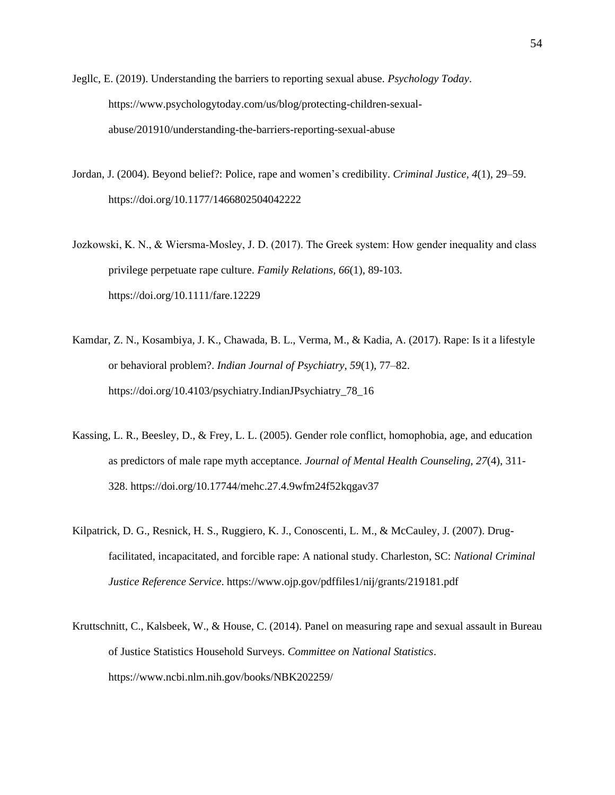Jegllc, E. (2019). Understanding the barriers to reporting sexual abuse. *Psychology Today*. https://www.psychologytoday.com/us/blog/protecting-children-sexualabuse/201910/understanding-the-barriers-reporting-sexual-abuse

- Jordan, J. (2004). Beyond belief?: Police, rape and women's credibility. *Criminal Justice, 4*(1), 29–59. https://doi.org/10.1177/1466802504042222
- Jozkowski, K. N., & Wiersma‐Mosley, J. D. (2017). The Greek system: How gender inequality and class privilege perpetuate rape culture. *Family Relations, 66*(1), 89-103. https://doi.org/10.1111/fare.12229
- Kamdar, Z. N., Kosambiya, J. K., Chawada, B. L., Verma, M., & Kadia, A. (2017). Rape: Is it a lifestyle or behavioral problem?. *Indian Journal of Psychiatry*, *59*(1), 77–82. https://doi.org/10.4103/psychiatry.IndianJPsychiatry\_78\_16
- Kassing, L. R., Beesley, D., & Frey, L. L. (2005). Gender role conflict, homophobia, age, and education as predictors of male rape myth acceptance. *Journal of Mental Health Counseling*, *27*(4), 311- 328. https://doi.org/10.17744/mehc.27.4.9wfm24f52kqgav37
- Kilpatrick, D. G., Resnick, H. S., Ruggiero, K. J., Conoscenti, L. M., & McCauley, J. (2007). Drugfacilitated, incapacitated, and forcible rape: A national study. Charleston, SC: *National Criminal Justice Reference Service*. https://www.ojp.gov/pdffiles1/nij/grants/219181.pdf
- Kruttschnitt, C., Kalsbeek, W., & House, C. (2014). Panel on measuring rape and sexual assault in Bureau of Justice Statistics Household Surveys. *Committee on National Statistics*. https://www.ncbi.nlm.nih.gov/books/NBK202259/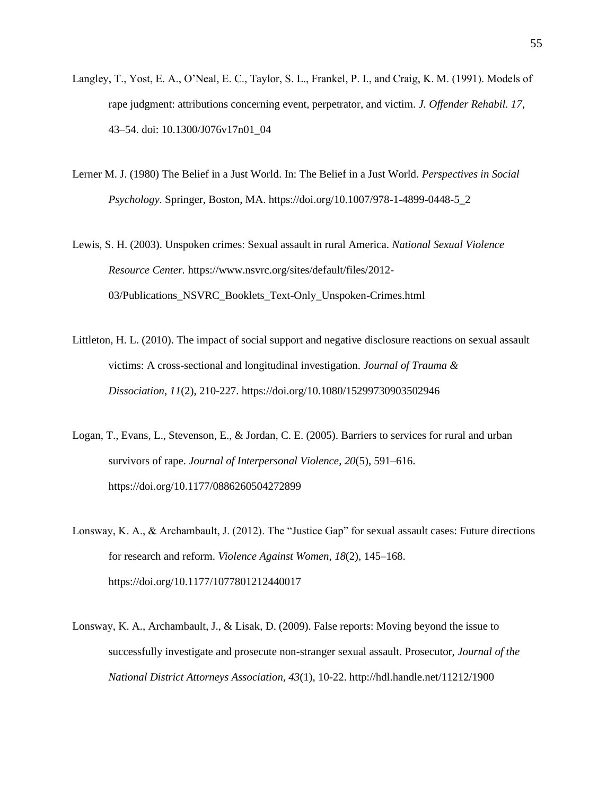- Langley, T., Yost, E. A., O'Neal, E. C., Taylor, S. L., Frankel, P. I., and Craig, K. M. (1991). Models of rape judgment: attributions concerning event, perpetrator, and victim. *J. Offender Rehabil. 17*, 43–54. doi: 10.1300/J076v17n01\_04
- Lerner M. J. (1980) The Belief in a Just World. In: The Belief in a Just World. *Perspectives in Social Psychology*. Springer, Boston, MA. https://doi.org/10.1007/978-1-4899-0448-5\_2
- Lewis, S. H. (2003). Unspoken crimes: Sexual assault in rural America. *National Sexual Violence Resource Center.* https://www.nsvrc.org/sites/default/files/2012- 03/Publications\_NSVRC\_Booklets\_Text-Only\_Unspoken-Crimes.html
- Littleton, H. L. (2010). The impact of social support and negative disclosure reactions on sexual assault victims: A cross-sectional and longitudinal investigation. *Journal of Trauma & Dissociation*, *11*(2), 210-227. https://doi.org/10.1080/15299730903502946
- Logan, T., Evans, L., Stevenson, E., & Jordan, C. E. (2005). Barriers to services for rural and urban survivors of rape. *Journal of Interpersonal Violence*, *20*(5), 591–616. https://doi.org/10.1177/0886260504272899
- Lonsway, K. A., & Archambault, J. (2012). The "Justice Gap" for sexual assault cases: Future directions for research and reform. *Violence Against Women, 18*(2), 145–168. https://doi.org/10.1177/1077801212440017
- Lonsway, K. A., Archambault, J., & Lisak, D. (2009). False reports: Moving beyond the issue to successfully investigate and prosecute non-stranger sexual assault. Prosecutor, *Journal of the National District Attorneys Association, 43*(1), 10-22. http://hdl.handle.net/11212/1900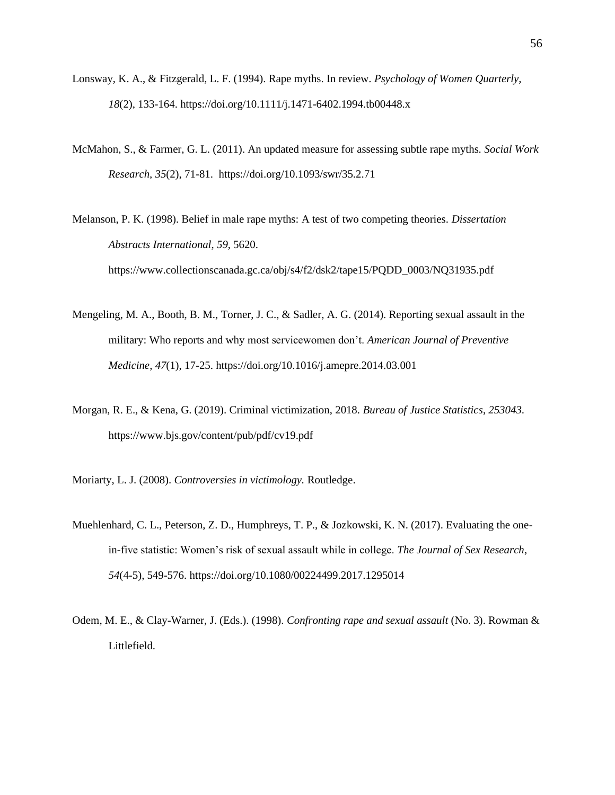- Lonsway, K. A., & Fitzgerald, L. F. (1994). Rape myths. In review. *Psychology of Women Quarterly, 18*(2), 133-164. https://doi.org/10.1111/j.1471-6402.1994.tb00448.x
- McMahon, S., & Farmer, G. L. (2011). An updated measure for assessing subtle rape myths. *Social Work Research, 35*(2), 71-81. https://doi.org/10.1093/swr/35.2.71

Melanson, P. K. (1998). Belief in male rape myths: A test of two competing theories. *Dissertation Abstracts International*, *59*, 5620. https://www.collectionscanada.gc.ca/obj/s4/f2/dsk2/tape15/PQDD\_0003/NQ31935.pdf

- Mengeling, M. A., Booth, B. M., Torner, J. C., & Sadler, A. G. (2014). Reporting sexual assault in the military: Who reports and why most servicewomen don't. *American Journal of Preventive Medicine*, *47*(1), 17-25. https://doi.org/10.1016/j.amepre.2014.03.001
- Morgan, R. E., & Kena, G. (2019). Criminal victimization, 2018. *Bureau of Justice Statistics*, *253043*. https://www.bjs.gov/content/pub/pdf/cv19.pdf
- Moriarty, L. J. (2008). *Controversies in victimology.* Routledge.
- Muehlenhard, C. L., Peterson, Z. D., Humphreys, T. P., & Jozkowski, K. N. (2017). Evaluating the onein-five statistic: Women's risk of sexual assault while in college. *The Journal of Sex Research*, *54*(4-5), 549-576. https://doi.org/10.1080/00224499.2017.1295014
- Odem, M. E., & Clay-Warner, J. (Eds.). (1998). *Confronting rape and sexual assault* (No. 3). Rowman & Littlefield.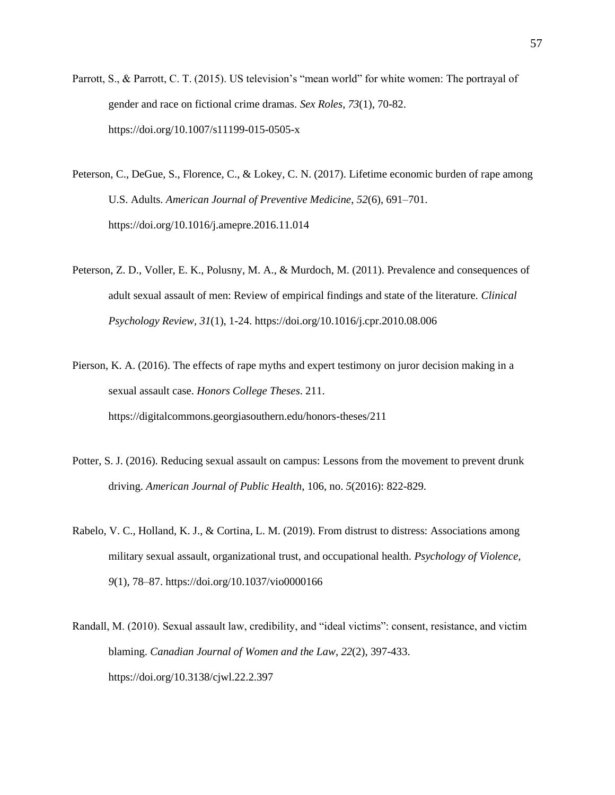- Parrott, S., & Parrott, C. T. (2015). US television's "mean world" for white women: The portrayal of gender and race on fictional crime dramas. *Sex Roles*, *73*(1), 70-82. https://doi.org/10.1007/s11199-015-0505-x
- Peterson, C., DeGue, S., Florence, C., & Lokey, C. N. (2017). Lifetime economic burden of rape among U.S. Adults. *American Journal of Preventive Medicine*, *52*(6), 691–701. https://doi.org/10.1016/j.amepre.2016.11.014
- Peterson, Z. D., Voller, E. K., Polusny, M. A., & Murdoch, M. (2011). Prevalence and consequences of adult sexual assault of men: Review of empirical findings and state of the literature. *Clinical Psychology Review, 31*(1), 1-24. https://doi.org/10.1016/j.cpr.2010.08.006
- Pierson, K. A. (2016). The effects of rape myths and expert testimony on juror decision making in a sexual assault case. *Honors College Theses*. 211. https://digitalcommons.georgiasouthern.edu/honors-theses/211
- Potter, S. J. (2016). Reducing sexual assault on campus: Lessons from the movement to prevent drunk driving. *American Journal of Public Health*, 106, no. *5*(2016): 822-829.
- Rabelo, V. C., Holland, K. J., & Cortina, L. M. (2019). From distrust to distress: Associations among military sexual assault, organizational trust, and occupational health. *Psychology of Violence, 9*(1), 78–87. https://doi.org/10.1037/vio0000166
- Randall, M. (2010). Sexual assault law, credibility, and "ideal victims": consent, resistance, and victim blaming. *Canadian Journal of Women and the Law*, *22*(2), 397-433. https://doi.org/10.3138/cjwl.22.2.397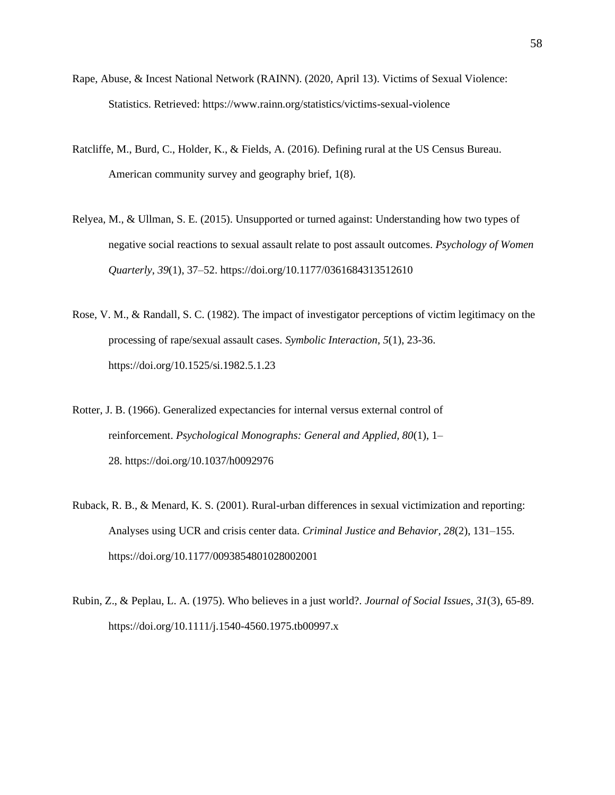- Rape, Abuse, & Incest National Network (RAINN). (2020, April 13). Victims of Sexual Violence: Statistics. Retrieved: https://www.rainn.org/statistics/victims-sexual-violence
- Ratcliffe, M., Burd, C., Holder, K., & Fields, A. (2016). Defining rural at the US Census Bureau. American community survey and geography brief, 1(8).
- Relyea, M., & Ullman, S. E. (2015). Unsupported or turned against: Understanding how two types of negative social reactions to sexual assault relate to post assault outcomes. *Psychology of Women Quarterly*, *39*(1), 37–52. https://doi.org/10.1177/0361684313512610
- Rose, V. M., & Randall, S. C. (1982). The impact of investigator perceptions of victim legitimacy on the processing of rape/sexual assault cases. *Symbolic Interaction*, *5*(1), 23-36. https://doi.org/10.1525/si.1982.5.1.23
- Rotter, J. B. (1966). Generalized expectancies for internal versus external control of reinforcement. *Psychological Monographs: General and Applied, 80*(1), 1– 28. https://doi.org/10.1037/h0092976
- Ruback, R. B., & Menard, K. S. (2001). Rural-urban differences in sexual victimization and reporting: Analyses using UCR and crisis center data. *Criminal Justice and Behavior, 28*(2), 131–155. https://doi.org/10.1177/0093854801028002001
- Rubin, Z., & Peplau, L. A. (1975). Who believes in a just world?. *Journal of Social Issues*, *31*(3), 65-89. https://doi.org/10.1111/j.1540-4560.1975.tb00997.x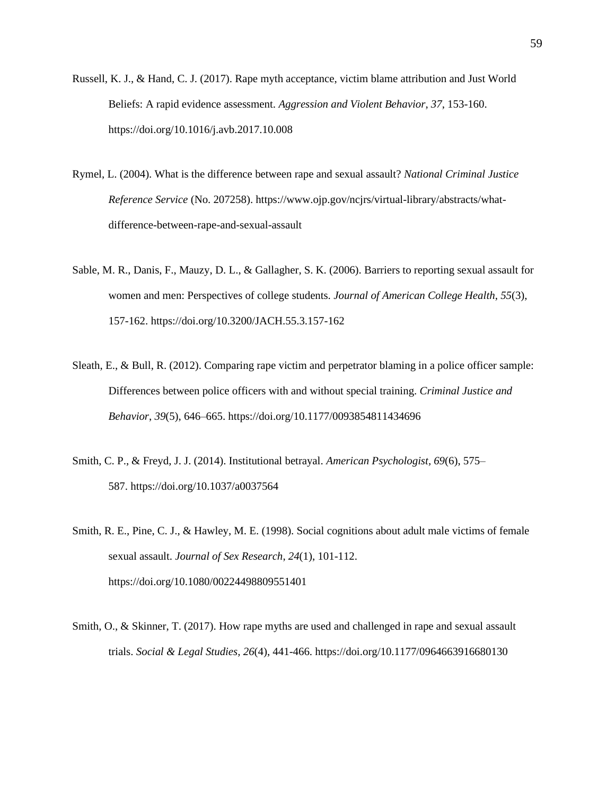- Russell, K. J., & Hand, C. J. (2017). Rape myth acceptance, victim blame attribution and Just World Beliefs: A rapid evidence assessment. *Aggression and Violent Behavior*, *37*, 153-160. https://doi.org/10.1016/j.avb.2017.10.008
- Rymel, L. (2004). What is the difference between rape and sexual assault? *National Criminal Justice Reference Service* (No. 207258). https://www.ojp.gov/ncjrs/virtual-library/abstracts/whatdifference-between-rape-and-sexual-assault
- Sable, M. R., Danis, F., Mauzy, D. L., & Gallagher, S. K. (2006). Barriers to reporting sexual assault for women and men: Perspectives of college students. *Journal of American College Health*, *55*(3), 157-162. https://doi.org/10.3200/JACH.55.3.157-162
- Sleath, E., & Bull, R. (2012). Comparing rape victim and perpetrator blaming in a police officer sample: Differences between police officers with and without special training. *Criminal Justice and Behavior*, *39*(5), 646–665. https://doi.org/10.1177/0093854811434696
- Smith, C. P., & Freyd, J. J. (2014). Institutional betrayal. *American Psychologist, 69*(6), 575– 587. https://doi.org/10.1037/a0037564
- Smith, R. E., Pine, C. J., & Hawley, M. E. (1998). Social cognitions about adult male victims of female sexual assault. *Journal of Sex Research*, *24*(1), 101-112. https://doi.org/10.1080/00224498809551401
- Smith, O., & Skinner, T. (2017). How rape myths are used and challenged in rape and sexual assault trials. *Social & Legal Studies, 26*(4), 441-466. https://doi.org/10.1177/0964663916680130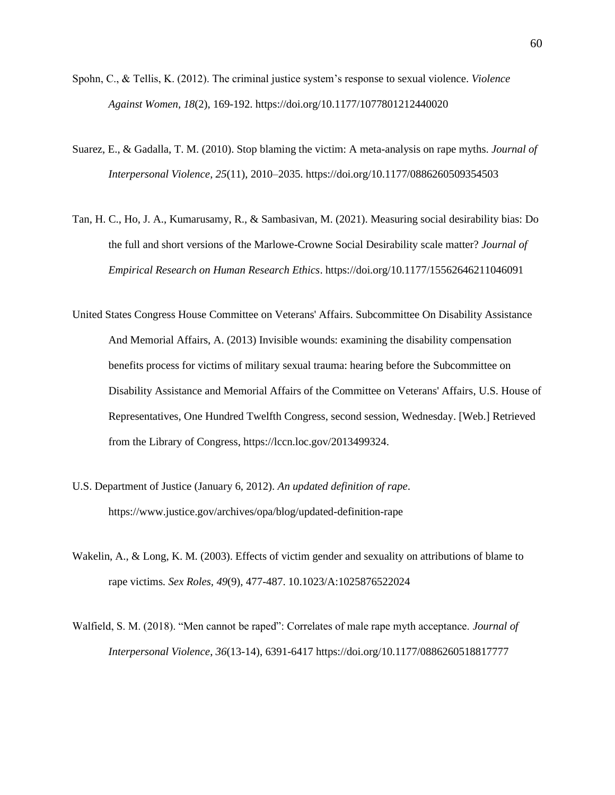- Spohn, C., & Tellis, K. (2012). The criminal justice system's response to sexual violence. *Violence Against Women, 18*(2), 169-192. https://doi.org/10.1177/1077801212440020
- Suarez, E., & Gadalla, T. M. (2010). Stop blaming the victim: A meta-analysis on rape myths. *Journal of Interpersonal Violence*, *25*(11), 2010–2035. https://doi.org/10.1177/0886260509354503
- Tan, H. C., Ho, J. A., Kumarusamy, R., & Sambasivan, M. (2021). Measuring social desirability bias: Do the full and short versions of the Marlowe-Crowne Social Desirability scale matter? *Journal of Empirical Research on Human Research Ethics*. https://doi.org/10.1177/15562646211046091
- United States Congress House Committee on Veterans' Affairs. Subcommittee On Disability Assistance And Memorial Affairs, A. (2013) Invisible wounds: examining the disability compensation benefits process for victims of military sexual trauma: hearing before the Subcommittee on Disability Assistance and Memorial Affairs of the Committee on Veterans' Affairs, U.S. House of Representatives, One Hundred Twelfth Congress, second session, Wednesday. [Web.] Retrieved from the Library of Congress, https://lccn.loc.gov/2013499324.
- U.S. Department of Justice (January 6, 2012). *An updated definition of rape*. https://www.justice.gov/archives/opa/blog/updated-definition-rape
- Wakelin, A., & Long, K. M. (2003). Effects of victim gender and sexuality on attributions of blame to rape victims. *Sex Roles, 49*(9), 477-487. 10.1023/A:1025876522024
- Walfield, S. M. (2018). "Men cannot be raped": Correlates of male rape myth acceptance. *Journal of Interpersonal Violence*, *36*(13-14), 6391-6417 https://doi.org/10.1177/0886260518817777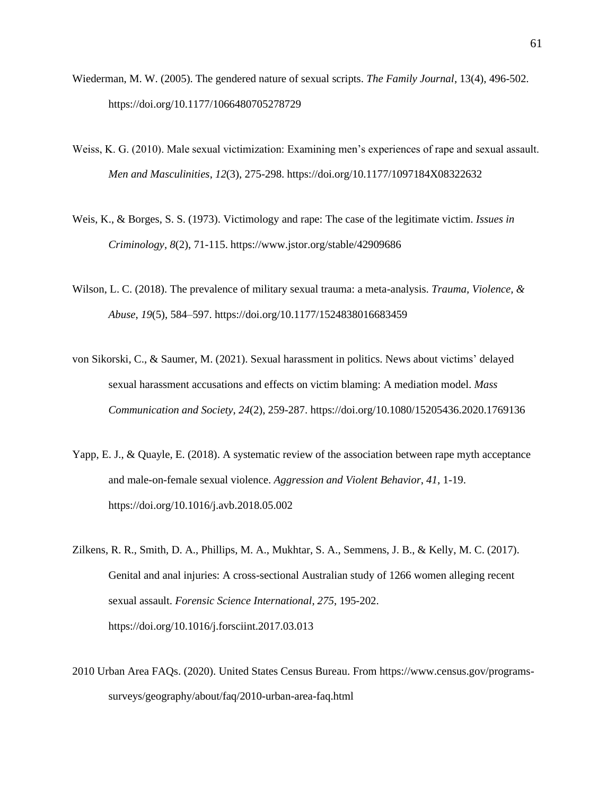- Wiederman, M. W. (2005). The gendered nature of sexual scripts. *The Family Journal*, 13(4), 496-502. https://doi.org/10.1177/1066480705278729
- Weiss, K. G. (2010). Male sexual victimization: Examining men's experiences of rape and sexual assault. *Men and Masculinities*, *12*(3), 275-298. https://doi.org/10.1177/1097184X08322632
- Weis, K., & Borges, S. S. (1973). Victimology and rape: The case of the legitimate victim. *Issues in Criminology*, *8*(2), 71-115. https://www.jstor.org/stable/42909686
- Wilson, L. C. (2018). The prevalence of military sexual trauma: a meta-analysis. *Trauma, Violence, & Abuse*, *19*(5), 584–597. https://doi.org/10.1177/1524838016683459
- von Sikorski, C., & Saumer, M. (2021). Sexual harassment in politics. News about victims' delayed sexual harassment accusations and effects on victim blaming: A mediation model. *Mass Communication and Society*, *24*(2), 259-287. https://doi.org/10.1080/15205436.2020.1769136
- Yapp, E. J., & Quayle, E. (2018). A systematic review of the association between rape myth acceptance and male-on-female sexual violence. *Aggression and Violent Behavior*, *41*, 1-19. https://doi.org/10.1016/j.avb.2018.05.002
- Zilkens, R. R., Smith, D. A., Phillips, M. A., Mukhtar, S. A., Semmens, J. B., & Kelly, M. C. (2017). Genital and anal injuries: A cross-sectional Australian study of 1266 women alleging recent sexual assault. *Forensic Science International*, *275*, 195-202. https://doi.org/10.1016/j.forsciint.2017.03.013
- 2010 Urban Area FAQs. (2020). United States Census Bureau. From https://www.census.gov/programssurveys/geography/about/faq/2010-urban-area-faq.html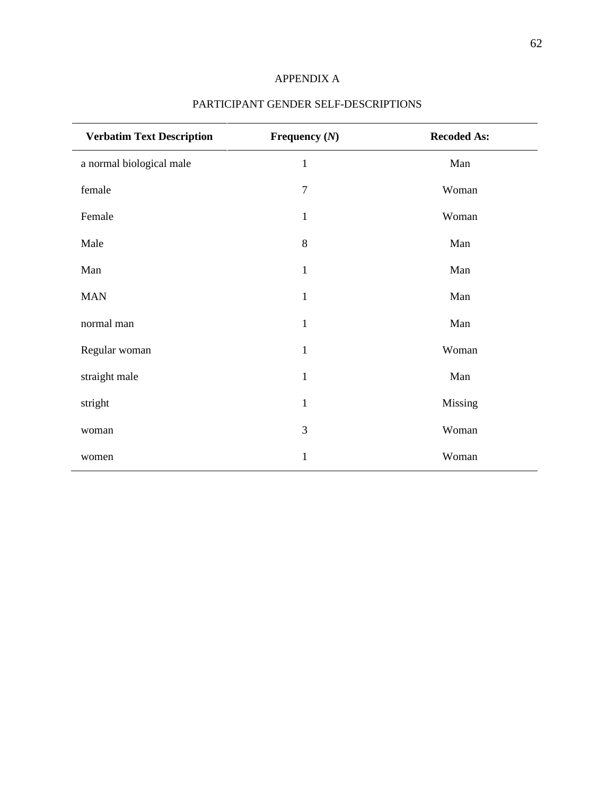# APPENDIX A

| <b>Verbatim Text Description</b> | Frequency $(N)$ | <b>Recoded As:</b> |
|----------------------------------|-----------------|--------------------|
| a normal biological male         | $\mathbf{1}$    | Man                |
| female                           | $\overline{7}$  | Woman              |
| Female                           | $\mathbf{1}$    | Woman              |
| Male                             | 8               | Man                |
| Man                              | $\mathbf{1}$    | Man                |
| <b>MAN</b>                       | $\mathbf{1}$    | Man                |
| normal man                       | $\mathbf{1}$    | Man                |
| Regular woman                    | $\mathbf{1}$    | Woman              |
| straight male                    | $\mathbf{1}$    | Man                |
| stright                          | $\mathbf{1}$    | Missing            |
|                                  | 3               |                    |
| woman                            |                 | Woman              |
| women                            | $\mathbf{1}$    | Woman              |

# PARTICIPANT GENDER SELF-DESCRIPTIONS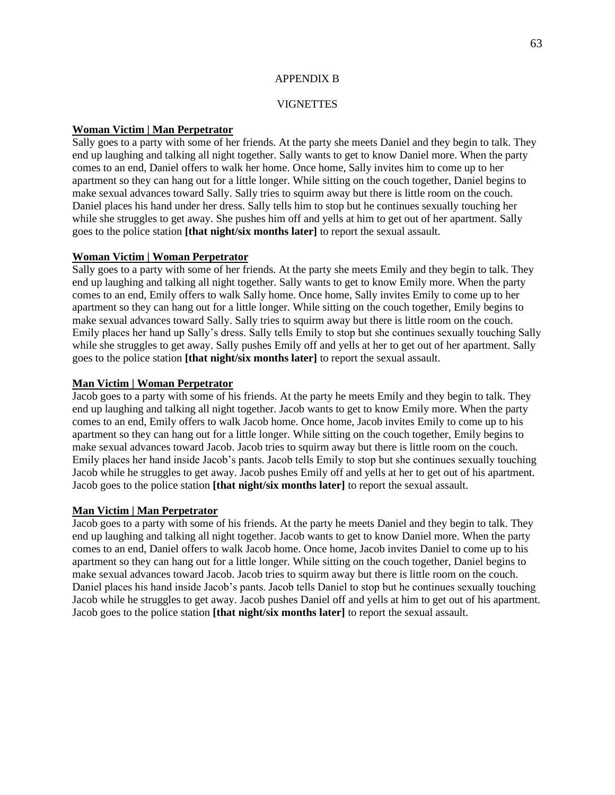### APPENDIX B

## **VIGNETTES**

## **Woman Victim | Man Perpetrator**

Sally goes to a party with some of her friends. At the party she meets Daniel and they begin to talk. They end up laughing and talking all night together. Sally wants to get to know Daniel more. When the party comes to an end, Daniel offers to walk her home. Once home, Sally invites him to come up to her apartment so they can hang out for a little longer. While sitting on the couch together, Daniel begins to make sexual advances toward Sally. Sally tries to squirm away but there is little room on the couch. Daniel places his hand under her dress. Sally tells him to stop but he continues sexually touching her while she struggles to get away. She pushes him off and yells at him to get out of her apartment. Sally goes to the police station **[that night/six months later]** to report the sexual assault.

## **Woman Victim | Woman Perpetrator**

Sally goes to a party with some of her friends. At the party she meets Emily and they begin to talk. They end up laughing and talking all night together. Sally wants to get to know Emily more. When the party comes to an end, Emily offers to walk Sally home. Once home, Sally invites Emily to come up to her apartment so they can hang out for a little longer. While sitting on the couch together, Emily begins to make sexual advances toward Sally. Sally tries to squirm away but there is little room on the couch. Emily places her hand up Sally's dress. Sally tells Emily to stop but she continues sexually touching Sally while she struggles to get away. Sally pushes Emily off and yells at her to get out of her apartment. Sally goes to the police station **[that night/six months later]** to report the sexual assault.

## **Man Victim | Woman Perpetrator**

Jacob goes to a party with some of his friends. At the party he meets Emily and they begin to talk. They end up laughing and talking all night together. Jacob wants to get to know Emily more. When the party comes to an end, Emily offers to walk Jacob home. Once home, Jacob invites Emily to come up to his apartment so they can hang out for a little longer. While sitting on the couch together, Emily begins to make sexual advances toward Jacob. Jacob tries to squirm away but there is little room on the couch. Emily places her hand inside Jacob's pants. Jacob tells Emily to stop but she continues sexually touching Jacob while he struggles to get away. Jacob pushes Emily off and yells at her to get out of his apartment. Jacob goes to the police station **[that night/six months later]** to report the sexual assault.

# **Man Victim | Man Perpetrator**

Jacob goes to a party with some of his friends. At the party he meets Daniel and they begin to talk. They end up laughing and talking all night together. Jacob wants to get to know Daniel more. When the party comes to an end, Daniel offers to walk Jacob home. Once home, Jacob invites Daniel to come up to his apartment so they can hang out for a little longer. While sitting on the couch together, Daniel begins to make sexual advances toward Jacob. Jacob tries to squirm away but there is little room on the couch. Daniel places his hand inside Jacob's pants. Jacob tells Daniel to stop but he continues sexually touching Jacob while he struggles to get away. Jacob pushes Daniel off and yells at him to get out of his apartment. Jacob goes to the police station **[that night/six months later]** to report the sexual assault.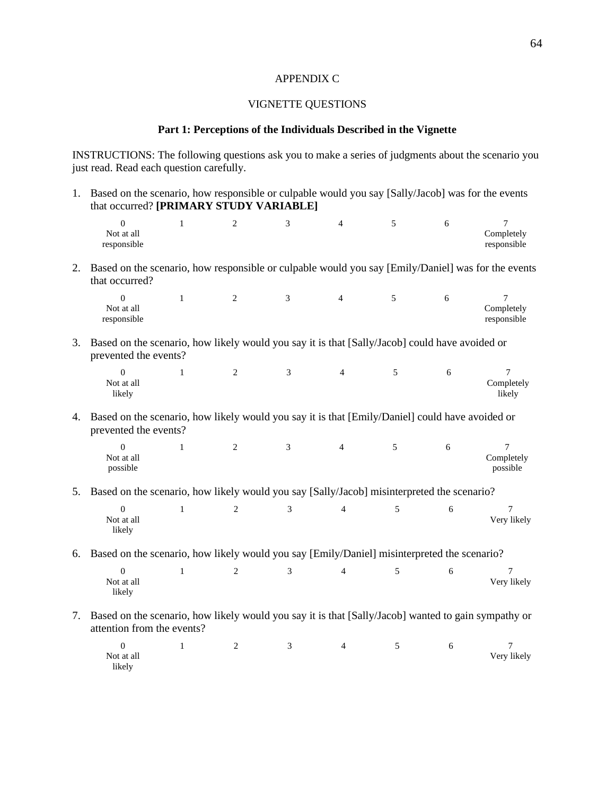### APPENDIX C

## VIGNETTE QUESTIONS

#### **Part 1: Perceptions of the Individuals Described in the Vignette**

INSTRUCTIONS: The following questions ask you to make a series of judgments about the scenario you just read. Read each question carefully.

1. Based on the scenario, how responsible or culpable would you say [Sally/Jacob] was for the events that occurred? **[PRIMARY STUDY VARIABLE]** 0 1 2 3 4 5 6 7 Not at all responsible Completely responsible 2. Based on the scenario, how responsible or culpable would you say [Emily/Daniel] was for the events that occurred? 0 1 2 3 4 5 6 7 Not at all responsible Completely responsible 3. Based on the scenario, how likely would you say it is that [Sally/Jacob] could have avoided or prevented the events? 0 1 2 3 4 5 6 7 Not at all likely Completely likely 4. Based on the scenario, how likely would you say it is that [Emily/Daniel] could have avoided or prevented the events? 0 1 2 3 4 5 6 7 Not at all possible Completely possible 5. Based on the scenario, how likely would you say [Sally/Jacob] misinterpreted the scenario? 0 1 2 3 4 5 6 7 Not at all likely Very likely 6. Based on the scenario, how likely would you say [Emily/Daniel] misinterpreted the scenario? 0 1 2 3 4 5 6 7 Not at all likely Very likely 7. Based on the scenario, how likely would you say it is that [Sally/Jacob] wanted to gain sympathy or attention from the events? 0 1 2 3 4 5 6 7 Not at all likely Very likely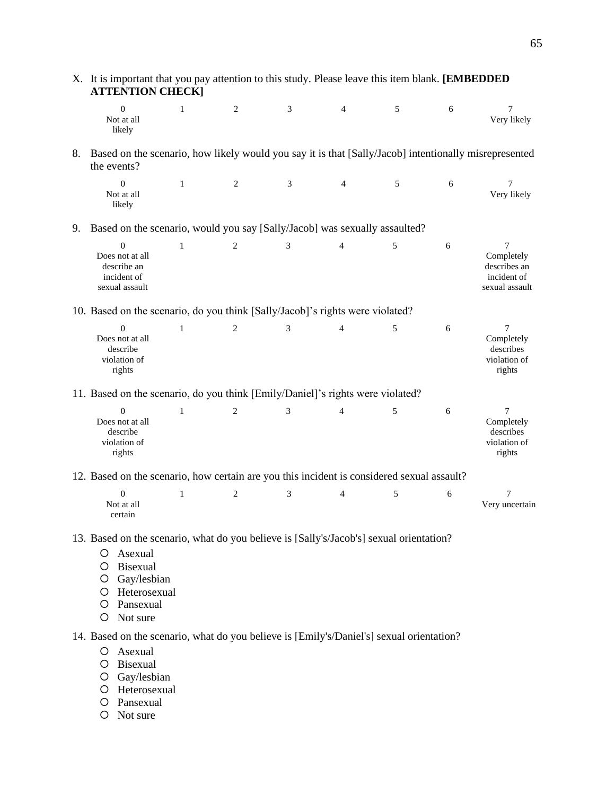|    | X. It is important that you pay attention to this study. Please leave this item blank. [EMBEDDED<br><b>ATTENTION CHECK]</b>                                                                       |              |                |   |                |   |   |                                                                       |
|----|---------------------------------------------------------------------------------------------------------------------------------------------------------------------------------------------------|--------------|----------------|---|----------------|---|---|-----------------------------------------------------------------------|
|    | $\overline{0}$<br>Not at all<br>likely                                                                                                                                                            | $\mathbf{1}$ | 2              | 3 | 4              | 5 | 6 | 7<br>Very likely                                                      |
| 8. | Based on the scenario, how likely would you say it is that [Sally/Jacob] intentionally misrepresented<br>the events?                                                                              |              |                |   |                |   |   |                                                                       |
|    | $\Omega$<br>Not at all<br>likely                                                                                                                                                                  | $\mathbf{1}$ | 2              | 3 | 4              | 5 | 6 | $\overline{7}$<br>Very likely                                         |
| 9. | Based on the scenario, would you say [Sally/Jacob] was sexually assaulted?                                                                                                                        |              |                |   |                |   |   |                                                                       |
|    | $\Omega$<br>Does not at all<br>describe an<br>incident of<br>sexual assault                                                                                                                       | 1            | $\overline{2}$ | 3 | 4              | 5 | 6 | $\tau$<br>Completely<br>describes an<br>incident of<br>sexual assault |
|    | 10. Based on the scenario, do you think [Sally/Jacob]'s rights were violated?                                                                                                                     |              |                |   |                |   |   |                                                                       |
|    | $\Omega$<br>Does not at all<br>describe<br>violation of<br>rights                                                                                                                                 | $\mathbf{1}$ | $\overline{c}$ | 3 | $\overline{4}$ | 5 | 6 | $\tau$<br>Completely<br>describes<br>violation of<br>rights           |
|    | 11. Based on the scenario, do you think [Emily/Daniel]'s rights were violated?                                                                                                                    |              |                |   |                |   |   |                                                                       |
|    | $\Omega$<br>Does not at all<br>describe<br>violation of<br>rights                                                                                                                                 | $\mathbf{1}$ | $\overline{c}$ | 3 | 4              | 5 | 6 | 7<br>Completely<br>describes<br>violation of<br>rights                |
|    | 12. Based on the scenario, how certain are you this incident is considered sexual assault?                                                                                                        |              |                |   |                |   |   |                                                                       |
|    | $\overline{0}$<br>Not at all<br>certain                                                                                                                                                           | $\mathbf{1}$ | 2              | 3 | 4              | 5 | 6 | 7<br>Very uncertain                                                   |
|    | 13. Based on the scenario, what do you believe is [Sally's/Jacob's] sexual orientation?<br>Asexual<br>O<br>Bisexual<br>O<br>Gay/lesbian<br>O<br>Heterosexual<br>Ő<br>O Pansexual<br>Not sure<br>O |              |                |   |                |   |   |                                                                       |

14. Based on the scenario, what do you believe is [Emily's/Daniel's] sexual orientation?

- Asexual
- O Bisexual
- O Gay/lesbian
- O Heterosexual
- O Pansexual
- O Not sure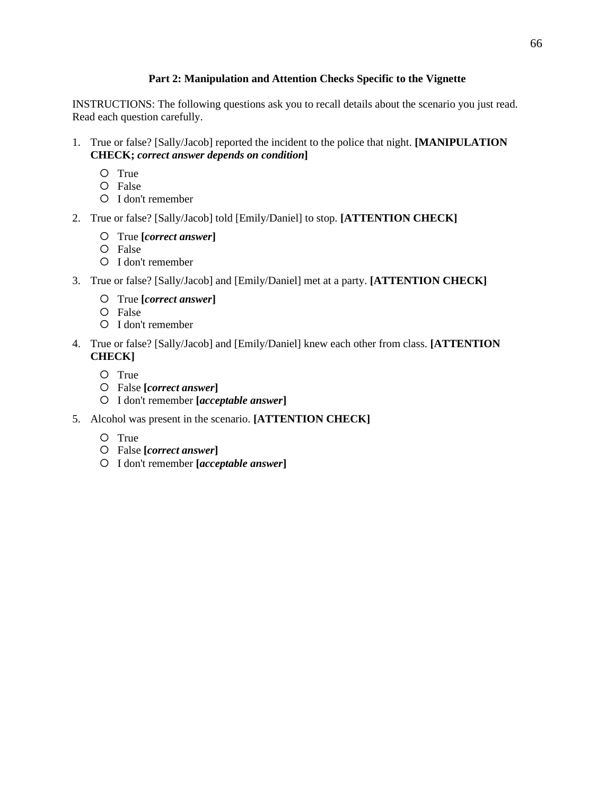# **Part 2: Manipulation and Attention Checks Specific to the Vignette**

INSTRUCTIONS: The following questions ask you to recall details about the scenario you just read. Read each question carefully.

- 1. True or false? [Sally/Jacob] reported the incident to the police that night. **[MANIPULATION CHECK;** *correct answer depends on condition***]**
	- O True
	- False
	- I don't remember
- 2. True or false? [Sally/Jacob] told [Emily/Daniel] to stop. **[ATTENTION CHECK]**
	- True **[***correct answer***]**
	- O False
	- I don't remember
- 3. True or false? [Sally/Jacob] and [Emily/Daniel] met at a party. **[ATTENTION CHECK]**
	- True **[***correct answer***]**
	- False
	- I don't remember
- 4. True or false? [Sally/Jacob] and [Emily/Daniel] knew each other from class. **[ATTENTION CHECK]**
	- O True
	- False **[***correct answer***]**
	- I don't remember **[***acceptable answer***]**
- 5. Alcohol was present in the scenario. **[ATTENTION CHECK]**
	- O True
	- False **[***correct answer***]**
	- I don't remember **[***acceptable answer***]**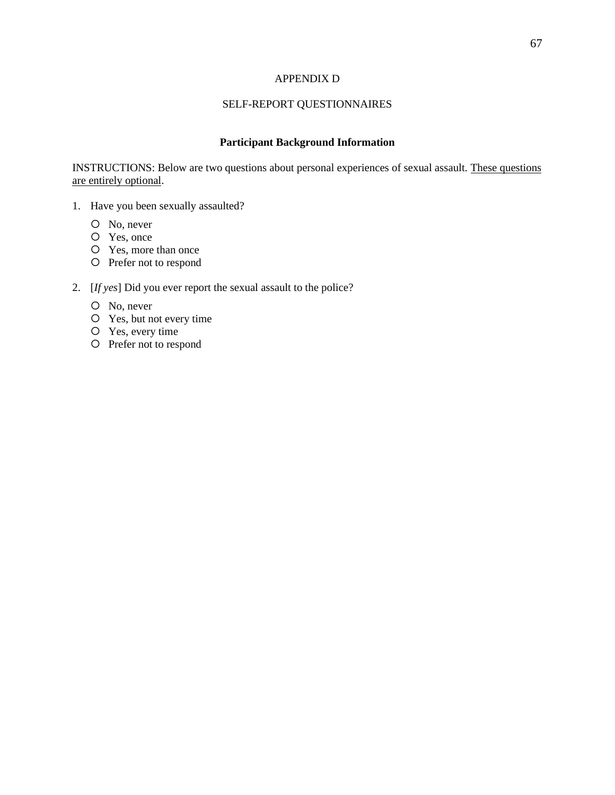# APPENDIX D

# SELF-REPORT QUESTIONNAIRES

# **Participant Background Information**

INSTRUCTIONS: Below are two questions about personal experiences of sexual assault. These questions are entirely optional.

- 1. Have you been sexually assaulted?
	- O No, never
	- Yes, once
	- Yes, more than once
	- O Prefer not to respond

# 2. [*If yes*] Did you ever report the sexual assault to the police?

- O No, never
- Yes, but not every time
- Yes, every time
- Prefer not to respond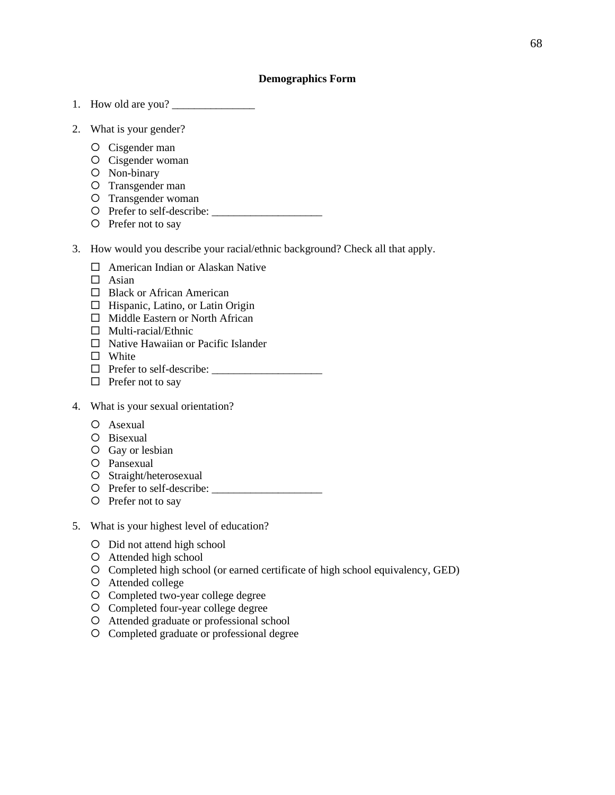### **Demographics Form**

- 1. How old are you?
- 2. What is your gender?
	- Cisgender man
	- O Cisgender woman
	- Non-binary
	- O Transgender man
	- O Transgender woman
	- $\bigcirc$  Prefer to self-describe:
	- O Prefer not to say
- 3. How would you describe your racial/ethnic background? Check all that apply.
	- $\Box$  American Indian or Alaskan Native
	- $\Box$  Asian
	- □ Black or African American
	- $\Box$  Hispanic, Latino, or Latin Origin
	- $\Box$  Middle Eastern or North African
	- $\Box$  Multi-racial/Ethnic
	- $\Box$  Native Hawaiian or Pacific Islander
	- □ White
	- $\Box$  Prefer to self-describe:  $\Box$
	- $\Box$  Prefer not to say
- 4. What is your sexual orientation?
	- Asexual
	- Bisexual
	- O Gay or lesbian
	- Pansexual
	- O Straight/heterosexual
	- Prefer to self-describe: \_\_\_\_\_\_\_\_\_\_\_\_\_\_\_\_\_\_\_\_
	- O Prefer not to say
- 5. What is your highest level of education?
	- O Did not attend high school
	- Attended high school
	- Completed high school (or earned certificate of high school equivalency, GED)
	- Attended college
	- Completed two-year college degree
	- Completed four-year college degree
	- Attended graduate or professional school
	- Completed graduate or professional degree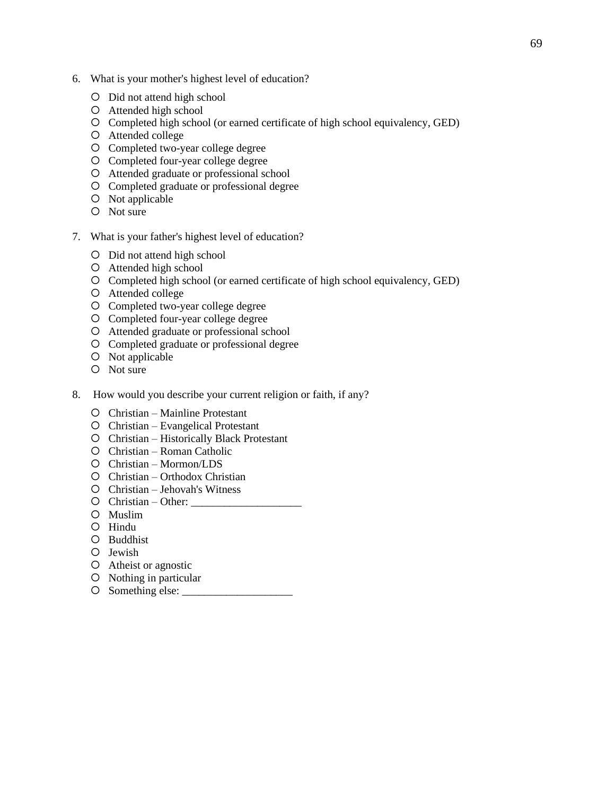- 6. What is your mother's highest level of education?
	- Did not attend high school
	- Attended high school
	- Completed high school (or earned certificate of high school equivalency, GED)
	- Attended college
	- Completed two-year college degree
	- Completed four-year college degree
	- Attended graduate or professional school
	- Completed graduate or professional degree
	- O Not applicable
	- O Not sure
- 7. What is your father's highest level of education?
	- Did not attend high school
	- Attended high school
	- Completed high school (or earned certificate of high school equivalency, GED)
	- Attended college
	- Completed two-year college degree
	- Completed four-year college degree
	- Attended graduate or professional school
	- Completed graduate or professional degree
	- O Not applicable
	- O Not sure
- 8. How would you describe your current religion or faith, if any?
	- O Christian Mainline Protestant
	- Christian Evangelical Protestant
	- Christian Historically Black Protestant
	- Christian Roman Catholic
	- Christian Mormon/LDS
	- Christian Orthodox Christian
	- Christian Jehovah's Witness
	- Christian Other: \_\_\_\_\_\_\_\_\_\_\_\_\_\_\_\_\_\_\_\_
	- Muslim
	- O Hindu
	- Buddhist
	- O Jewish
	- Atheist or agnostic
	- O Nothing in particular
	- Something else: \_\_\_\_\_\_\_\_\_\_\_\_\_\_\_\_\_\_\_\_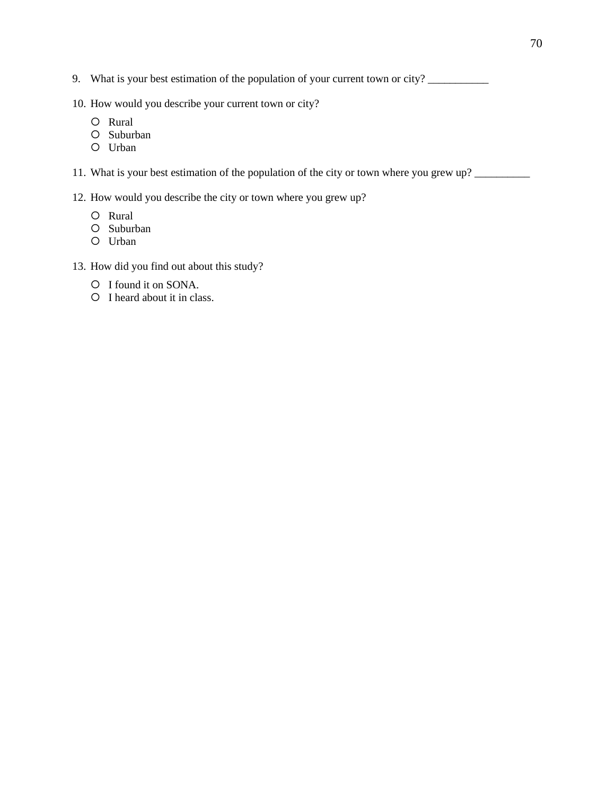- 9. What is your best estimation of the population of your current town or city?
- 10. How would you describe your current town or city?
	- O Rural
	- O Suburban
	- Urban

11. What is your best estimation of the population of the city or town where you grew up?

- 12. How would you describe the city or town where you grew up?
	- O Rural
	- O Suburban
	- Urban
- 13. How did you find out about this study?
	- O I found it on SONA.
	- O I heard about it in class.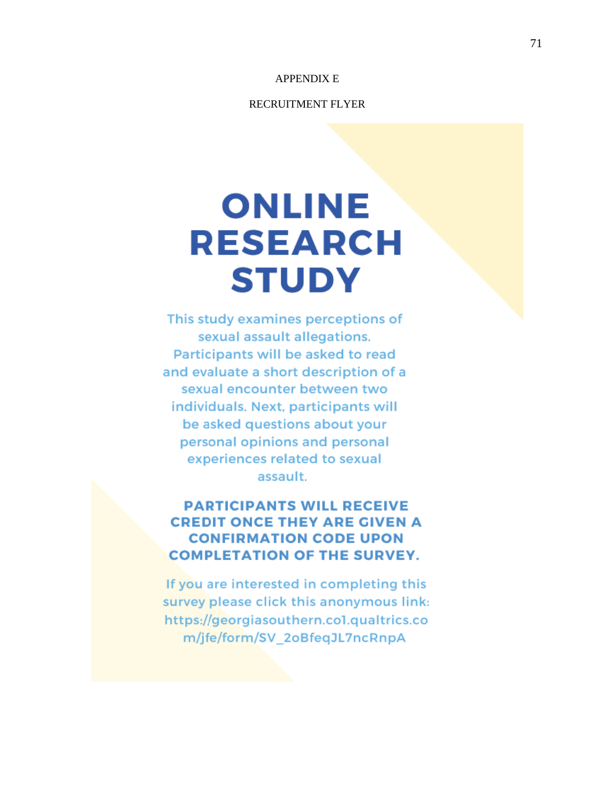# APPENDIX E

#### RECRUITMENT FLYER

# **ONLINE RESEARCH STUDY**

This study examines perceptions of sexual assault allegations. Participants will be asked to read and evaluate a short description of a sexual encounter between two individuals. Next, participants will be asked questions about your personal opinions and personal experiences related to sexual assault.

# **PARTICIPANTS WILL RECEIVE CREDIT ONCE THEY ARE GIVEN A CONFIRMATION CODE UPON COMPLETATION OF THE SURVEY.**

If you are interested in completing this survey please click this anonymous link: https://georgiasouthern.col.qualtrics.co m/jfe/form/SV 2oBfeqJL7ncRnpA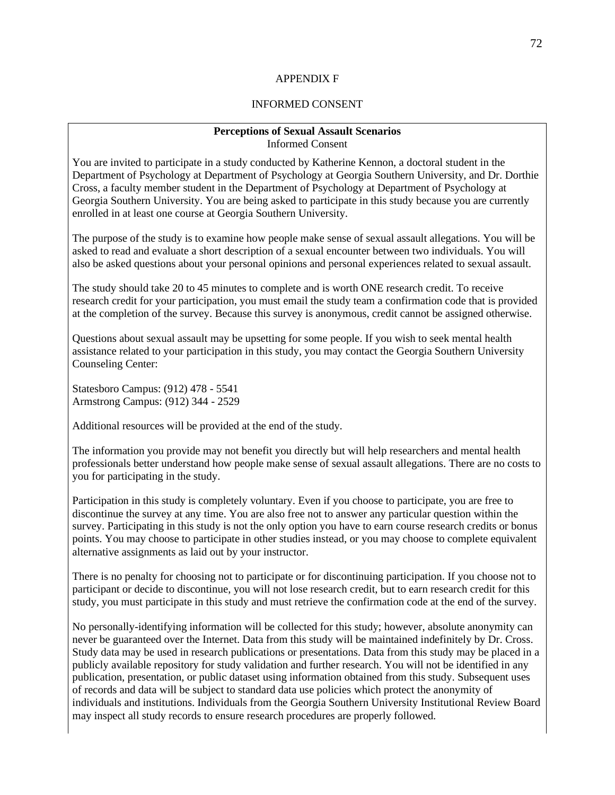#### APPENDIX F

#### INFORMED CONSENT

#### **Perceptions of Sexual Assault Scenarios** Informed Consent

You are invited to participate in a study conducted by Katherine Kennon, a doctoral student in the Department of Psychology at Department of Psychology at Georgia Southern University, and Dr. Dorthie Cross, a faculty member student in the Department of Psychology at Department of Psychology at Georgia Southern University. You are being asked to participate in this study because you are currently enrolled in at least one course at Georgia Southern University.

The purpose of the study is to examine how people make sense of sexual assault allegations. You will be asked to read and evaluate a short description of a sexual encounter between two individuals. You will also be asked questions about your personal opinions and personal experiences related to sexual assault.

The study should take 20 to 45 minutes to complete and is worth ONE research credit. To receive research credit for your participation, you must email the study team a confirmation code that is provided at the completion of the survey. Because this survey is anonymous, credit cannot be assigned otherwise.

Questions about sexual assault may be upsetting for some people. If you wish to seek mental health assistance related to your participation in this study, you may contact the Georgia Southern University Counseling Center:

Statesboro Campus: (912) 478 - 5541 Armstrong Campus: (912) 344 - 2529

Additional resources will be provided at the end of the study.

The information you provide may not benefit you directly but will help researchers and mental health professionals better understand how people make sense of sexual assault allegations. There are no costs to you for participating in the study.

Participation in this study is completely voluntary. Even if you choose to participate, you are free to discontinue the survey at any time. You are also free not to answer any particular question within the survey. Participating in this study is not the only option you have to earn course research credits or bonus points. You may choose to participate in other studies instead, or you may choose to complete equivalent alternative assignments as laid out by your instructor.

There is no penalty for choosing not to participate or for discontinuing participation. If you choose not to participant or decide to discontinue, you will not lose research credit, but to earn research credit for this study, you must participate in this study and must retrieve the confirmation code at the end of the survey.

No personally-identifying information will be collected for this study; however, absolute anonymity can never be guaranteed over the Internet. Data from this study will be maintained indefinitely by Dr. Cross. Study data may be used in research publications or presentations. Data from this study may be placed in a publicly available repository for study validation and further research. You will not be identified in any publication, presentation, or public dataset using information obtained from this study. Subsequent uses of records and data will be subject to standard data use policies which protect the anonymity of individuals and institutions. Individuals from the Georgia Southern University Institutional Review Board may inspect all study records to ensure research procedures are properly followed.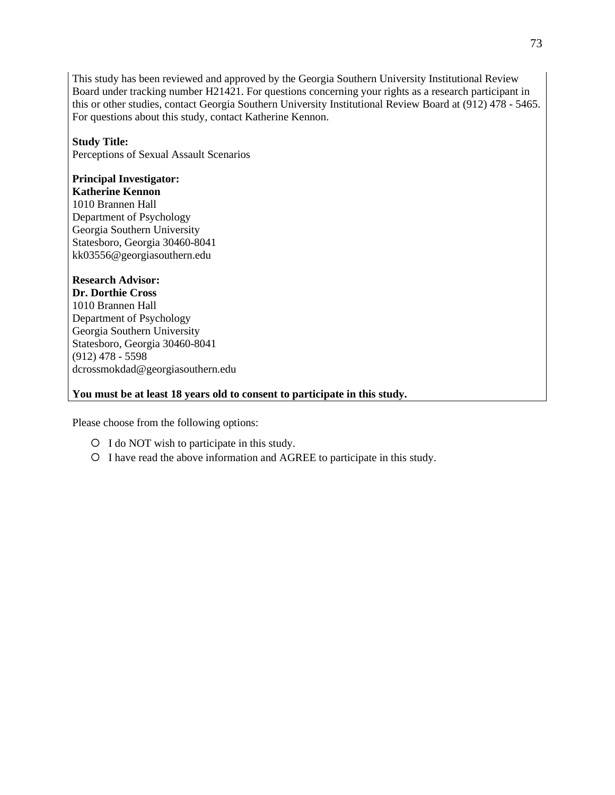This study has been reviewed and approved by the Georgia Southern University Institutional Review Board under tracking number H21421. For questions concerning your rights as a research participant in this or other studies, contact Georgia Southern University Institutional Review Board at (912) 478 - 5465. For questions about this study, contact Katherine Kennon.

# **Study Title:**

Perceptions of Sexual Assault Scenarios

# **Principal Investigator:**

**Katherine Kennon** 1010 Brannen Hall Department of Psychology Georgia Southern University Statesboro, Georgia 30460-8041 kk03556@georgiasouthern.edu

# **Research Advisor:**

**Dr. Dorthie Cross** 1010 Brannen Hall Department of Psychology Georgia Southern University Statesboro, Georgia 30460-8041 (912) 478 - 5598 dcrossmokdad@georgiasouthern.edu

## **You must be at least 18 years old to consent to participate in this study.**

Please choose from the following options:

- I do NOT wish to participate in this study.
- I have read the above information and AGREE to participate in this study.